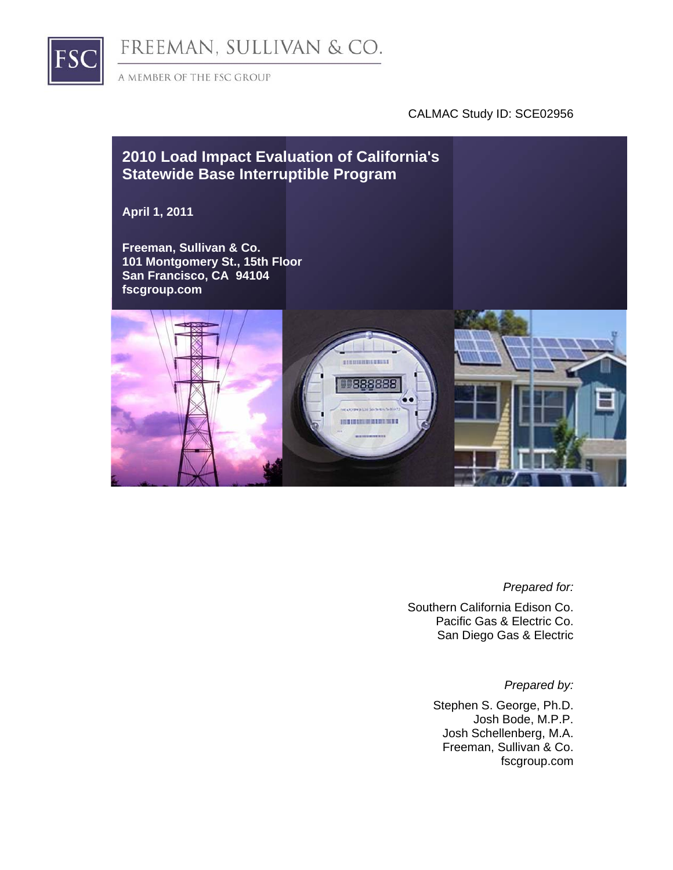

FREEMAN, SULLIVAN & CO.

A MEMBER OF THE FSC GROUP

#### CALMAC Study ID: SCE02956



#### *Prepared for:*

Southern California Edison Co. Pacific Gas & Electric Co. San Diego Gas & Electric

*Prepared by:* 

Stephen S. George, Ph.D. Josh Bode, M.P.P. Josh Schellenberg, M.A. Freeman, Sullivan & Co. fscgroup.com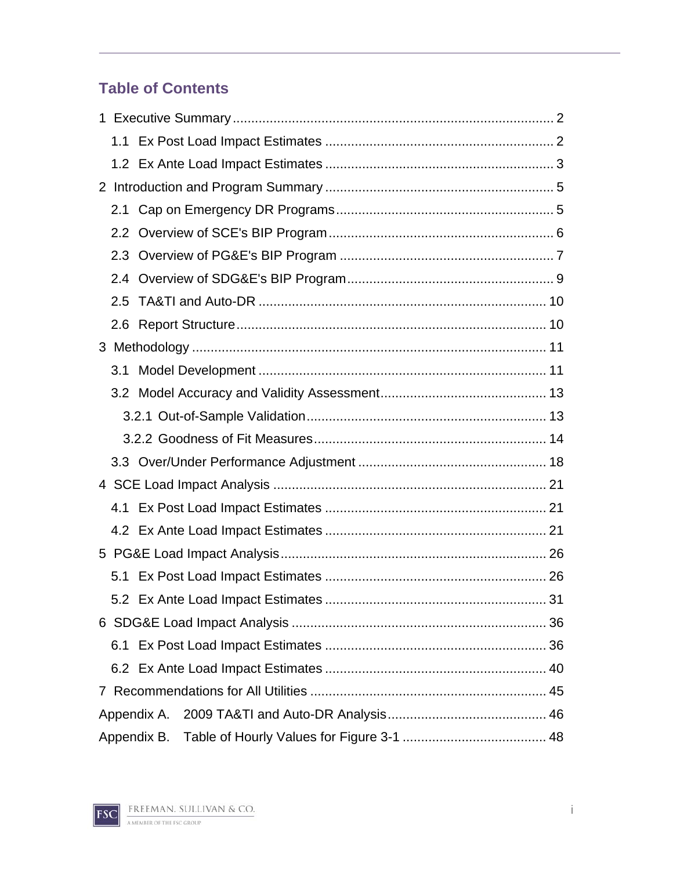# **Table of Contents**

| 3.1 |             |  |
|-----|-------------|--|
|     |             |  |
|     |             |  |
|     |             |  |
|     |             |  |
|     |             |  |
|     |             |  |
|     |             |  |
|     |             |  |
|     |             |  |
|     |             |  |
|     |             |  |
|     |             |  |
|     |             |  |
|     |             |  |
|     | Appendix A. |  |
|     | Appendix B. |  |

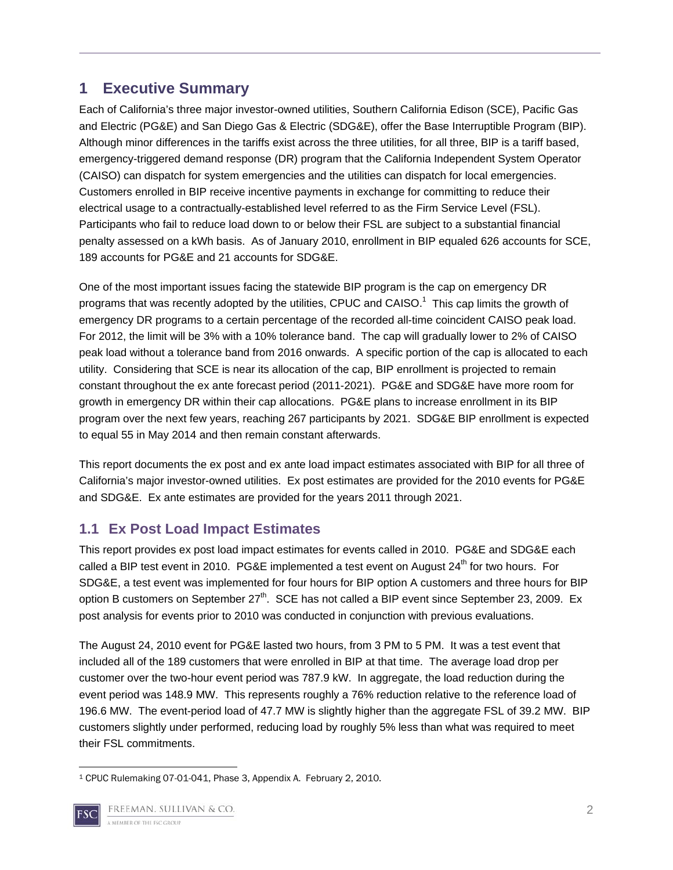## **1 Executive Summary**

Each of California's three major investor-owned utilities, Southern California Edison (SCE), Pacific Gas and Electric (PG&E) and San Diego Gas & Electric (SDG&E), offer the Base Interruptible Program (BIP). Although minor differences in the tariffs exist across the three utilities, for all three, BIP is a tariff based, emergency-triggered demand response (DR) program that the California Independent System Operator (CAISO) can dispatch for system emergencies and the utilities can dispatch for local emergencies. Customers enrolled in BIP receive incentive payments in exchange for committing to reduce their electrical usage to a contractually-established level referred to as the Firm Service Level (FSL). Participants who fail to reduce load down to or below their FSL are subject to a substantial financial penalty assessed on a kWh basis. As of January 2010, enrollment in BIP equaled 626 accounts for SCE, 189 accounts for PG&E and 21 accounts for SDG&E.

One of the most important issues facing the statewide BIP program is the cap on emergency DR programs that was recently adopted by the utilities, CPUC and CAISO.<sup>1</sup> This cap limits the growth of emergency DR programs to a certain percentage of the recorded all-time coincident CAISO peak load. For 2012, the limit will be 3% with a 10% tolerance band. The cap will gradually lower to 2% of CAISO peak load without a tolerance band from 2016 onwards. A specific portion of the cap is allocated to each utility. Considering that SCE is near its allocation of the cap, BIP enrollment is projected to remain constant throughout the ex ante forecast period (2011-2021). PG&E and SDG&E have more room for growth in emergency DR within their cap allocations. PG&E plans to increase enrollment in its BIP program over the next few years, reaching 267 participants by 2021. SDG&E BIP enrollment is expected to equal 55 in May 2014 and then remain constant afterwards.

This report documents the ex post and ex ante load impact estimates associated with BIP for all three of California's major investor-owned utilities. Ex post estimates are provided for the 2010 events for PG&E and SDG&E. Ex ante estimates are provided for the years 2011 through 2021.

### **1.1 Ex Post Load Impact Estimates**

This report provides ex post load impact estimates for events called in 2010. PG&E and SDG&E each called a BIP test event in 2010. PG&E implemented a test event on August  $24<sup>th</sup>$  for two hours. For SDG&E, a test event was implemented for four hours for BIP option A customers and three hours for BIP option B customers on September  $27<sup>th</sup>$ . SCE has not called a BIP event since September 23, 2009. Ex post analysis for events prior to 2010 was conducted in conjunction with previous evaluations.

The August 24, 2010 event for PG&E lasted two hours, from 3 PM to 5 PM. It was a test event that included all of the 189 customers that were enrolled in BIP at that time. The average load drop per customer over the two-hour event period was 787.9 kW. In aggregate, the load reduction during the event period was 148.9 MW. This represents roughly a 76% reduction relative to the reference load of 196.6 MW. The event-period load of 47.7 MW is slightly higher than the aggregate FSL of 39.2 MW. BIP customers slightly under performed, reducing load by roughly 5% less than what was required to meet their FSL commitments.

 1 CPUC Rulemaking 07-01-041, Phase 3, Appendix A. February 2, 2010.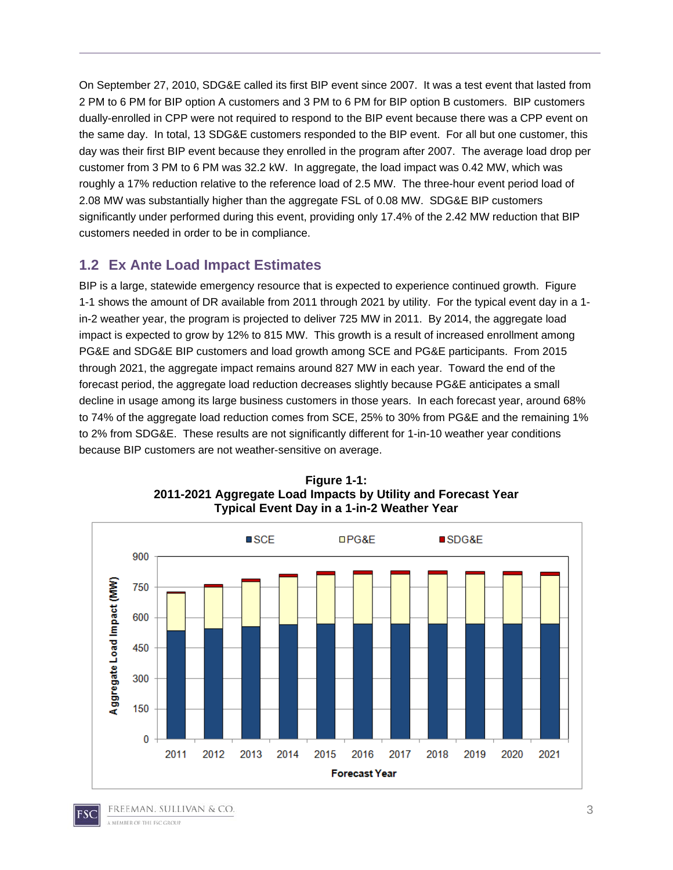On September 27, 2010, SDG&E called its first BIP event since 2007. It was a test event that lasted from 2 PM to 6 PM for BIP option A customers and 3 PM to 6 PM for BIP option B customers. BIP customers dually-enrolled in CPP were not required to respond to the BIP event because there was a CPP event on the same day. In total, 13 SDG&E customers responded to the BIP event. For all but one customer, this day was their first BIP event because they enrolled in the program after 2007. The average load drop per customer from 3 PM to 6 PM was 32.2 kW. In aggregate, the load impact was 0.42 MW, which was roughly a 17% reduction relative to the reference load of 2.5 MW. The three-hour event period load of 2.08 MW was substantially higher than the aggregate FSL of 0.08 MW. SDG&E BIP customers significantly under performed during this event, providing only 17.4% of the 2.42 MW reduction that BIP customers needed in order to be in compliance.

#### **1.2 Ex Ante Load Impact Estimates**

BIP is a large, statewide emergency resource that is expected to experience continued growth. Figure 1-1 shows the amount of DR available from 2011 through 2021 by utility. For the typical event day in a 1 in-2 weather year, the program is projected to deliver 725 MW in 2011. By 2014, the aggregate load impact is expected to grow by 12% to 815 MW. This growth is a result of increased enrollment among PG&E and SDG&E BIP customers and load growth among SCE and PG&E participants. From 2015 through 2021, the aggregate impact remains around 827 MW in each year. Toward the end of the forecast period, the aggregate load reduction decreases slightly because PG&E anticipates a small decline in usage among its large business customers in those years. In each forecast year, around 68% to 74% of the aggregate load reduction comes from SCE, 25% to 30% from PG&E and the remaining 1% to 2% from SDG&E. These results are not significantly different for 1-in-10 weather year conditions because BIP customers are not weather-sensitive on average.





FREEMAN. SULLIVAN & CO.  $FSC$ A MEMBER OF THE ESC GROUP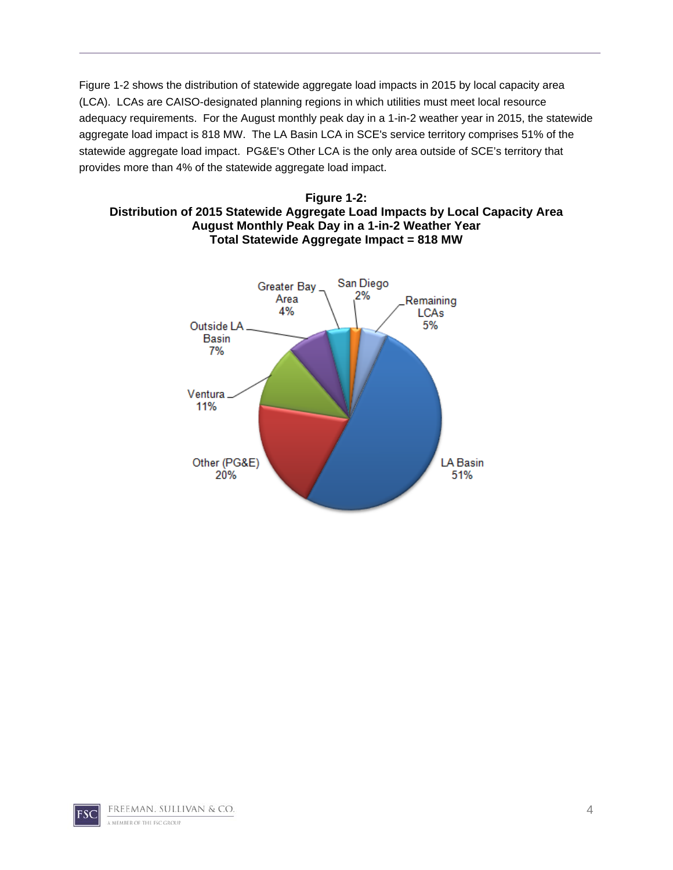Figure 1-2 shows the distribution of statewide aggregate load impacts in 2015 by local capacity area (LCA). LCAs are CAISO-designated planning regions in which utilities must meet local resource adequacy requirements. For the August monthly peak day in a 1-in-2 weather year in 2015, the statewide aggregate load impact is 818 MW. The LA Basin LCA in SCE's service territory comprises 51% of the statewide aggregate load impact. PG&E's Other LCA is the only area outside of SCE's territory that provides more than 4% of the statewide aggregate load impact.





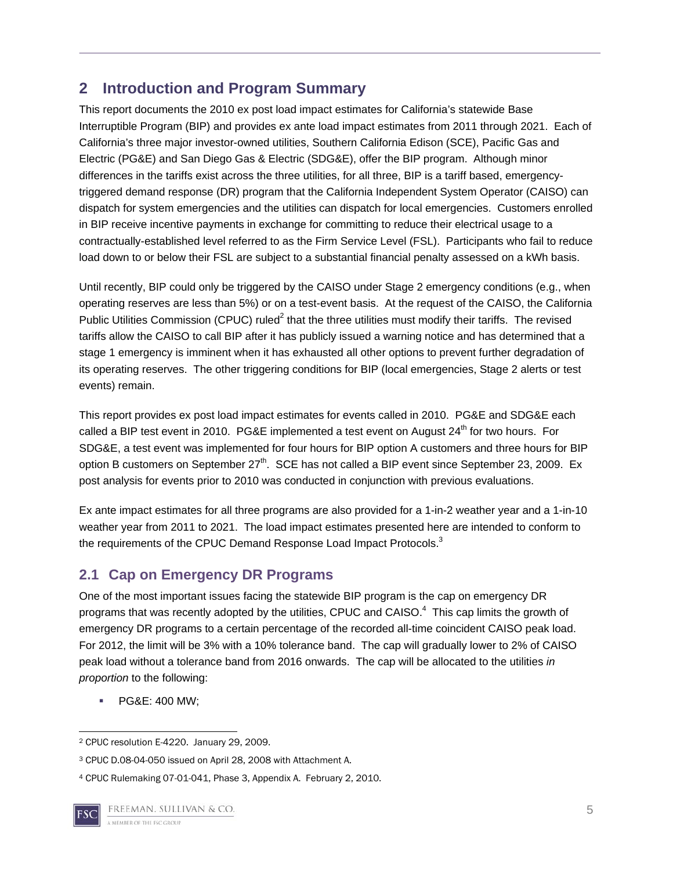## **2 Introduction and Program Summary**

This report documents the 2010 ex post load impact estimates for California's statewide Base Interruptible Program (BIP) and provides ex ante load impact estimates from 2011 through 2021. Each of California's three major investor-owned utilities, Southern California Edison (SCE), Pacific Gas and Electric (PG&E) and San Diego Gas & Electric (SDG&E), offer the BIP program. Although minor differences in the tariffs exist across the three utilities, for all three, BIP is a tariff based, emergencytriggered demand response (DR) program that the California Independent System Operator (CAISO) can dispatch for system emergencies and the utilities can dispatch for local emergencies. Customers enrolled in BIP receive incentive payments in exchange for committing to reduce their electrical usage to a contractually-established level referred to as the Firm Service Level (FSL). Participants who fail to reduce load down to or below their FSL are subject to a substantial financial penalty assessed on a kWh basis.

Until recently, BIP could only be triggered by the CAISO under Stage 2 emergency conditions (e.g., when operating reserves are less than 5%) or on a test-event basis. At the request of the CAISO, the California Public Utilities Commission (CPUC) ruled<sup>2</sup> that the three utilities must modify their tariffs. The revised tariffs allow the CAISO to call BIP after it has publicly issued a warning notice and has determined that a stage 1 emergency is imminent when it has exhausted all other options to prevent further degradation of its operating reserves. The other triggering conditions for BIP (local emergencies, Stage 2 alerts or test events) remain.

This report provides ex post load impact estimates for events called in 2010. PG&E and SDG&E each called a BIP test event in 2010. PG&E implemented a test event on August 24<sup>th</sup> for two hours. For SDG&E, a test event was implemented for four hours for BIP option A customers and three hours for BIP option B customers on September 27<sup>th</sup>. SCE has not called a BIP event since September 23, 2009. Ex post analysis for events prior to 2010 was conducted in conjunction with previous evaluations.

Ex ante impact estimates for all three programs are also provided for a 1-in-2 weather year and a 1-in-10 weather year from 2011 to 2021. The load impact estimates presented here are intended to conform to the requirements of the CPUC Demand Response Load Impact Protocols.<sup>3</sup>

# **2.1 Cap on Emergency DR Programs**

One of the most important issues facing the statewide BIP program is the cap on emergency DR programs that was recently adopted by the utilities, CPUC and CAISO. $4$  This cap limits the growth of emergency DR programs to a certain percentage of the recorded all-time coincident CAISO peak load. For 2012, the limit will be 3% with a 10% tolerance band. The cap will gradually lower to 2% of CAISO peak load without a tolerance band from 2016 onwards. The cap will be allocated to the utilities *in proportion* to the following:

PG&E: 400 MW;

 2 CPUC resolution E-4220. January 29, 2009.

<sup>3</sup> CPUC D.08-04-050 issued on April 28, 2008 with Attachment A.

<sup>4</sup> CPUC Rulemaking 07-01-041, Phase 3, Appendix A. February 2, 2010.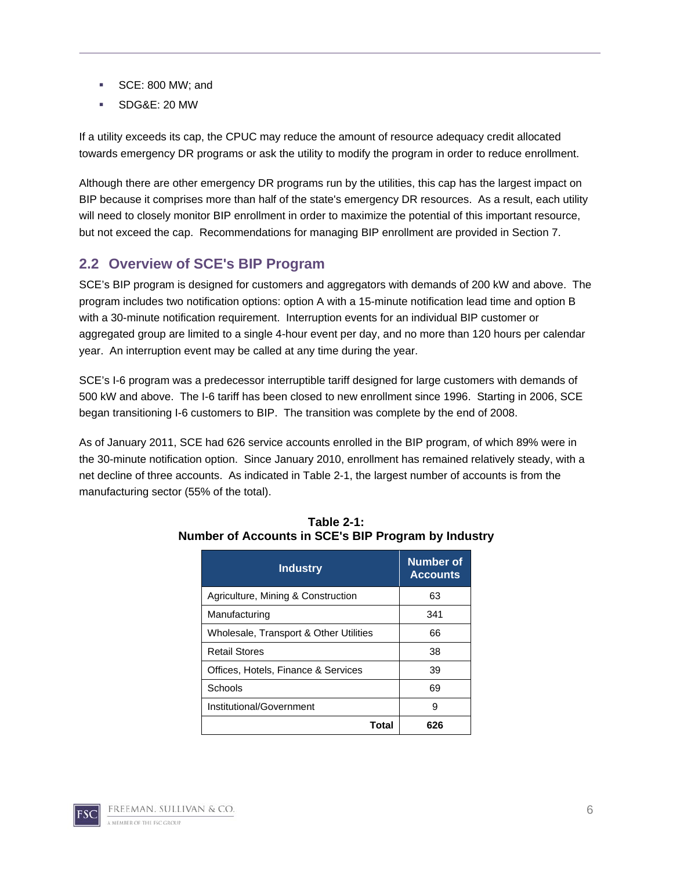- SCE: 800 MW; and
- SDG&E: 20 MW

If a utility exceeds its cap, the CPUC may reduce the amount of resource adequacy credit allocated towards emergency DR programs or ask the utility to modify the program in order to reduce enrollment.

Although there are other emergency DR programs run by the utilities, this cap has the largest impact on BIP because it comprises more than half of the state's emergency DR resources. As a result, each utility will need to closely monitor BIP enrollment in order to maximize the potential of this important resource, but not exceed the cap. Recommendations for managing BIP enrollment are provided in Section 7.

#### **2.2 Overview of SCE's BIP Program**

SCE's BIP program is designed for customers and aggregators with demands of 200 kW and above. The program includes two notification options: option A with a 15-minute notification lead time and option B with a 30-minute notification requirement. Interruption events for an individual BIP customer or aggregated group are limited to a single 4-hour event per day, and no more than 120 hours per calendar year. An interruption event may be called at any time during the year.

SCE's I-6 program was a predecessor interruptible tariff designed for large customers with demands of 500 kW and above. The I-6 tariff has been closed to new enrollment since 1996. Starting in 2006, SCE began transitioning I-6 customers to BIP. The transition was complete by the end of 2008.

As of January 2011, SCE had 626 service accounts enrolled in the BIP program, of which 89% were in the 30-minute notification option. Since January 2010, enrollment has remained relatively steady, with a net decline of three accounts. As indicated in Table 2-1, the largest number of accounts is from the manufacturing sector (55% of the total).

| <b>Industry</b>                        | Number of<br><b>Accounts</b> |
|----------------------------------------|------------------------------|
| Agriculture, Mining & Construction     | 63                           |
| Manufacturing                          | 341                          |
| Wholesale, Transport & Other Utilities | 66                           |
| <b>Retail Stores</b>                   | 38                           |
| Offices, Hotels, Finance & Services    | 39                           |
| Schools                                | 69                           |
| Institutional/Government               | 9                            |
| Total                                  |                              |

#### **Table 2-1: Number of Accounts in SCE's BIP Program by Industry**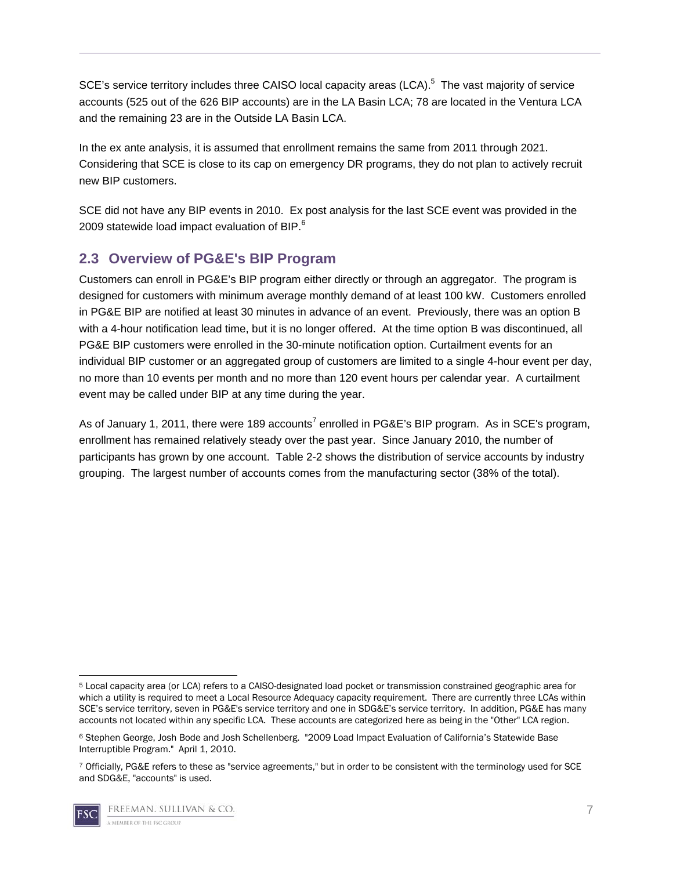SCE's service territory includes three CAISO local capacity areas (LCA).<sup>5</sup> The vast majority of service accounts (525 out of the 626 BIP accounts) are in the LA Basin LCA; 78 are located in the Ventura LCA and the remaining 23 are in the Outside LA Basin LCA.

In the ex ante analysis, it is assumed that enrollment remains the same from 2011 through 2021. Considering that SCE is close to its cap on emergency DR programs, they do not plan to actively recruit new BIP customers.

SCE did not have any BIP events in 2010. Ex post analysis for the last SCE event was provided in the 2009 statewide load impact evaluation of BIP.<sup>6</sup>

## **2.3 Overview of PG&E's BIP Program**

Customers can enroll in PG&E's BIP program either directly or through an aggregator. The program is designed for customers with minimum average monthly demand of at least 100 kW. Customers enrolled in PG&E BIP are notified at least 30 minutes in advance of an event. Previously, there was an option B with a 4-hour notification lead time, but it is no longer offered. At the time option B was discontinued, all PG&E BIP customers were enrolled in the 30-minute notification option. Curtailment events for an individual BIP customer or an aggregated group of customers are limited to a single 4-hour event per day, no more than 10 events per month and no more than 120 event hours per calendar year. A curtailment event may be called under BIP at any time during the year.

As of January 1, 2011, there were 189 accounts<sup>7</sup> enrolled in PG&E's BIP program. As in SCE's program, enrollment has remained relatively steady over the past year. Since January 2010, the number of participants has grown by one account. Table 2-2 shows the distribution of service accounts by industry grouping. The largest number of accounts comes from the manufacturing sector (38% of the total).

<sup>7</sup> Officially, PG&E refers to these as "service agreements," but in order to be consistent with the terminology used for SCE and SDG&E, "accounts" is used.



 5 Local capacity area (or LCA) refers to a CAISO-designated load pocket or transmission constrained geographic area for which a utility is required to meet a Local Resource Adequacy capacity requirement. There are currently three LCAs within SCE's service territory, seven in PG&E's service territory and one in SDG&E's service territory. In addition, PG&E has many accounts not located within any specific LCA. These accounts are categorized here as being in the "Other" LCA region.

<sup>6</sup> Stephen George, Josh Bode and Josh Schellenberg. "2009 Load Impact Evaluation of California's Statewide Base Interruptible Program." April 1, 2010.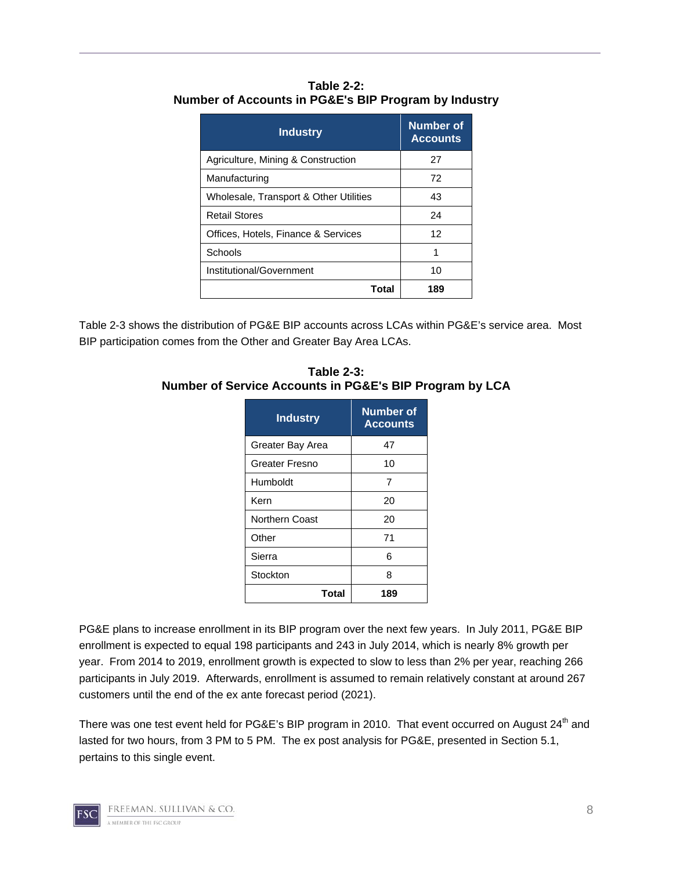| Table 2-2:                                           |
|------------------------------------------------------|
| Number of Accounts in PG&E's BIP Program by Industry |

| <b>Industry</b>                        | Number of<br><b>Accounts</b> |
|----------------------------------------|------------------------------|
| Agriculture, Mining & Construction     | 27                           |
| Manufacturing                          | 72                           |
| Wholesale, Transport & Other Utilities | 43                           |
| <b>Retail Stores</b>                   | 24                           |
| Offices, Hotels, Finance & Services    | 12                           |
| Schools                                |                              |
| Institutional/Government               | 10                           |
| Total                                  | 189                          |

Table 2-3 shows the distribution of PG&E BIP accounts across LCAs within PG&E's service area. Most BIP participation comes from the Other and Greater Bay Area LCAs.

| Table 2-3:                                              |  |
|---------------------------------------------------------|--|
| Number of Service Accounts in PG&E's BIP Program by LCA |  |

| <b>Industry</b>       | <b>Number of</b><br><b>Accounts</b> |
|-----------------------|-------------------------------------|
| Greater Bay Area      | 47                                  |
| <b>Greater Fresno</b> | 10                                  |
| Humboldt              | 7                                   |
| Kern                  | 20                                  |
| Northern Coast        | 20                                  |
| Other                 | 71                                  |
| Sierra                | 6                                   |
| Stockton              | 8                                   |
| Total                 | 189                                 |

PG&E plans to increase enrollment in its BIP program over the next few years. In July 2011, PG&E BIP enrollment is expected to equal 198 participants and 243 in July 2014, which is nearly 8% growth per year. From 2014 to 2019, enrollment growth is expected to slow to less than 2% per year, reaching 266 participants in July 2019. Afterwards, enrollment is assumed to remain relatively constant at around 267 customers until the end of the ex ante forecast period (2021).

There was one test event held for PG&E's BIP program in 2010. That event occurred on August 24<sup>th</sup> and lasted for two hours, from 3 PM to 5 PM. The ex post analysis for PG&E, presented in Section 5.1, pertains to this single event.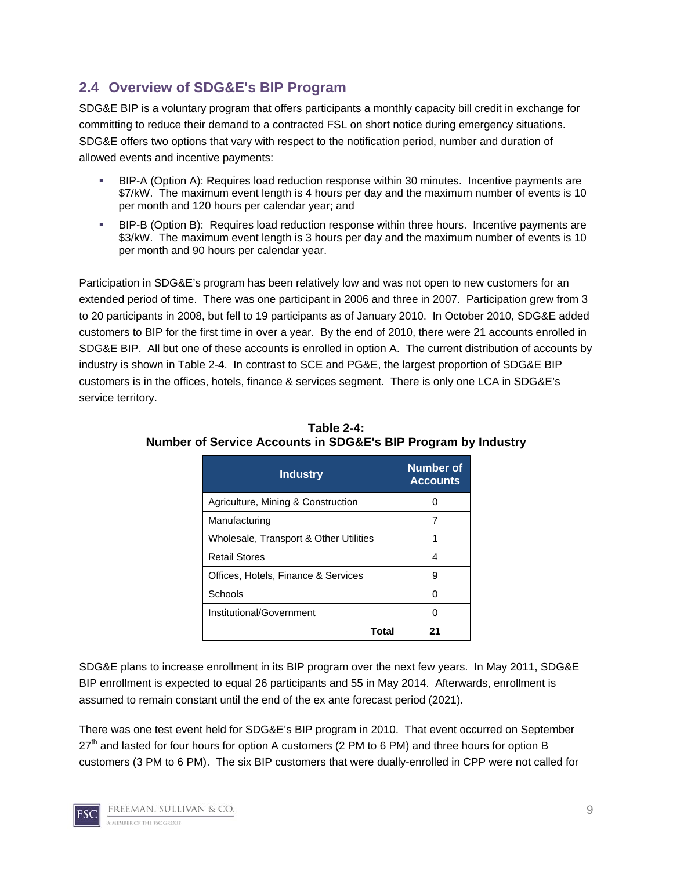## **2.4 Overview of SDG&E's BIP Program**

SDG&E BIP is a voluntary program that offers participants a monthly capacity bill credit in exchange for committing to reduce their demand to a contracted FSL on short notice during emergency situations. SDG&E offers two options that vary with respect to the notification period, number and duration of allowed events and incentive payments:

- BIP-A (Option A): Requires load reduction response within 30 minutes. Incentive payments are \$7/kW. The maximum event length is 4 hours per day and the maximum number of events is 10 per month and 120 hours per calendar year; and
- BIP-B (Option B): Requires load reduction response within three hours. Incentive payments are \$3/kW. The maximum event length is 3 hours per day and the maximum number of events is 10 per month and 90 hours per calendar year.

Participation in SDG&E's program has been relatively low and was not open to new customers for an extended period of time. There was one participant in 2006 and three in 2007. Participation grew from 3 to 20 participants in 2008, but fell to 19 participants as of January 2010. In October 2010, SDG&E added customers to BIP for the first time in over a year. By the end of 2010, there were 21 accounts enrolled in SDG&E BIP. All but one of these accounts is enrolled in option A. The current distribution of accounts by industry is shown in Table 2-4. In contrast to SCE and PG&E, the largest proportion of SDG&E BIP customers is in the offices, hotels, finance & services segment. There is only one LCA in SDG&E's service territory.

| <b>Industry</b>                        | Number of<br><b>Accounts</b> |
|----------------------------------------|------------------------------|
| Agriculture, Mining & Construction     |                              |
| Manufacturing                          |                              |
| Wholesale, Transport & Other Utilities |                              |
| <b>Retail Stores</b>                   | Δ                            |
| Offices, Hotels, Finance & Services    | g                            |
| Schools                                |                              |
| Institutional/Government               |                              |
| Total                                  |                              |

#### **Table 2-4: Number of Service Accounts in SDG&E's BIP Program by Industry**

SDG&E plans to increase enrollment in its BIP program over the next few years. In May 2011, SDG&E BIP enrollment is expected to equal 26 participants and 55 in May 2014. Afterwards, enrollment is assumed to remain constant until the end of the ex ante forecast period (2021).

There was one test event held for SDG&E's BIP program in 2010. That event occurred on September  $27<sup>th</sup>$  and lasted for four hours for option A customers (2 PM to 6 PM) and three hours for option B customers (3 PM to 6 PM). The six BIP customers that were dually-enrolled in CPP were not called for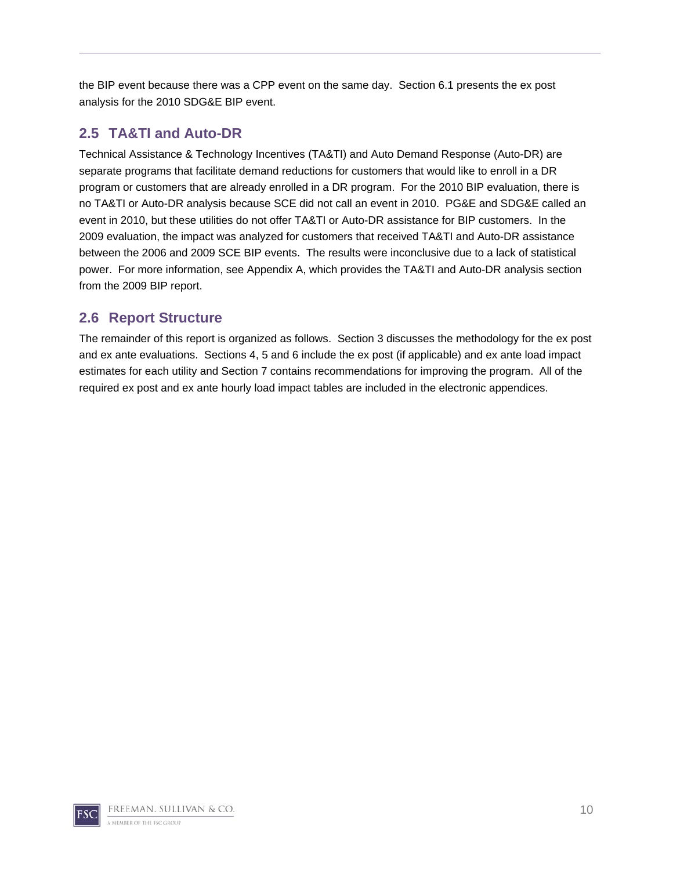the BIP event because there was a CPP event on the same day. Section 6.1 presents the ex post analysis for the 2010 SDG&E BIP event.

## **2.5 TA&TI and Auto-DR**

Technical Assistance & Technology Incentives (TA&TI) and Auto Demand Response (Auto-DR) are separate programs that facilitate demand reductions for customers that would like to enroll in a DR program or customers that are already enrolled in a DR program. For the 2010 BIP evaluation, there is no TA&TI or Auto-DR analysis because SCE did not call an event in 2010. PG&E and SDG&E called an event in 2010, but these utilities do not offer TA&TI or Auto-DR assistance for BIP customers. In the 2009 evaluation, the impact was analyzed for customers that received TA&TI and Auto-DR assistance between the 2006 and 2009 SCE BIP events. The results were inconclusive due to a lack of statistical power. For more information, see Appendix A, which provides the TA&TI and Auto-DR analysis section from the 2009 BIP report.

## **2.6 Report Structure**

The remainder of this report is organized as follows. Section 3 discusses the methodology for the ex post and ex ante evaluations. Sections 4, 5 and 6 include the ex post (if applicable) and ex ante load impact estimates for each utility and Section 7 contains recommendations for improving the program. All of the required ex post and ex ante hourly load impact tables are included in the electronic appendices.

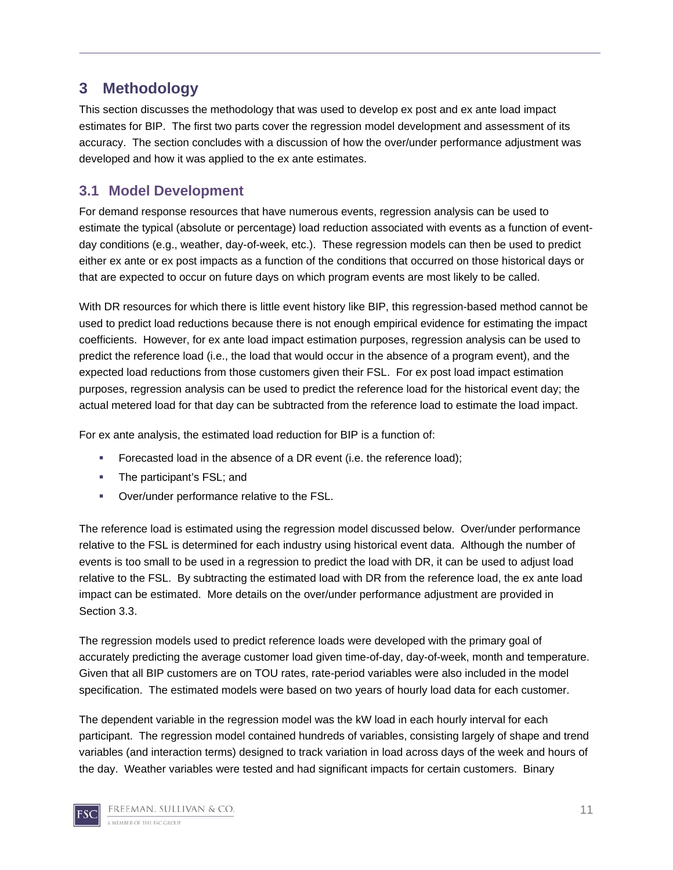# **3 Methodology**

This section discusses the methodology that was used to develop ex post and ex ante load impact estimates for BIP. The first two parts cover the regression model development and assessment of its accuracy. The section concludes with a discussion of how the over/under performance adjustment was developed and how it was applied to the ex ante estimates.

## **3.1 Model Development**

For demand response resources that have numerous events, regression analysis can be used to estimate the typical (absolute or percentage) load reduction associated with events as a function of eventday conditions (e.g., weather, day-of-week, etc.). These regression models can then be used to predict either ex ante or ex post impacts as a function of the conditions that occurred on those historical days or that are expected to occur on future days on which program events are most likely to be called.

With DR resources for which there is little event history like BIP, this regression-based method cannot be used to predict load reductions because there is not enough empirical evidence for estimating the impact coefficients. However, for ex ante load impact estimation purposes, regression analysis can be used to predict the reference load (i.e., the load that would occur in the absence of a program event), and the expected load reductions from those customers given their FSL. For ex post load impact estimation purposes, regression analysis can be used to predict the reference load for the historical event day; the actual metered load for that day can be subtracted from the reference load to estimate the load impact.

For ex ante analysis, the estimated load reduction for BIP is a function of:

- Forecasted load in the absence of a DR event (i.e. the reference load);
- **The participant's FSL; and**
- Over/under performance relative to the FSL.

The reference load is estimated using the regression model discussed below. Over/under performance relative to the FSL is determined for each industry using historical event data. Although the number of events is too small to be used in a regression to predict the load with DR, it can be used to adjust load relative to the FSL. By subtracting the estimated load with DR from the reference load, the ex ante load impact can be estimated. More details on the over/under performance adjustment are provided in Section 3.3.

The regression models used to predict reference loads were developed with the primary goal of accurately predicting the average customer load given time-of-day, day-of-week, month and temperature. Given that all BIP customers are on TOU rates, rate-period variables were also included in the model specification. The estimated models were based on two years of hourly load data for each customer.

The dependent variable in the regression model was the kW load in each hourly interval for each participant. The regression model contained hundreds of variables, consisting largely of shape and trend variables (and interaction terms) designed to track variation in load across days of the week and hours of the day. Weather variables were tested and had significant impacts for certain customers. Binary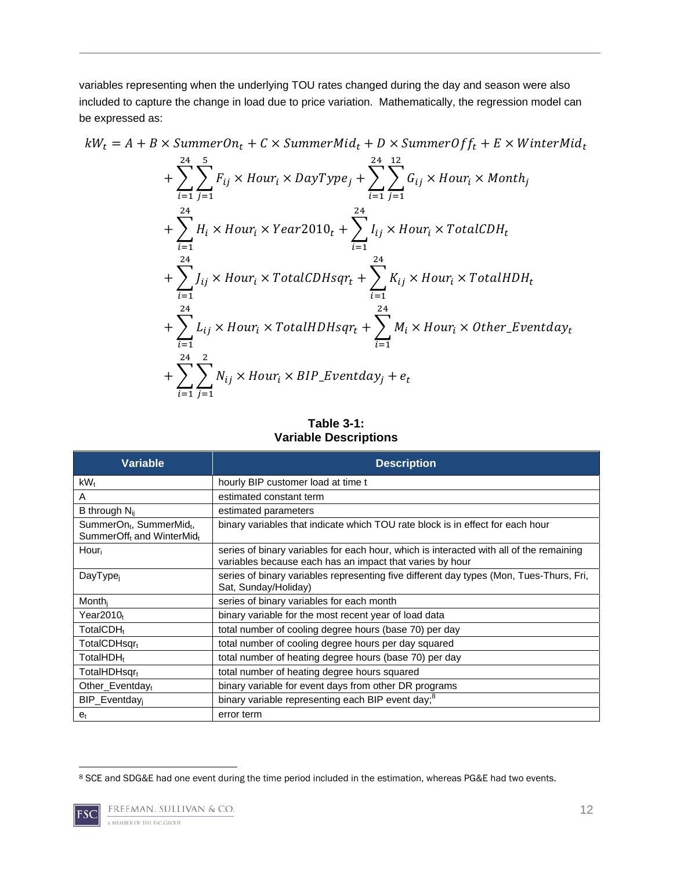variables representing when the underlying TOU rates changed during the day and season were also included to capture the change in load due to price variation. Mathematically, the regression model can be expressed as:

$$
kW_t = A + B \times SummerOn_t + C \times SummerMid_t + D \times SummerOff_t + E \times WinterMid_t
$$

$$
+\sum_{i=1}^{24} \sum_{j=1}^{5} F_{ij} \times Hour_i \times DayType_j + \sum_{i=1}^{24} \sum_{j=1}^{12} G_{ij} \times Hour_i \times Month_j
$$
  
+ 
$$
\sum_{i=1}^{24} H_i \times Hour_i \times Year2010_t + \sum_{i=1}^{24} I_{ij} \times Hour_i \times TotalCDH_t
$$
  
+ 
$$
\sum_{i=1}^{24} J_{ij} \times Hour_i \times TotalCDHsqr_t + \sum_{i=1}^{24} K_{ij} \times Hour_i \times TotalHDH_t
$$
  
+ 
$$
\sum_{i=1}^{24} L_{ij} \times Hour_i \times TotalHDHsqr_t + \sum_{i=1}^{24} M_i \times Hour_i \times Other\_Eventday_t
$$
  
+ 
$$
\sum_{i=1}^{24} \sum_{j=1}^{2} N_{ij} \times Hour_i \times BIP\_Eventday_j + e_t
$$

**Table 3-1: Variable Descriptions** 

| Variable                                                                                  | <b>Description</b>                                                                                                                                  |
|-------------------------------------------------------------------------------------------|-----------------------------------------------------------------------------------------------------------------------------------------------------|
| kW <sub>t</sub>                                                                           | hourly BIP customer load at time t                                                                                                                  |
| A                                                                                         | estimated constant term                                                                                                                             |
| B through $N_{ii}$                                                                        | estimated parameters                                                                                                                                |
| SummerOn <sub>t</sub> , SummerMid <sub>t</sub> ,<br>SummerOff <sub>t</sub> and WinterMidt | binary variables that indicate which TOU rate block is in effect for each hour                                                                      |
| Hour                                                                                      | series of binary variables for each hour, which is interacted with all of the remaining<br>variables because each has an impact that varies by hour |
| DayType <sub>i</sub>                                                                      | series of binary variables representing five different day types (Mon, Tues-Thurs, Fri,<br>Sat, Sunday/Holiday)                                     |
| Month <sub>i</sub>                                                                        | series of binary variables for each month                                                                                                           |
| Year $2010t$                                                                              | binary variable for the most recent year of load data                                                                                               |
| TotalCDH <sub>t</sub>                                                                     | total number of cooling degree hours (base 70) per day                                                                                              |
| TotalCDHsqrt                                                                              | total number of cooling degree hours per day squared                                                                                                |
| TotalHDH <sub>t</sub>                                                                     | total number of heating degree hours (base 70) per day                                                                                              |
| TotalHDHsqr <sub>t</sub>                                                                  | total number of heating degree hours squared                                                                                                        |
| Other Eventdayt                                                                           | binary variable for event days from other DR programs                                                                                               |
| BIP Eventday                                                                              | binary variable representing each BIP event day; <sup>8</sup>                                                                                       |
| $e_t$                                                                                     | error term                                                                                                                                          |

 8 SCE and SDG&E had one event during the time period included in the estimation, whereas PG&E had two events.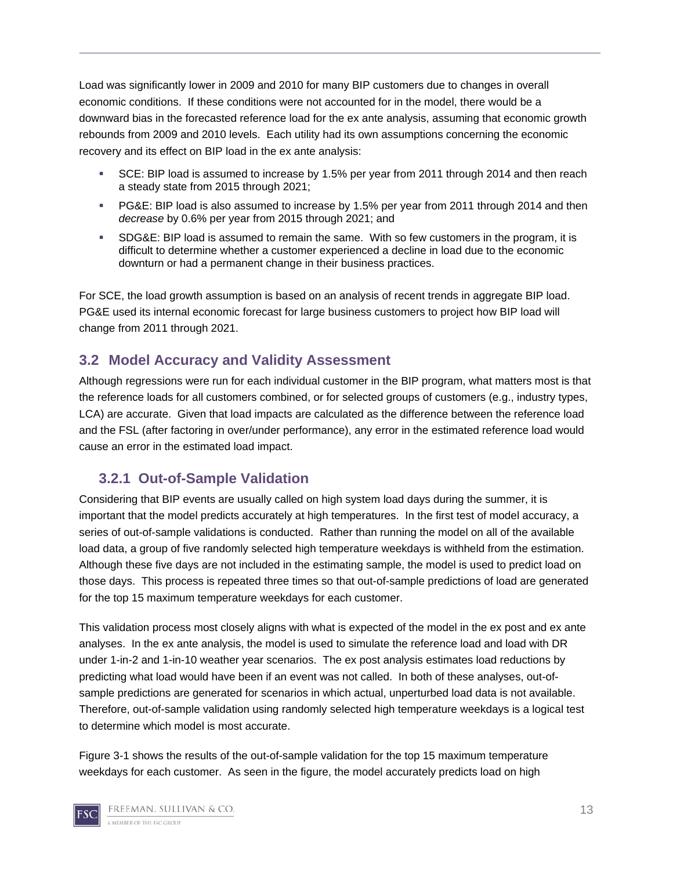Load was significantly lower in 2009 and 2010 for many BIP customers due to changes in overall economic conditions. If these conditions were not accounted for in the model, there would be a downward bias in the forecasted reference load for the ex ante analysis, assuming that economic growth rebounds from 2009 and 2010 levels. Each utility had its own assumptions concerning the economic recovery and its effect on BIP load in the ex ante analysis:

- SCE: BIP load is assumed to increase by 1.5% per year from 2011 through 2014 and then reach a steady state from 2015 through 2021;
- PG&E: BIP load is also assumed to increase by 1.5% per year from 2011 through 2014 and then *decrease* by 0.6% per year from 2015 through 2021; and
- SDG&E: BIP load is assumed to remain the same. With so few customers in the program, it is difficult to determine whether a customer experienced a decline in load due to the economic downturn or had a permanent change in their business practices.

For SCE, the load growth assumption is based on an analysis of recent trends in aggregate BIP load. PG&E used its internal economic forecast for large business customers to project how BIP load will change from 2011 through 2021.

#### **3.2 Model Accuracy and Validity Assessment**

Although regressions were run for each individual customer in the BIP program, what matters most is that the reference loads for all customers combined, or for selected groups of customers (e.g., industry types, LCA) are accurate. Given that load impacts are calculated as the difference between the reference load and the FSL (after factoring in over/under performance), any error in the estimated reference load would cause an error in the estimated load impact.

### **3.2.1 Out-of-Sample Validation**

Considering that BIP events are usually called on high system load days during the summer, it is important that the model predicts accurately at high temperatures. In the first test of model accuracy, a series of out-of-sample validations is conducted. Rather than running the model on all of the available load data, a group of five randomly selected high temperature weekdays is withheld from the estimation. Although these five days are not included in the estimating sample, the model is used to predict load on those days. This process is repeated three times so that out-of-sample predictions of load are generated for the top 15 maximum temperature weekdays for each customer.

This validation process most closely aligns with what is expected of the model in the ex post and ex ante analyses. In the ex ante analysis, the model is used to simulate the reference load and load with DR under 1-in-2 and 1-in-10 weather year scenarios. The ex post analysis estimates load reductions by predicting what load would have been if an event was not called. In both of these analyses, out-ofsample predictions are generated for scenarios in which actual, unperturbed load data is not available. Therefore, out-of-sample validation using randomly selected high temperature weekdays is a logical test to determine which model is most accurate.

Figure 3-1 shows the results of the out-of-sample validation for the top 15 maximum temperature weekdays for each customer. As seen in the figure, the model accurately predicts load on high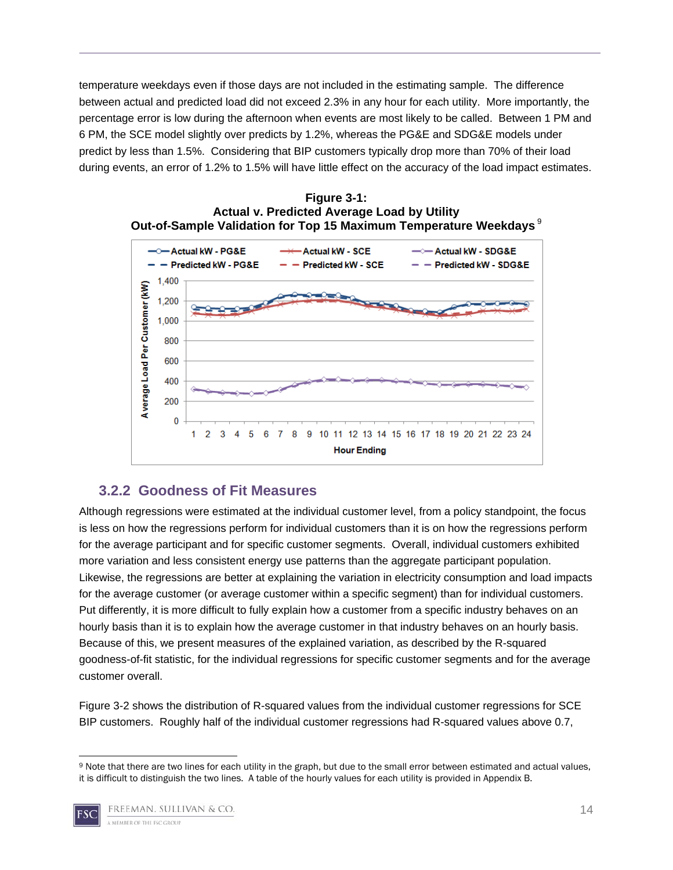temperature weekdays even if those days are not included in the estimating sample. The difference between actual and predicted load did not exceed 2.3% in any hour for each utility. More importantly, the percentage error is low during the afternoon when events are most likely to be called. Between 1 PM and 6 PM, the SCE model slightly over predicts by 1.2%, whereas the PG&E and SDG&E models under predict by less than 1.5%. Considering that BIP customers typically drop more than 70% of their load during events, an error of 1.2% to 1.5% will have little effect on the accuracy of the load impact estimates.





#### **3.2.2 Goodness of Fit Measures**

Although regressions were estimated at the individual customer level, from a policy standpoint, the focus is less on how the regressions perform for individual customers than it is on how the regressions perform for the average participant and for specific customer segments. Overall, individual customers exhibited more variation and less consistent energy use patterns than the aggregate participant population. Likewise, the regressions are better at explaining the variation in electricity consumption and load impacts for the average customer (or average customer within a specific segment) than for individual customers. Put differently, it is more difficult to fully explain how a customer from a specific industry behaves on an hourly basis than it is to explain how the average customer in that industry behaves on an hourly basis. Because of this, we present measures of the explained variation, as described by the R-squared goodness-of-fit statistic, for the individual regressions for specific customer segments and for the average customer overall.

Figure 3-2 shows the distribution of R-squared values from the individual customer regressions for SCE BIP customers. Roughly half of the individual customer regressions had R-squared values above 0.7,

<sup>9</sup> Note that there are two lines for each utility in the graph, but due to the small error between estimated and actual values, it is difficult to distinguish the two lines. A table of the hourly values for each utility is provided in Appendix B.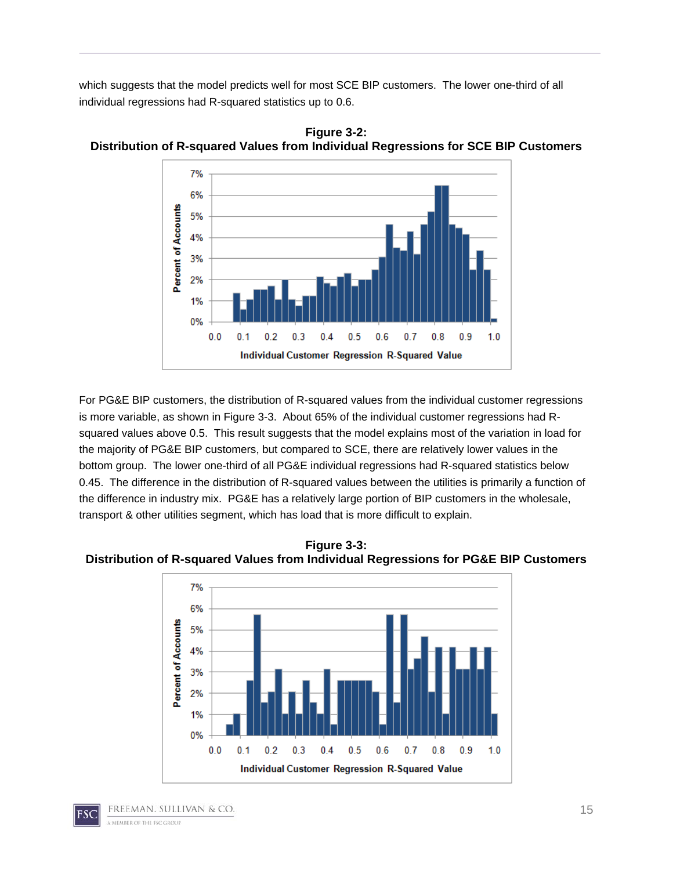which suggests that the model predicts well for most SCE BIP customers. The lower one-third of all individual regressions had R-squared statistics up to 0.6.



**Figure 3-2: Distribution of R-squared Values from Individual Regressions for SCE BIP Customers** 

For PG&E BIP customers, the distribution of R-squared values from the individual customer regressions is more variable, as shown in Figure 3-3. About 65% of the individual customer regressions had Rsquared values above 0.5. This result suggests that the model explains most of the variation in load for the majority of PG&E BIP customers, but compared to SCE, there are relatively lower values in the bottom group. The lower one-third of all PG&E individual regressions had R-squared statistics below 0.45. The difference in the distribution of R-squared values between the utilities is primarily a function of the difference in industry mix. PG&E has a relatively large portion of BIP customers in the wholesale, transport & other utilities segment, which has load that is more difficult to explain.

**Figure 3-3: Distribution of R-squared Values from Individual Regressions for PG&E BIP Customers** 

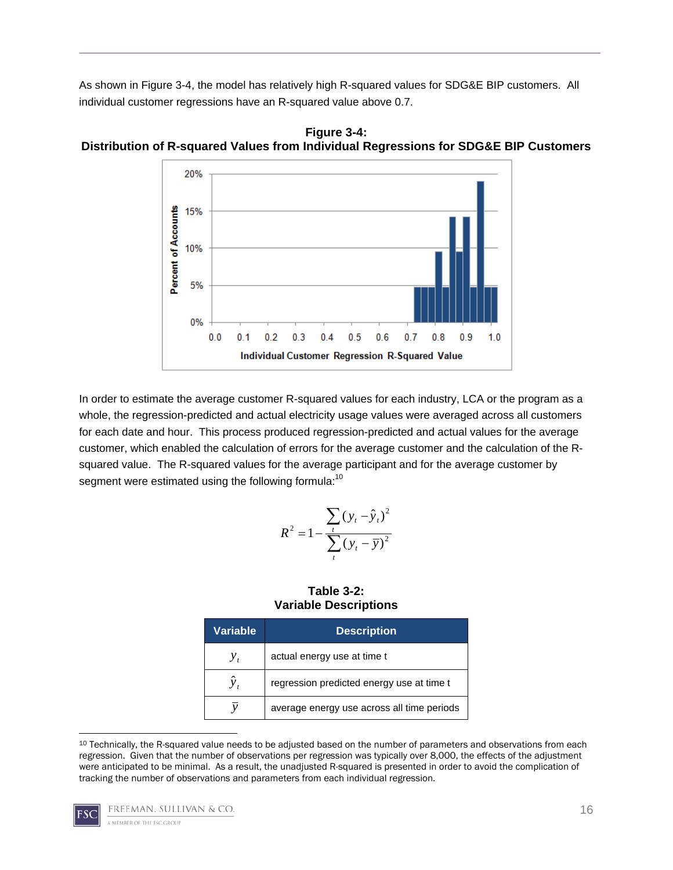As shown in Figure 3-4, the model has relatively high R-squared values for SDG&E BIP customers. All individual customer regressions have an R-squared value above 0.7.



**Figure 3-4: Distribution of R-squared Values from Individual Regressions for SDG&E BIP Customers** 

In order to estimate the average customer R-squared values for each industry, LCA or the program as a whole, the regression-predicted and actual electricity usage values were averaged across all customers for each date and hour. This process produced regression-predicted and actual values for the average customer, which enabled the calculation of errors for the average customer and the calculation of the Rsquared value. The R-squared values for the average participant and for the average customer by segment were estimated using the following formula:<sup>10</sup>

$$
R^{2} = 1 - \frac{\sum_{t} (y_{t} - \hat{y}_{t})^{2}}{\sum_{t} (y_{t} - \overline{y})^{2}}
$$

**Table 3-2: Variable Descriptions** 

| <b>Variable</b> | <b>Description</b>                         |
|-----------------|--------------------------------------------|
| У,              | actual energy use at time t                |
|                 | regression predicted energy use at time t  |
|                 | average energy use across all time periods |

 10 Technically, the R-squared value needs to be adjusted based on the number of parameters and observations from each regression. Given that the number of observations per regression was typically over 8,000, the effects of the adjustment were anticipated to be minimal. As a result, the unadjusted R-squared is presented in order to avoid the complication of tracking the number of observations and parameters from each individual regression.

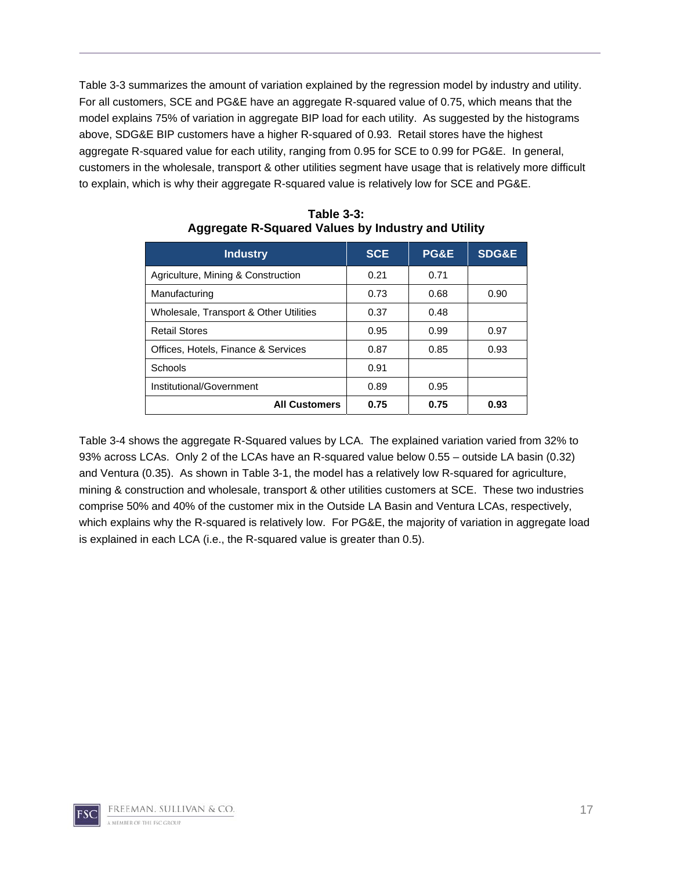Table 3-3 summarizes the amount of variation explained by the regression model by industry and utility. For all customers, SCE and PG&E have an aggregate R-squared value of 0.75, which means that the model explains 75% of variation in aggregate BIP load for each utility. As suggested by the histograms above, SDG&E BIP customers have a higher R-squared of 0.93. Retail stores have the highest aggregate R-squared value for each utility, ranging from 0.95 for SCE to 0.99 for PG&E. In general, customers in the wholesale, transport & other utilities segment have usage that is relatively more difficult to explain, which is why their aggregate R-squared value is relatively low for SCE and PG&E.

| <b>Industry</b>                        | <b>SCE</b> | <b>PG&amp;E</b> | <b>SDG&amp;E</b> |
|----------------------------------------|------------|-----------------|------------------|
| Agriculture, Mining & Construction     | 0.21       | 0.71            |                  |
| Manufacturing                          | 0.73       | 0.68            | 0.90             |
| Wholesale, Transport & Other Utilities | 0.37       | 0.48            |                  |
| <b>Retail Stores</b>                   | 0.95       | 0.99            | 0.97             |
| Offices, Hotels, Finance & Services    | 0.87       | 0.85            | 0.93             |
| Schools                                | 0.91       |                 |                  |
| Institutional/Government               | 0.89       | 0.95            |                  |
| <b>All Customers</b>                   | 0.75       | 0.75            | 0.93             |

**Table 3-3: Aggregate R-Squared Values by Industry and Utility** 

Table 3-4 shows the aggregate R-Squared values by LCA. The explained variation varied from 32% to 93% across LCAs. Only 2 of the LCAs have an R-squared value below 0.55 – outside LA basin (0.32) and Ventura (0.35). As shown in Table 3-1, the model has a relatively low R-squared for agriculture, mining & construction and wholesale, transport & other utilities customers at SCE. These two industries comprise 50% and 40% of the customer mix in the Outside LA Basin and Ventura LCAs, respectively, which explains why the R-squared is relatively low. For PG&E, the majority of variation in aggregate load is explained in each LCA (i.e., the R-squared value is greater than 0.5).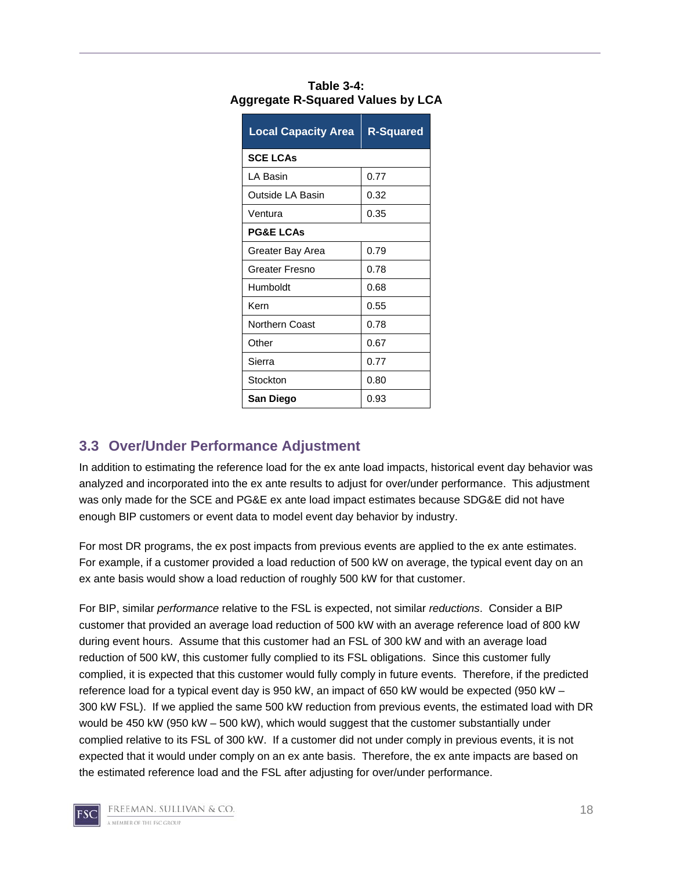| <b>Local Capacity Area</b> | <b>R-Squared</b> |
|----------------------------|------------------|
| <b>SCE LCAs</b>            |                  |
| I A Basin                  | 0.77             |
| Outside LA Basin           | 0.32             |
| Ventura                    | 0.35             |
| <b>PG&amp;E LCAs</b>       |                  |
| Greater Bay Area           | 0.79             |
| Greater Fresno             | 0.78             |
| Humboldt                   | 0.68             |
| Kern                       | 0.55             |
| <b>Northern Coast</b>      | 0.78             |
| Other                      | 0.67             |
| Sierra                     | 0.77             |
| Stockton                   | 0.80             |
| San Diego                  | 0.93             |

| Table 3-4:                               |  |
|------------------------------------------|--|
| <b>Aggregate R-Squared Values by LCA</b> |  |

#### **3.3 Over/Under Performance Adjustment**

In addition to estimating the reference load for the ex ante load impacts, historical event day behavior was analyzed and incorporated into the ex ante results to adjust for over/under performance. This adjustment was only made for the SCE and PG&E ex ante load impact estimates because SDG&E did not have enough BIP customers or event data to model event day behavior by industry.

For most DR programs, the ex post impacts from previous events are applied to the ex ante estimates. For example, if a customer provided a load reduction of 500 kW on average, the typical event day on an ex ante basis would show a load reduction of roughly 500 kW for that customer.

For BIP, similar *performance* relative to the FSL is expected, not similar *reductions*. Consider a BIP customer that provided an average load reduction of 500 kW with an average reference load of 800 kW during event hours. Assume that this customer had an FSL of 300 kW and with an average load reduction of 500 kW, this customer fully complied to its FSL obligations. Since this customer fully complied, it is expected that this customer would fully comply in future events. Therefore, if the predicted reference load for a typical event day is 950 kW, an impact of 650 kW would be expected (950 kW – 300 kW FSL). If we applied the same 500 kW reduction from previous events, the estimated load with DR would be 450 kW (950 kW – 500 kW), which would suggest that the customer substantially under complied relative to its FSL of 300 kW. If a customer did not under comply in previous events, it is not expected that it would under comply on an ex ante basis. Therefore, the ex ante impacts are based on the estimated reference load and the FSL after adjusting for over/under performance.

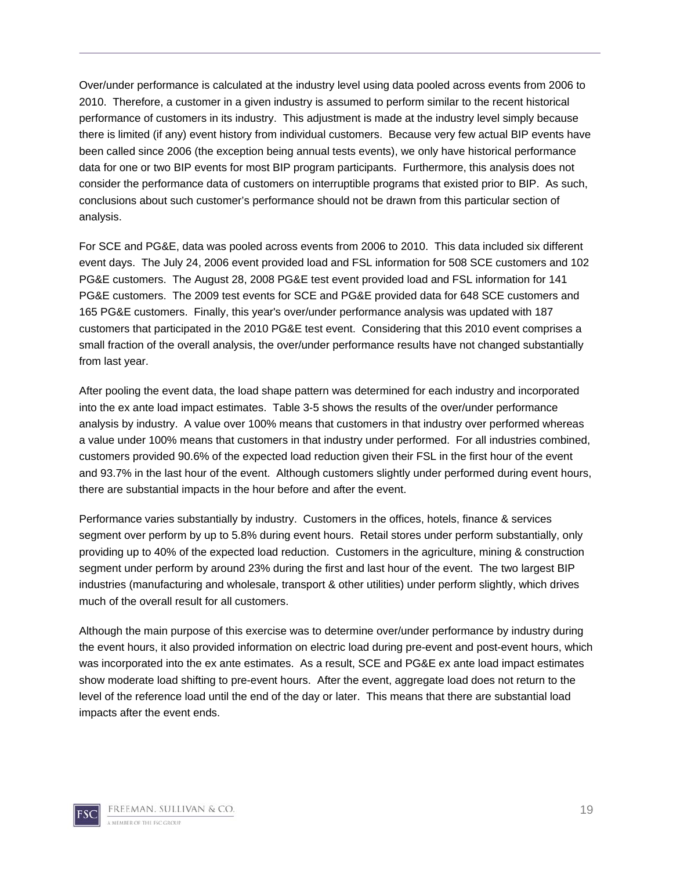Over/under performance is calculated at the industry level using data pooled across events from 2006 to 2010. Therefore, a customer in a given industry is assumed to perform similar to the recent historical performance of customers in its industry. This adjustment is made at the industry level simply because there is limited (if any) event history from individual customers. Because very few actual BIP events have been called since 2006 (the exception being annual tests events), we only have historical performance data for one or two BIP events for most BIP program participants. Furthermore, this analysis does not consider the performance data of customers on interruptible programs that existed prior to BIP. As such, conclusions about such customer's performance should not be drawn from this particular section of analysis.

For SCE and PG&E, data was pooled across events from 2006 to 2010. This data included six different event days. The July 24, 2006 event provided load and FSL information for 508 SCE customers and 102 PG&E customers. The August 28, 2008 PG&E test event provided load and FSL information for 141 PG&E customers. The 2009 test events for SCE and PG&E provided data for 648 SCE customers and 165 PG&E customers. Finally, this year's over/under performance analysis was updated with 187 customers that participated in the 2010 PG&E test event. Considering that this 2010 event comprises a small fraction of the overall analysis, the over/under performance results have not changed substantially from last year.

After pooling the event data, the load shape pattern was determined for each industry and incorporated into the ex ante load impact estimates. Table 3-5 shows the results of the over/under performance analysis by industry. A value over 100% means that customers in that industry over performed whereas a value under 100% means that customers in that industry under performed. For all industries combined, customers provided 90.6% of the expected load reduction given their FSL in the first hour of the event and 93.7% in the last hour of the event. Although customers slightly under performed during event hours, there are substantial impacts in the hour before and after the event.

Performance varies substantially by industry. Customers in the offices, hotels, finance & services segment over perform by up to 5.8% during event hours. Retail stores under perform substantially, only providing up to 40% of the expected load reduction. Customers in the agriculture, mining & construction segment under perform by around 23% during the first and last hour of the event. The two largest BIP industries (manufacturing and wholesale, transport & other utilities) under perform slightly, which drives much of the overall result for all customers.

Although the main purpose of this exercise was to determine over/under performance by industry during the event hours, it also provided information on electric load during pre-event and post-event hours, which was incorporated into the ex ante estimates. As a result, SCE and PG&E ex ante load impact estimates show moderate load shifting to pre-event hours. After the event, aggregate load does not return to the level of the reference load until the end of the day or later. This means that there are substantial load impacts after the event ends.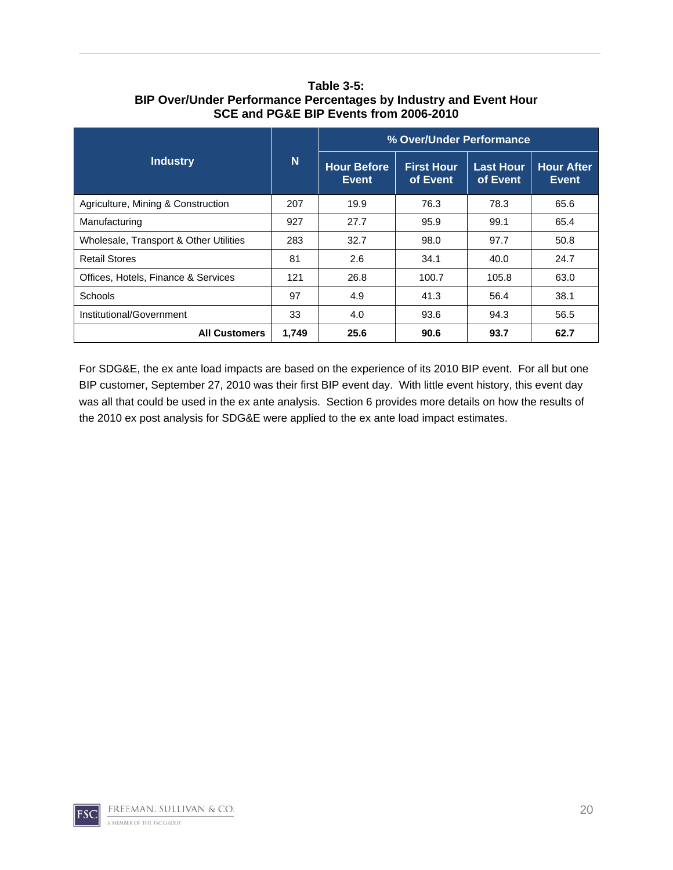**SCE and PG&E BIP Events from 2006-2010 Industry** N **% Over/Under Performance Hour Before Event First Hour of Event Last Hour of Event Hour After Event**  Agriculture, Mining & Construction 207 19.9 76.3 78.3 65.6 Manufacturing 1927 | 27.7 | 95.9 | 99.1 | 65.4 Wholesale, Transport & Other Utilities | 283 | 32.7 | 98.0 | 97.7 | 50.8 Retail Stores 81 2.6 34.1 40.0 24.7 Offices, Hotels, Finance & Services | 121 | 26.8 | 100.7 | 105.8 | 63.0

# **Table 3-5: BIP Over/Under Performance Percentages by Industry and Event Hour**

For SDG&E, the ex ante load impacts are based on the experience of its 2010 BIP event. For all but one BIP customer, September 27, 2010 was their first BIP event day. With little event history, this event day was all that could be used in the ex ante analysis. Section 6 provides more details on how the results of the 2010 ex post analysis for SDG&E were applied to the ex ante load impact estimates.

All Customers | 1,749 | 25.6 | 90.6 | 93.7 | 62.7

Schools 97 4.9 41.3 56.4 38.1 Institutional/Government 33 4.0 93.6 94.3 56.5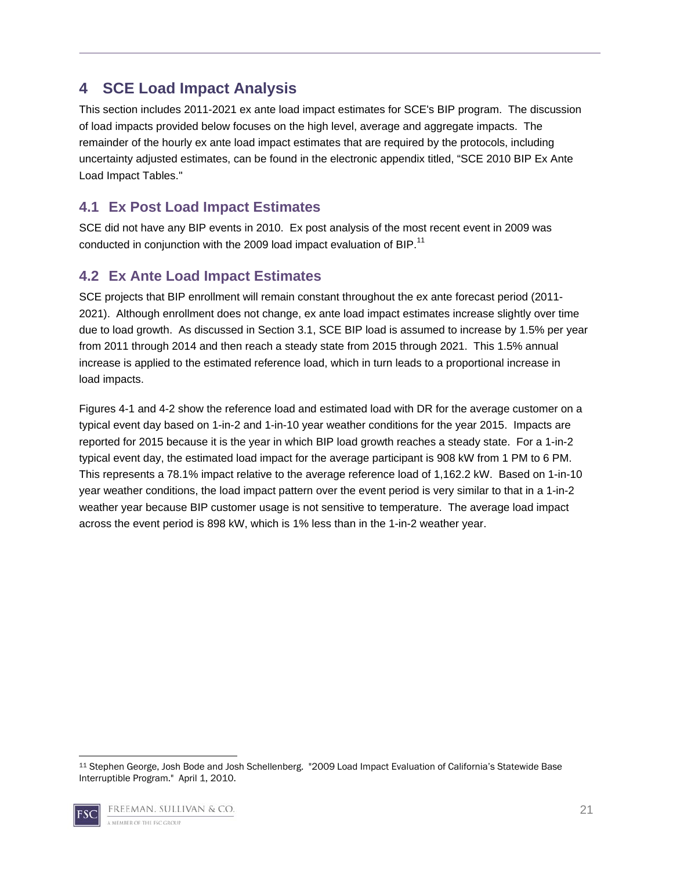# **4 SCE Load Impact Analysis**

This section includes 2011-2021 ex ante load impact estimates for SCE's BIP program. The discussion of load impacts provided below focuses on the high level, average and aggregate impacts. The remainder of the hourly ex ante load impact estimates that are required by the protocols, including uncertainty adjusted estimates, can be found in the electronic appendix titled, "SCE 2010 BIP Ex Ante Load Impact Tables."

## **4.1 Ex Post Load Impact Estimates**

SCE did not have any BIP events in 2010. Ex post analysis of the most recent event in 2009 was conducted in conjunction with the 2009 load impact evaluation of BIP.<sup>11</sup>

## **4.2 Ex Ante Load Impact Estimates**

SCE projects that BIP enrollment will remain constant throughout the ex ante forecast period (2011- 2021). Although enrollment does not change, ex ante load impact estimates increase slightly over time due to load growth. As discussed in Section 3.1, SCE BIP load is assumed to increase by 1.5% per year from 2011 through 2014 and then reach a steady state from 2015 through 2021. This 1.5% annual increase is applied to the estimated reference load, which in turn leads to a proportional increase in load impacts.

Figures 4-1 and 4-2 show the reference load and estimated load with DR for the average customer on a typical event day based on 1-in-2 and 1-in-10 year weather conditions for the year 2015. Impacts are reported for 2015 because it is the year in which BIP load growth reaches a steady state. For a 1-in-2 typical event day, the estimated load impact for the average participant is 908 kW from 1 PM to 6 PM. This represents a 78.1% impact relative to the average reference load of 1,162.2 kW. Based on 1-in-10 year weather conditions, the load impact pattern over the event period is very similar to that in a 1-in-2 weather year because BIP customer usage is not sensitive to temperature. The average load impact across the event period is 898 kW, which is 1% less than in the 1-in-2 weather year.

 11 Stephen George, Josh Bode and Josh Schellenberg. "2009 Load Impact Evaluation of California's Statewide Base Interruptible Program." April 1, 2010.

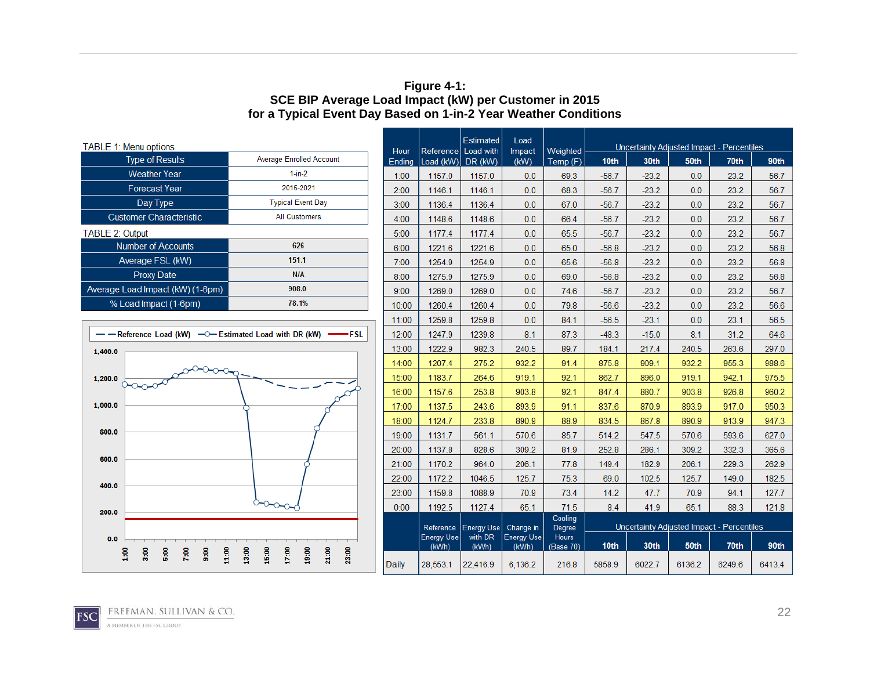#### **Figure 4-1: SCE BIP Average Load Impact (kW) per Customer in 2015 for a Typical Event Day Based on 1-in-2 Year Weather Conditions**

| <b>TABLE 1: Menu options</b> |                                                                             | Hour                                               |           | Estimated<br>Reference Load with | Load<br>Impact   | Weighted                   | Uncertainty Adjusted Impact - Percentiles |                                   |         |                                           |        |        |
|------------------------------|-----------------------------------------------------------------------------|----------------------------------------------------|-----------|----------------------------------|------------------|----------------------------|-------------------------------------------|-----------------------------------|---------|-------------------------------------------|--------|--------|
|                              | <b>Type of Results</b>                                                      | Average Enrolled Account                           | Ending    | Load (kW)                        | DR (kW)          | (KW)                       | Temp (F)                                  | 10 <sub>th</sub>                  | 30th    | 50th                                      | 70th   | 90th   |
|                              | <b>Weather Year</b>                                                         | $1-in-2$                                           | 1:00      | 1157.0                           | 1157.0           | 0.0                        | 69.3                                      | $-56.7$                           | $-23.2$ | 0.0                                       | 23.2   | 56.7   |
|                              | <b>Forecast Year</b>                                                        | 2015-2021                                          | 2:00      | 1146.1                           | 1146.1           | 0.0                        | 68.3                                      | $-56.7$                           | $-23.2$ | 0.0                                       | 23.2   | 56.7   |
|                              | Day Type                                                                    | <b>Typical Event Day</b>                           | 3:00      | 1136.4                           | 1136.4           | 0.0                        | 67.0                                      | $-56.7$                           | $-23.2$ | 0.0                                       | 23.2   | 56.7   |
|                              | <b>Customer Characteristic</b>                                              | <b>All Customers</b>                               | 4:00      | 1148.6                           | 1148.6           | 0.0                        | 66.4                                      | $-56.7$                           | $-23.2$ | 0.0                                       | 23.2   | 56.7   |
| <b>TABLE 2: Output</b>       |                                                                             |                                                    | 5:00      | 1177.4                           | 1177.4           | 0.0                        | 65.5                                      | $-56.7$                           | $-23.2$ | 0.0                                       | 23.2   | 56.7   |
|                              | <b>Number of Accounts</b>                                                   | 626                                                | 6:00      | 1221.6                           | 1221.6           | 0.0                        | 65.0                                      | $-56.8$                           | $-23.2$ | 0.0                                       | 23.2   | 56.8   |
|                              | Average FSL (kW)                                                            | 151.1                                              | 7:00      | 1254.9                           | 1254.9           | 0.0                        | 65.6                                      | $-56.8$                           | $-23.2$ | 0.0                                       | 23.2   | 56.8   |
|                              | <b>Proxy Date</b>                                                           | <b>N/A</b>                                         | 8:00      | 1275.9                           | 1275.9           | 0.0                        | 69.0                                      | $-56.8$                           | $-23.2$ | 0.0                                       | 23.2   | 56.8   |
|                              | Average Load Impact (kW) (1-6pm)                                            | 908.0                                              | 9:00      | 1269.0                           | 1269.0           | 0.0                        | 74.6                                      | $-56.7$                           | $-23.2$ | 0.0                                       | 23.2   | 56.7   |
|                              | % Load Impact (1-6pm)                                                       | 78.1%                                              | 10:00     | 1260.4                           | 1260.4           | 0.0                        | 79.8                                      | $-56.6$                           | $-23.2$ | 0.0                                       | 23.2   | 56.6   |
|                              |                                                                             |                                                    | 11:00     | 1259.8                           | 1259.8           | 0.0                        | 84.1                                      | $-56.5$                           | $-23.1$ | 0.0                                       | 23.1   | 56.5   |
|                              | - - Reference Load (kW) - - Estimated Load with DR (kW)                     | -FSL                                               | 12:00     | 1247.9                           | 1239.8           | 8.1                        | 87.3                                      | 8.1<br>31.2<br>$-48.3$<br>$-15.0$ |         |                                           | 64.6   |        |
| 1,400.0                      |                                                                             |                                                    | 13:00     | 1222.9                           | 982.3            | 240.5                      | 89.7                                      | 184.1                             | 217.4   | 240.5                                     | 263.6  | 297.0  |
|                              |                                                                             |                                                    | 14:00     | 1207.4                           | 275.2            | 932.2                      | 91.4                                      | 875.8                             | 909.1   | 932.2                                     | 955.3  | 988.6  |
| 1,200.0                      |                                                                             |                                                    | 15:00     | 1183.7                           | 264.6            | 919.1                      | 92.1                                      | 862.7                             | 896.0   | 919.1                                     | 942.1  | 975.5  |
|                              |                                                                             |                                                    | 16:00     | 1157.6                           | 253.8            | 903.8                      | 92.1                                      | 847.4                             | 880.7   | 903.8                                     | 926.8  | 960.2  |
| 1,000.0                      |                                                                             |                                                    | 17:00     | 1137.5                           | 243.6            | 893.9                      | 91.1                                      | 837.6                             | 870.9   | 893.9                                     | 917.0  | 950.3  |
|                              |                                                                             |                                                    | 18:00     | 1124.7                           | 233.8            | 890.9                      | 88.9                                      | 834.5                             | 867.8   | 890.9                                     | 913.9  | 947.3  |
| 800.0                        |                                                                             |                                                    | 19:00     | 1131.7                           | 561.1            | 570.6                      | 85.7                                      | 514.2                             | 547.5   | 570.6                                     | 593.6  | 627.0  |
|                              |                                                                             |                                                    | 20:00     | 1137.8                           | 828.6            | 309.2                      | 81.9                                      | 252.8                             | 286.1   | 309.2                                     | 332.3  | 365.6  |
| 600.0                        |                                                                             |                                                    | 21:00     | 1170.2                           | 964.0            | 206.1                      | 77.8                                      | 149.4                             | 182.9   | 206.1                                     | 229.3  | 262.9  |
| 400.0                        |                                                                             |                                                    | 22:00     | 1172.2                           | 1046.5           | 125.7                      | 75.3                                      | 69.0                              | 102.5   | 125.7                                     | 149.0  | 182.5  |
|                              |                                                                             |                                                    | 23:00     | 1159.8                           | 1088.9           | 70.9                       | 73.4                                      | 14.2                              | 47.7    | 70.9                                      | 94.1   | 127.7  |
| 200.0                        |                                                                             |                                                    | 0:00      | 1192.5                           | 1127.4           | 65.1                       | 71.5                                      | 8.4                               | 41.9    | 65.1                                      | 88.3   | 121.8  |
|                              |                                                                             |                                                    | Reference | Energy Use                       | Change in        | Cooling<br>Degree          |                                           |                                   |         | Uncertainty Adjusted Impact - Percentiles |        |        |
| 0.0                          |                                                                             |                                                    |           | <b>Energy Use</b><br>(kWh)       | with DR<br>(kWh) | <b>Energy Use</b><br>(kWh) | <b>Hours</b><br>(Base 70)                 | 10 <sub>th</sub>                  | 30th    | 50th                                      | 70th   | 90th   |
|                              | 11.00<br>3:00<br>$\frac{6}{5}$<br>7:00<br>$\frac{6}{3}$<br>$\frac{6}{1100}$ | 13:00<br>15:00<br>17:00<br>19:00<br>21:00<br>23:00 | Daily     | 28,553.1                         | 22,416.9         | 6,136.2                    | 216.8                                     | 5858.9                            | 6022.7  | 6136.2                                    | 6249.6 | 6413.4 |

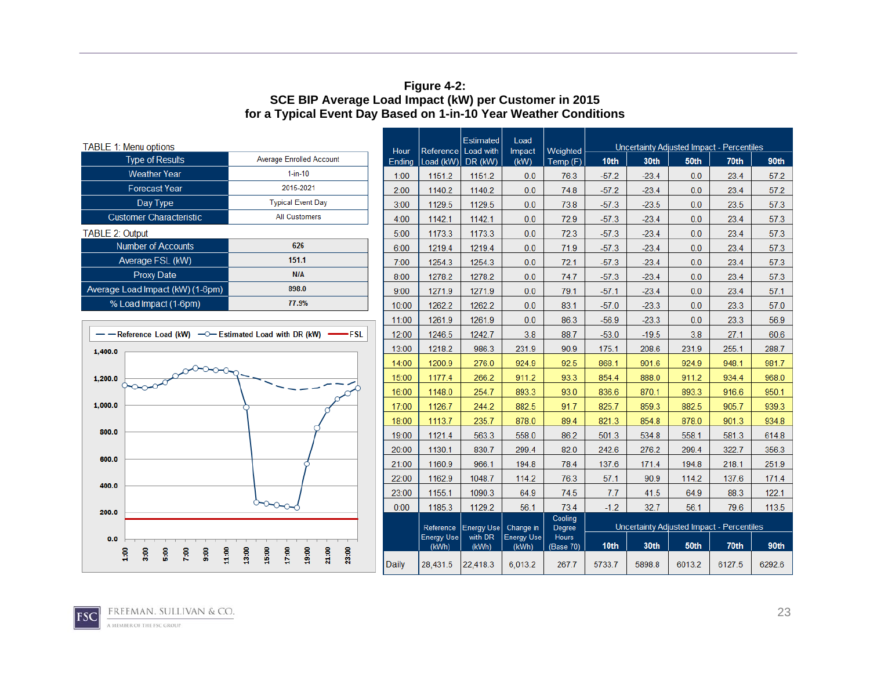#### **Figure 4-2: SCE BIP Average Load Impact (kW) per Customer in 2015 for a Typical Event Day Based on 1-in-10 Year Weather Conditions**

| <b>TABLE 1: Menu options</b>                                               |                                                    | Hour         | Reference         | Estimated<br>Load with | Load<br>Impact | Weighted          |                                   |         |        | Uncertainty Adjusted Impact - Percentiles |   |
|----------------------------------------------------------------------------|----------------------------------------------------|--------------|-------------------|------------------------|----------------|-------------------|-----------------------------------|---------|--------|-------------------------------------------|---|
| <b>Type of Results</b>                                                     | Average Enrolled Account                           | Ending       | Load (kW)         | DR (kW)                | (KW)           | Temp (F)          | 10th                              | 30th    | 50th   | 70th                                      |   |
| <b>Weather Year</b>                                                        | $1-in-10$                                          | 1:00         | 1151.2            | 1151.2                 | 0.0            | 76.3              | $-57.2$                           | $-23.4$ | 0.0    | 23.4                                      |   |
| <b>Forecast Year</b>                                                       | 2015-2021                                          | 2:00         | 1140.2            | 1140.2                 | 0.0            | 74.8              | $-57.2$                           | $-23.4$ | 0.0    | 23.4                                      |   |
| Day Type                                                                   | <b>Typical Event Day</b>                           | 3:00         | 1129.5            | 1129.5                 | 0.0            | 73.8              | $-57.3$                           | $-23.5$ | 0.0    | 23.5                                      |   |
| <b>Customer Characteristic</b>                                             | <b>All Customers</b>                               | 4:00         | 1142.1            | 1142.1                 | 0.0            | 72.9              | $-57.3$                           | $-23.4$ | 0.0    | 23.4                                      |   |
| <b>TABLE 2: Output</b>                                                     |                                                    | 5:00         | 1173.3            | 1173.3                 | 0.0            | 72.3              | $-57.3$                           | $-23.4$ | 0.0    | 23.4                                      |   |
| <b>Number of Accounts</b>                                                  | 626                                                | 6:00         | 1219.4            | 1219.4                 | 0.0            | 71.9              | $-57.3$                           | $-23.4$ | 0.0    | 23.4                                      |   |
| Average FSL (kW)                                                           | 151.1                                              | 7:00         | 1254.3            | 1254.3                 | 0.0            | 72.1              | $-57.3$                           | $-23.4$ | 0.0    | 23.4                                      |   |
| <b>Proxy Date</b>                                                          | N/A                                                | 8:00         | 1278.2            | 1278.2                 | 0.0            | 74.7              | $-57.3$                           | $-23.4$ | 0.0    | 23.4                                      |   |
| Average Load Impact (kW) (1-6pm)                                           | 898.0                                              | 9:00         | 1271.9            | 1271.9                 | 0.0            | 79.1              | $-57.1$                           | $-23.4$ | 0.0    | 23.4                                      |   |
| % Load Impact (1-6pm)                                                      | 77.9%                                              | 10:00        | 1262.2            | 1262.2                 | 0.0            | 83.1              | $-57.0$                           | $-23.3$ | 0.0    | 23.3                                      |   |
|                                                                            |                                                    | 11:00        | 1261.9            | 1261.9                 | 0.0            | 86.3              | $-56.9$                           | $-23.3$ | 0.0    | 23.3                                      |   |
| - - Reference Load (kW) - - Estimated Load with DR (kW)                    | ∙FSL.                                              | 12:00        | 1246.5            | 1242.7                 | 3.8            | 88.7              | $-53.0$<br>3.8<br>27.1<br>$-19.5$ |         |        |                                           |   |
| 1,400.0                                                                    |                                                    | 13:00        | 1218.2            | 986.3                  | 231.9          | 90.9              | 175.1                             | 208.6   | 231.9  | 255.1                                     |   |
|                                                                            |                                                    | 14:00        | 1200.9            | 276.0                  | 924.9          | 92.5              | 868.1                             | 901.6   | 924.9  | 948.1                                     |   |
| 1,200.0                                                                    |                                                    | 15:00        | 1177.4            | 266.2                  | 911.2          | 93.3              | 854.4                             | 888.0   | 911.2  | 934.4                                     |   |
|                                                                            |                                                    | 16:00        | 1148.0            | 254.7                  | 893.3          | 93.0              | 836.6                             | 870.1   | 893.3  | 916.6                                     |   |
| 1,000.0                                                                    |                                                    | 17:00        | 1126.7            | 244.2                  | 882.5          | 91.7              | 825.7                             | 859.3   | 882.5  | 905.7                                     |   |
|                                                                            |                                                    | 18:00        | 1113.7            | 235.7                  | 878.0          | 89.4              | 821.3                             | 854.8   | 878.0  | 901.3                                     |   |
| 800.0                                                                      |                                                    | 19:00        | 1121.4            | 563.3                  | 558.0          | 86.2              | 501.3                             | 534.8   | 558.1  | 581.3                                     |   |
|                                                                            |                                                    | 20:00        | 1130.1            | 830.7                  | 299.4          | 82.0              | 242.6                             | 276.2   | 299.4  | 322.7                                     |   |
| 600.0                                                                      |                                                    | 21:00        | 1160.9            | 966.1                  | 194.8          | 78.4              | 137.6                             | 171.4   | 194.8  | 218.1                                     |   |
|                                                                            |                                                    | 22:00        | 1162.9            | 1048.7                 | 114.2          | 76.3              | 57.1                              | 90.9    | 114.2  | 137.6                                     |   |
| 400.0                                                                      |                                                    | 23:00        | 1155.1            | 1090.3                 | 64.9           | 74.5              | 7.7                               | 41.5    | 64.9   | 88.3                                      |   |
| 200.0                                                                      |                                                    | 0:00         | 1185.3            | 1129.2                 | 56.1           | 73.4              | $-1.2$                            | 32.7    | 56.1   | 79.6                                      |   |
|                                                                            |                                                    |              | Reference         | <b>Energy Use</b>      | Change in      | Cooling<br>Degree |                                   |         |        | Uncertainty Adjusted Impact - Percentiles |   |
| 0.0                                                                        |                                                    |              | <b>Energy Use</b> | with DR                | Energy Use     | <b>Hours</b>      |                                   |         |        |                                           |   |
| 11.00<br>$\frac{6}{100}$<br>$\frac{6}{5}$<br>7:00<br>3:00<br>$\frac{6}{3}$ | 21.00<br>13:00<br>15:00<br>17:00<br>19:00<br>23:00 |              | (kWh)             | (kWh)                  | (kWh)          | (Base 70)         | 10th                              | 30th    | 50th   | 70th                                      |   |
|                                                                            |                                                    | <b>Daily</b> | 28,431.5          | 22,418.3               | 6,013.2        | 267.7             | 5733.7                            | 5898.8  | 6013.2 | 6127.5                                    | 6 |
|                                                                            |                                                    |              |                   |                        |                |                   |                                   |         |        |                                           |   |



90th 6292.6

90th  $57.2$  $57.2$ 57.3 57.3 57.3 57.3 57.3 57.3  $57.1$ 57.0 56.9 60.6 288.7 981.7 968.0 950.1 939.3 934.8 614.8 356.3 251.9 171.4  $122.1$ 113.5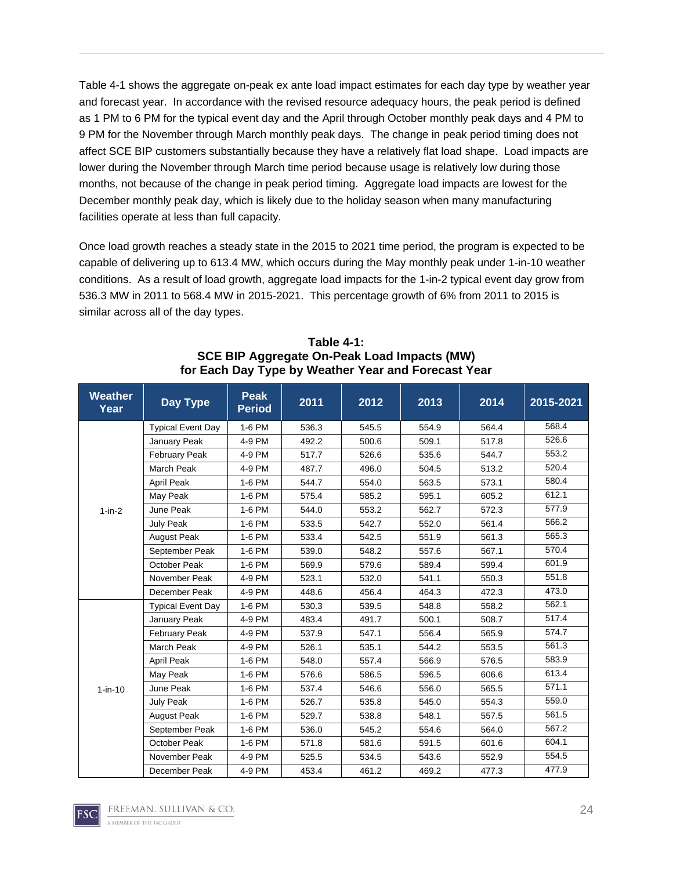Table 4-1 shows the aggregate on-peak ex ante load impact estimates for each day type by weather year and forecast year. In accordance with the revised resource adequacy hours, the peak period is defined as 1 PM to 6 PM for the typical event day and the April through October monthly peak days and 4 PM to 9 PM for the November through March monthly peak days. The change in peak period timing does not affect SCE BIP customers substantially because they have a relatively flat load shape. Load impacts are lower during the November through March time period because usage is relatively low during those months, not because of the change in peak period timing. Aggregate load impacts are lowest for the December monthly peak day, which is likely due to the holiday season when many manufacturing facilities operate at less than full capacity.

Once load growth reaches a steady state in the 2015 to 2021 time period, the program is expected to be capable of delivering up to 613.4 MW, which occurs during the May monthly peak under 1-in-10 weather conditions. As a result of load growth, aggregate load impacts for the 1-in-2 typical event day grow from 536.3 MW in 2011 to 568.4 MW in 2015-2021. This percentage growth of 6% from 2011 to 2015 is similar across all of the day types.

| <b>Weather</b><br>Year | <b>Day Type</b>          | <b>Peak</b><br><b>Period</b> | 2011  | 2012  | 2013  | 2014  | 2015-2021 |
|------------------------|--------------------------|------------------------------|-------|-------|-------|-------|-----------|
|                        | <b>Typical Event Day</b> | 1-6 PM                       | 536.3 | 545.5 | 554.9 | 564.4 | 568.4     |
|                        | January Peak             | 4-9 PM                       | 492.2 | 500.6 | 509.1 | 517.8 | 526.6     |
|                        | <b>February Peak</b>     | 4-9 PM                       | 517.7 | 526.6 | 535.6 | 544.7 | 553.2     |
|                        | March Peak               | 4-9 PM                       | 487.7 | 496.0 | 504.5 | 513.2 | 520.4     |
|                        | April Peak               | 1-6 PM                       | 544.7 | 554.0 | 563.5 | 573.1 | 580.4     |
|                        | May Peak                 | 1-6 PM                       | 575.4 | 585.2 | 595.1 | 605.2 | 612.1     |
| $1-in-2$               | June Peak                | 1-6 PM                       | 544.0 | 553.2 | 562.7 | 572.3 | 577.9     |
|                        | July Peak                | 1-6 PM                       | 533.5 | 542.7 | 552.0 | 561.4 | 566.2     |
|                        | <b>August Peak</b>       | 1-6 PM                       | 533.4 | 542.5 | 551.9 | 561.3 | 565.3     |
|                        | September Peak           | 1-6 PM                       | 539.0 | 548.2 | 557.6 | 567.1 | 570.4     |
|                        | October Peak             | 1-6 PM                       | 569.9 | 579.6 | 589.4 | 599.4 | 601.9     |
|                        | November Peak            | 4-9 PM                       | 523.1 | 532.0 | 541.1 | 550.3 | 551.8     |
|                        | December Peak            | 4-9 PM                       | 448.6 | 456.4 | 464.3 | 472.3 | 473.0     |
|                        | <b>Typical Event Day</b> | 1-6 PM                       | 530.3 | 539.5 | 548.8 | 558.2 | 562.1     |
|                        | January Peak             | 4-9 PM                       | 483.4 | 491.7 | 500.1 | 508.7 | 517.4     |
|                        | <b>February Peak</b>     | 4-9 PM                       | 537.9 | 547.1 | 556.4 | 565.9 | 574.7     |
|                        | <b>March Peak</b>        | 4-9 PM                       | 526.1 | 535.1 | 544.2 | 553.5 | 561.3     |
|                        | April Peak               | 1-6 PM                       | 548.0 | 557.4 | 566.9 | 576.5 | 583.9     |
|                        | May Peak                 | 1-6 PM                       | 576.6 | 586.5 | 596.5 | 606.6 | 613.4     |
| $1 - in - 10$          | June Peak                | 1-6 PM                       | 537.4 | 546.6 | 556.0 | 565.5 | 571.1     |
|                        | July Peak                | 1-6 PM                       | 526.7 | 535.8 | 545.0 | 554.3 | 559.0     |
|                        | <b>August Peak</b>       | 1-6 PM                       | 529.7 | 538.8 | 548.1 | 557.5 | 561.5     |
|                        | September Peak           | 1-6 PM                       | 536.0 | 545.2 | 554.6 | 564.0 | 567.2     |
|                        | October Peak             | 1-6 PM                       | 571.8 | 581.6 | 591.5 | 601.6 | 604.1     |
|                        | November Peak            | 4-9 PM                       | 525.5 | 534.5 | 543.6 | 552.9 | 554.5     |
|                        | December Peak            | 4-9 PM                       | 453.4 | 461.2 | 469.2 | 477.3 | 477.9     |

| Table 4-1:                                          |
|-----------------------------------------------------|
| SCE BIP Aggregate On-Peak Load Impacts (MW)         |
| for Each Day Type by Weather Year and Forecast Year |

FREEMAN. SULLIVAN & CO.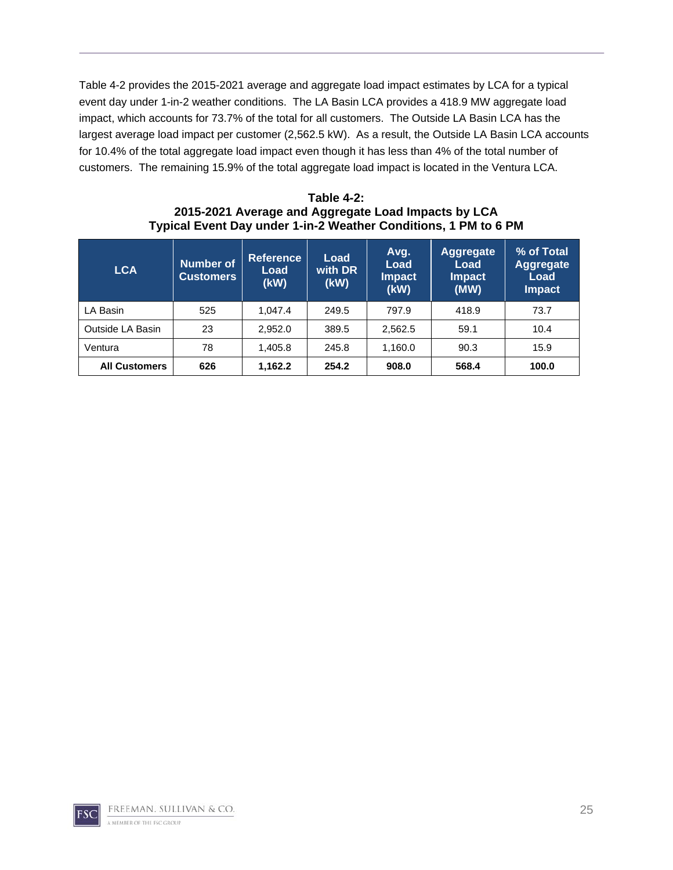Table 4-2 provides the 2015-2021 average and aggregate load impact estimates by LCA for a typical event day under 1-in-2 weather conditions. The LA Basin LCA provides a 418.9 MW aggregate load impact, which accounts for 73.7% of the total for all customers. The Outside LA Basin LCA has the largest average load impact per customer (2,562.5 kW). As a result, the Outside LA Basin LCA accounts for 10.4% of the total aggregate load impact even though it has less than 4% of the total number of customers. The remaining 15.9% of the total aggregate load impact is located in the Ventura LCA.

| Table 4-2:                                                      |
|-----------------------------------------------------------------|
| 2015-2021 Average and Aggregate Load Impacts by LCA             |
| Typical Event Day under 1-in-2 Weather Conditions, 1 PM to 6 PM |

| <b>LCA</b>           | <b>Number of</b><br><b>Customers</b> | <b>Reference</b><br>Load<br>(kW) | Load<br>with DR<br>(kW) | Avg.<br>Load<br><b>Impact</b><br>(kW) | <b>Aggregate</b><br>Load<br><b>Impact</b><br>(MW) | % of Total<br><b>Aggregate</b><br>Load<br>Impact |
|----------------------|--------------------------------------|----------------------------------|-------------------------|---------------------------------------|---------------------------------------------------|--------------------------------------------------|
| LA Basin             | 525                                  | 1.047.4                          | 249.5                   | 797.9                                 | 418.9                                             | 73.7                                             |
| Outside LA Basin     | 23                                   | 2.952.0                          | 389.5                   | 2,562.5                               | 59.1                                              | 10.4                                             |
| Ventura              | 78                                   | 1,405.8                          | 245.8                   | 1,160.0                               | 90.3                                              | 15.9                                             |
| <b>All Customers</b> | 626                                  | 1,162.2                          | 254.2                   | 908.0                                 | 568.4                                             | 100.0                                            |

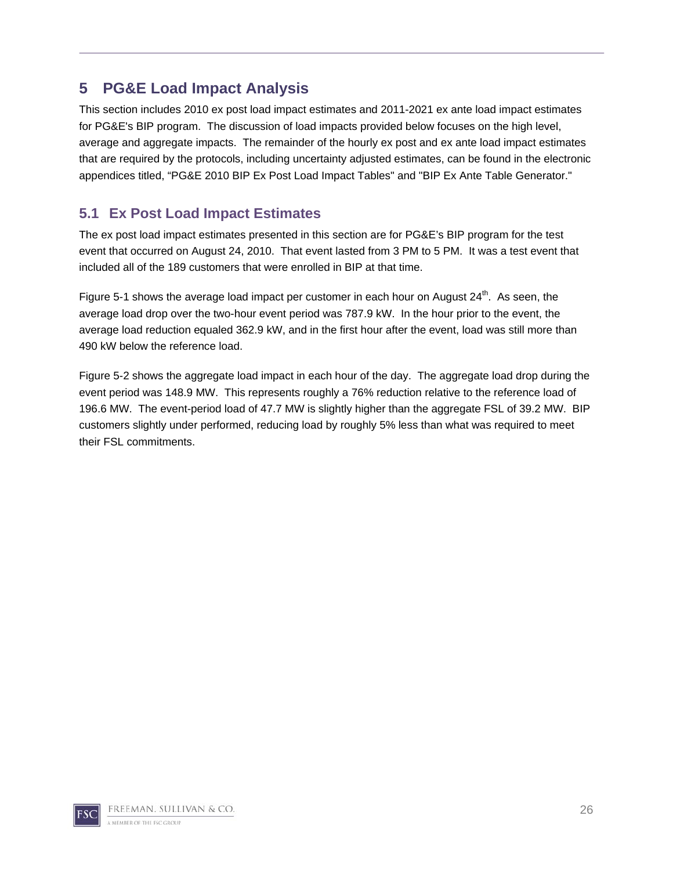## **5 PG&E Load Impact Analysis**

This section includes 2010 ex post load impact estimates and 2011-2021 ex ante load impact estimates for PG&E's BIP program. The discussion of load impacts provided below focuses on the high level, average and aggregate impacts. The remainder of the hourly ex post and ex ante load impact estimates that are required by the protocols, including uncertainty adjusted estimates, can be found in the electronic appendices titled, "PG&E 2010 BIP Ex Post Load Impact Tables" and "BIP Ex Ante Table Generator."

### **5.1 Ex Post Load Impact Estimates**

The ex post load impact estimates presented in this section are for PG&E's BIP program for the test event that occurred on August 24, 2010. That event lasted from 3 PM to 5 PM. It was a test event that included all of the 189 customers that were enrolled in BIP at that time.

Figure 5-1 shows the average load impact per customer in each hour on August  $24<sup>th</sup>$ . As seen, the average load drop over the two-hour event period was 787.9 kW. In the hour prior to the event, the average load reduction equaled 362.9 kW, and in the first hour after the event, load was still more than 490 kW below the reference load.

Figure 5-2 shows the aggregate load impact in each hour of the day. The aggregate load drop during the event period was 148.9 MW. This represents roughly a 76% reduction relative to the reference load of 196.6 MW. The event-period load of 47.7 MW is slightly higher than the aggregate FSL of 39.2 MW. BIP customers slightly under performed, reducing load by roughly 5% less than what was required to meet their FSL commitments.

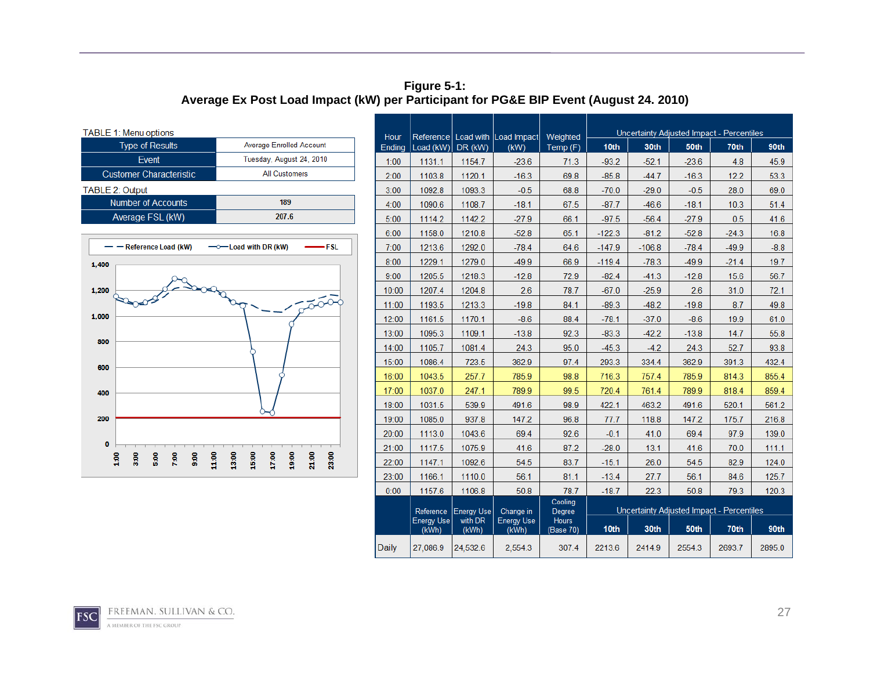#### **Figure 5-1: Average Ex Post Load Impact (kW) per Participant for PG&E BIP Event (August 24. 2010)**

| TABLE 1: Menu options    |  |  |  |  |  |  |  |
|--------------------------|--|--|--|--|--|--|--|
| Average Enrolled Account |  |  |  |  |  |  |  |
| Tuesday, August 24, 2010 |  |  |  |  |  |  |  |
| <b>All Customers</b>     |  |  |  |  |  |  |  |
|                          |  |  |  |  |  |  |  |
| 189                      |  |  |  |  |  |  |  |
| 207.6                    |  |  |  |  |  |  |  |
|                          |  |  |  |  |  |  |  |



|                |                            |                   |                                             |                           | Uncertainty Adjusted Impact - Percentiles |                                           |         |         |        |
|----------------|----------------------------|-------------------|---------------------------------------------|---------------------------|-------------------------------------------|-------------------------------------------|---------|---------|--------|
| Hour<br>Ending | Load (kW)                  | DR (kW)           | Reference   Load with   Load Impact<br>(kW) | Weighted<br>Temp (F)      | 10 <sub>th</sub>                          | 30th                                      | 50th    | 70th    | 90th   |
| 1:00           | 1131.1                     | 1154.7            | $-23.6$                                     | 71.3                      | $-93.2$                                   | $-52.1$                                   | $-23.6$ | 4.8     | 45.9   |
| 2:00           | 1103.8                     | 1120.1            | $-16.3$                                     | 69.8                      | $-85.8$                                   | $-44.7$                                   | $-16.3$ | 12.2    | 53.3   |
| 3:00           | 1092.8                     | 1093.3            | $-0.5$                                      | 68.8                      | $-70.0$                                   | $-29.0$                                   | $-0.5$  | 28.0    | 69.0   |
| 4:00           | 1090.6                     | 1108.7            | $-18.1$                                     | 67.5                      | $-87.7$                                   | $-46.6$                                   | $-18.1$ | 10.3    | 51.4   |
| 5:00           | 1114.2                     | 1142.2            | $-27.9$                                     | 66.1                      | $-97.5$                                   | $-56.4$                                   | $-27.9$ | 0.5     | 41.6   |
| 6:00           | 1158.0                     | 1210.8            | $-52.8$                                     | 65.1                      | $-122.3$                                  | $-81.2$                                   | $-52.8$ | $-24.3$ | 16.8   |
| 7:00           | 1213.6                     | 1292.0            | $-78.4$                                     | 64.6                      | $-147.9$                                  | $-106.8$                                  | $-78.4$ | $-49.9$ | $-8.8$ |
| 8:00           | 1229.1                     | 1279.0            | $-49.9$                                     | 66.9                      | $-119.4$                                  | $-78.3$                                   | $-49.9$ | $-21.4$ | 19.7   |
| 9:00           | 1205.5                     | 1218.3            | $-12.8$                                     | 72.9                      | $-82.4$                                   | $-41.3$                                   | $-12.8$ | 15.6    | 56.7   |
| 10:00          | 1207.4                     | 1204.8            | 2.6                                         | 78.7                      | $-67.0$                                   | $-25.9$                                   | 2.6     | 31.0    | 72.1   |
| 11:00          | 1193.5                     | 1213.3            | $-19.8$                                     | 84.1                      | $-89.3$                                   | $-48.2$                                   | $-19.8$ | 8.7     | 49.8   |
| 12:00          | 1161.5                     | 1170.1            | $-8.6$                                      | 88.4                      | $-78.1$                                   | $-37.0$                                   | $-8.6$  | 19.9    | 61.0   |
| 13:00          | 1095.3                     | 1109.1            | $-13.8$                                     | 92.3                      | $-83.3$                                   | $-42.2$                                   | $-13.8$ | 14.7    | 55.8   |
| 14:00          | 1105.7                     | 1081.4            | 24.3                                        | 95.0                      | $-45.3$                                   | $-4.2$                                    | 24.3    | 52.7    | 93.8   |
| 15:00          | 1086.4                     | 723.5             | 362.9                                       | 97.4                      | 293.3                                     | 334.4                                     | 362.9   | 391.3   | 432.4  |
| 16:00          | 1043.5                     | 257.7             | 785.9                                       | 98.8                      | 716.3                                     | 757.4                                     | 785.9   | 814.3   | 855.4  |
| 17:00          | 1037.0                     | 247.1             | 789.9                                       | 99.5                      | 720.4                                     | 761.4                                     | 789.9   | 818.4   | 859.4  |
| 18:00          | 1031.5                     | 539.9             | 491.6                                       | 98.9                      | 422.1                                     | 463.2                                     | 491.6   | 520.1   | 561.2  |
| 19:00          | 1085.0                     | 937.8             | 147.2                                       | 96.8                      | 77.7                                      | 118.8                                     | 147.2   | 175.7   | 216.8  |
| 20:00          | 1113.0                     | 1043.6            | 69.4                                        | 92.6                      | $-0.1$                                    | 41.0                                      | 69.4    | 97.9    | 139.0  |
| 21:00          | 1117.5                     | 1075.9            | 41.6                                        | 87.2                      | $-28.0$                                   | 13.1                                      | 41.6    | 70.0    | 111.1  |
| 22:00          | 1147.1                     | 1092.6            | 54.5                                        | 83.7                      | $-15.1$                                   | 26.0                                      | 54.5    | 82.9    | 124.0  |
| 23:00          | 1166.1                     | 1110.0            | 56.1                                        | 81.1                      | $-13.4$                                   | 27.7                                      | 56.1    | 84.6    | 125.7  |
| 0:00           | 1157.6                     | 1106.8            | 50.8                                        | 78.7                      | $-18.7$                                   | 22.3                                      | 50.8    | 79.3    | 120.3  |
|                | Reference                  | <b>Energy Use</b> | Change in                                   | Cooling<br>Degree         |                                           | Uncertainty Adjusted Impact - Percentiles |         |         |        |
|                | <b>Energy Use</b><br>(kWh) | with DR<br>(kWh)  | <b>Energy Use</b><br>(kWh)                  | <b>Hours</b><br>(Base 70) | 10th                                      | 30th                                      | 50th    | 70th    | 90th   |
| <b>Daily</b>   | 27,086.9                   | 24,532.6          | 2,554.3                                     | 307.4                     | 2213.6                                    | 2414.9                                    | 2554.3  | 2693.7  | 2895.0 |

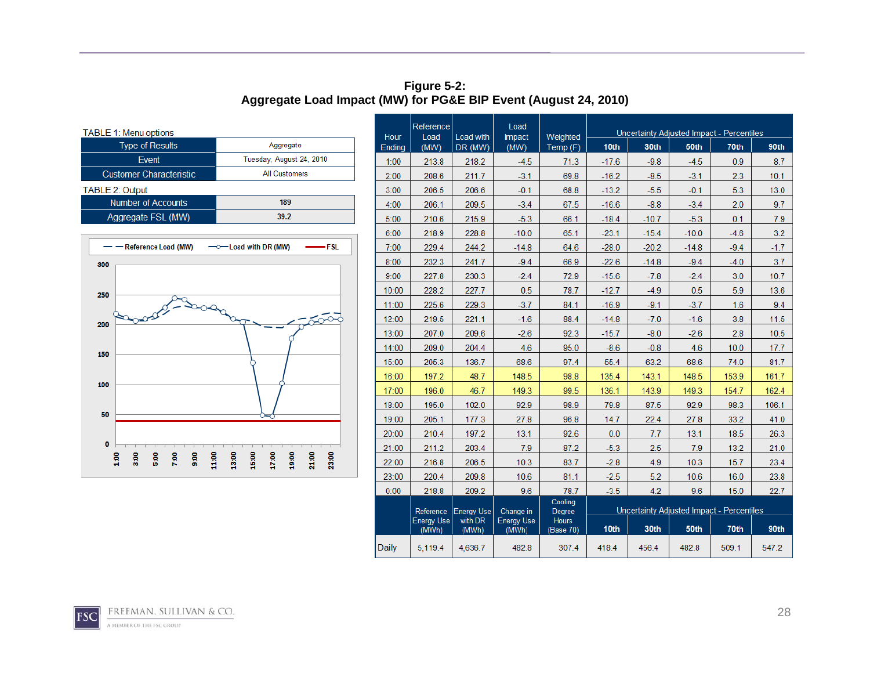**Figure 5-2: Aggregate Load Impact (MW) for PG&E BIP Event (August 24, 2010)** 

| TABLE 1: Menu options          |                          |  |  |  |  |  |  |
|--------------------------------|--------------------------|--|--|--|--|--|--|
| <b>Type of Results</b>         | Aggregate                |  |  |  |  |  |  |
| Event                          | Tuesday, August 24, 2010 |  |  |  |  |  |  |
| <b>Customer Characteristic</b> | <b>All Customers</b>     |  |  |  |  |  |  |
| <b>TABLE 2: Output</b>         |                          |  |  |  |  |  |  |
| <b>Number of Accounts</b>      | 189                      |  |  |  |  |  |  |
| Aggregate FSL (MW)             | 39.2                     |  |  |  |  |  |  |



|                | Reference                  |                      | Load                       |                           |                                           |         |         | Uncertainty Adjusted Impact - Percentiles |        |
|----------------|----------------------------|----------------------|----------------------------|---------------------------|-------------------------------------------|---------|---------|-------------------------------------------|--------|
| Hour<br>Ending | Load<br>(MW)               | Load with<br>DR (MW) | Impact<br>(MW)             | Weighted<br>Temp (F)      | 10th                                      | 30th    | 50th    | 70th                                      | 90th   |
| 1:00           | 213.8                      | 218.2                | $-4.5$                     | 71.3                      | $-17.6$                                   | $-9.8$  | $-4.5$  | 0.9                                       | 8.7    |
| 2:00           | 208.6                      | 211.7                | $-3.1$                     | 69.8                      | $-16.2$                                   | $-8.5$  | $-3.1$  | 2.3                                       | 10.1   |
| 3:00           | 206.5                      | 206.6                | $-0.1$                     | 68.8                      | $-13.2$                                   | $-5.5$  | $-0.1$  | 5.3                                       | 13.0   |
| 4:00           | 206.1                      | 209.5                | $-3.4$                     | 67.5                      | $-16.6$                                   | $-8.8$  | $-3.4$  | 2.0                                       | 9.7    |
| 5:00           | 210.6                      | 215.9                | $-5.3$                     | 66.1                      | $-18.4$                                   | $-10.7$ | $-5.3$  | 0.1                                       | 7.9    |
| 6:00           | 218.9                      | 228.8                | $-10.0$                    | 65.1                      | $-23.1$                                   | $-15.4$ | $-10.0$ | $-4.6$                                    | 3.2    |
| 7:00           | 229.4                      | 244.2                | $-14.8$                    | 64.6                      | $-28.0$                                   | $-20.2$ | $-14.8$ | $-9.4$                                    | $-1.7$ |
| 8:00           | 232.3                      | 241.7                | $-9.4$                     | 66.9                      | $-22.6$                                   | $-14.8$ | $-9.4$  | $-4.0$                                    | 3.7    |
| 9:00           | 227.8                      | 230.3                | $-2.4$                     | 72.9                      | $-15.6$                                   | $-7.8$  | $-2.4$  | 3.0                                       | 10.7   |
| 10:00          | 228.2                      | 227.7                | 0.5                        | 78.7                      | $-12.7$                                   | $-4.9$  | 0.5     | 5.9                                       | 13.6   |
| 11:00          | 225.6                      | 229.3                | $-3.7$                     | 84.1                      | $-16.9$                                   | $-9.1$  | $-3.7$  | 1.6                                       | 9.4    |
| 12:00          | 219.5                      | 221.1                | $-1.6$                     | 88.4                      | $-14.8$                                   | $-7.0$  | $-1.6$  | 3.8                                       | 11.5   |
| 13:00          | 207.0                      | 209.6                | $-2.6$                     | 92.3                      | $-15.7$                                   | $-8.0$  | $-2.6$  | 2.8                                       | 10.5   |
| 14:00          | 209.0                      | 204.4                | 4.6                        | 95.0                      | $-8.6$                                    | $-0.8$  | 4.6     | 10.0                                      | 17.7   |
| 15:00          | 205.3                      | 136.7                | 68.6                       | 97.4                      | 55.4                                      | 63.2    | 68.6    | 74.0                                      | 81.7   |
| 16:00          | 197.2                      | 48.7                 | 148.5                      | 98.8                      | 135.4                                     | 143.1   | 148.5   | 153.9                                     | 161.7  |
| 17:00          | 196.0                      | 46.7                 | 149.3                      | 99.5                      | 136.1                                     | 143.9   | 149.3   | 154.7                                     | 162.4  |
| 18:00          | 195.0                      | 102.0                | 92.9                       | 98.9                      | 79.8                                      | 87.5    | 92.9    | 98.3                                      | 106.1  |
| 19:00          | 205.1                      | 177.3                | 27.8                       | 96.8                      | 14.7                                      | 22.4    | 27.8    | 33.2                                      | 41.0   |
| 20:00          | 210.4                      | 197.2                | 13.1                       | 92.6                      | 0.0                                       | 7.7     | 13.1    | 18.5                                      | 26.3   |
| 21:00          | 211.2                      | 203.4                | 7.9                        | 87.2                      | $-5.3$                                    | 2.5     | 7.9     | 13.2                                      | 21.0   |
| 22:00          | 216.8                      | 206.5                | 10.3                       | 83.7                      | $-2.8$                                    | 4.9     | 10.3    | 15.7                                      | 23.4   |
| 23:00          | 220.4                      | 209.8                | 10.6                       | 81.1                      | $-2.5$                                    | 5.2     | 10.6    | 16.0                                      | 23.8   |
| 0:00           | 218.8                      | 209.2                | 9.6                        | 78.7                      | $-3.5$                                    | 4.2     | 9.6     | 15.0                                      | 22.7   |
|                | Reference                  | <b>Energy Use</b>    | Change in                  | Cooling<br>Degree         | Uncertainty Adjusted Impact - Percentiles |         |         |                                           |        |
|                | <b>Energy Use</b><br>(MWh) | with DR<br>(MWh)     | <b>Energy Use</b><br>(MWh) | <b>Hours</b><br>(Base 70) | 10th                                      | 30th    | 50th    | 70th                                      | 90th   |
| Daily          | 5.119.4                    | 4,636.7              | 482.8                      | 307.4                     | 418.4                                     | 456.4   | 482.8   | 509.1                                     | 547.2  |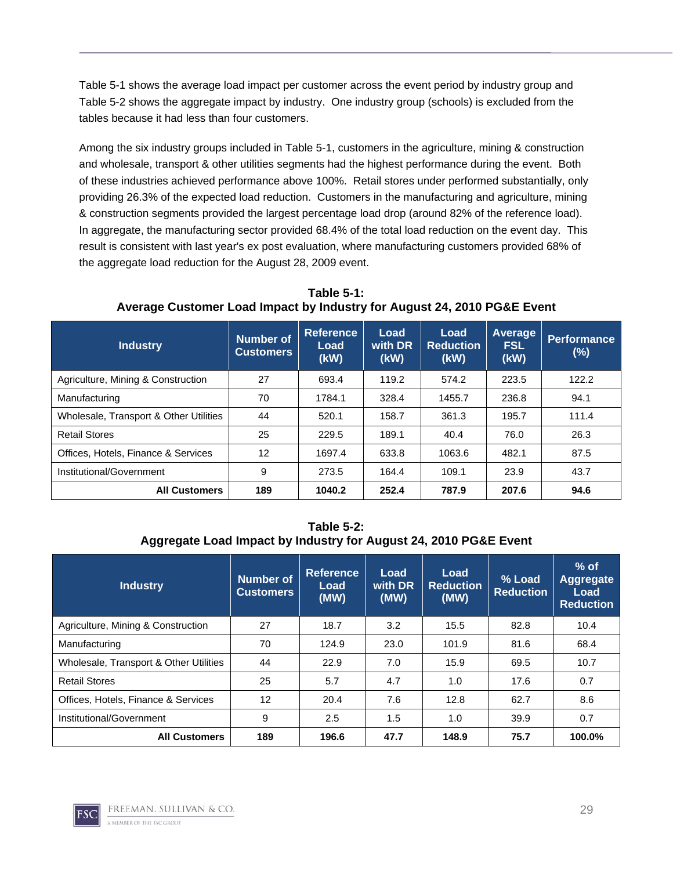Table 5-1 shows the average load impact per customer across the event period by industry group and Table 5-2 shows the aggregate impact by industry. One industry group (schools) is excluded from the tables because it had less than four customers.

Among the six industry groups included in Table 5-1, customers in the agriculture, mining & construction and wholesale, transport & other utilities segments had the highest performance during the event. Both of these industries achieved performance above 100%. Retail stores under performed substantially, only providing 26.3% of the expected load reduction. Customers in the manufacturing and agriculture, mining & construction segments provided the largest percentage load drop (around 82% of the reference load). In aggregate, the manufacturing sector provided 68.4% of the total load reduction on the event day. This result is consistent with last year's ex post evaluation, where manufacturing customers provided 68% of the aggregate load reduction for the August 28, 2009 event.

**Industry Number of Customers Reference Load (kW) Load with DR (kW) Load Reduction (kW) Average FSL (kW) Performance (%)**  Agriculture, Mining & Construction | 27 | 693.4 | 119.2 | 574.2 | 223.5 | 122.2 Manufacturing **18th** 1784.1 1784.1 328.4 1455.7 236.8 94.1 Wholesale, Transport & Other Utilities | 44 | 520.1 | 158.7 | 361.3 | 195.7 | 111.4 Retail Stores 26.3 225 | 229.5 | 189.1 | 20.4 | 76.0 | 26.3 Offices, Hotels, Finance & Services | 12 | 1697.4 | 633.8 | 1063.6 | 482.1 | 87.5 Institutional/Government 9 273.5 164.4 109.1 23.9 43.7 **All Customers 189 1040.2 252.4 787.9 207.6 94.6** 

**Table 5-1: Average Customer Load Impact by Industry for August 24, 2010 PG&E Event** 

**Table 5-2: Aggregate Load Impact by Industry for August 24, 2010 PG&E Event** 

| <b>Industry</b>                        | <b>Number of</b><br><b>Customers</b> | <b>Reference</b><br>Load<br>(MW) | Load<br>with DR<br>(MW) | Load<br><b>Reduction</b><br>(MW) | $%$ Load<br><b>Reduction</b> | $%$ of<br>Aggregate<br>Load<br><b>Reduction</b> |
|----------------------------------------|--------------------------------------|----------------------------------|-------------------------|----------------------------------|------------------------------|-------------------------------------------------|
| Agriculture, Mining & Construction     | 27                                   | 18.7                             | 3.2                     | 15.5                             | 82.8                         | 10.4                                            |
| Manufacturing                          | 70                                   | 124.9                            | 23.0                    | 101.9                            | 81.6                         | 68.4                                            |
| Wholesale, Transport & Other Utilities | 44                                   | 22.9                             | 7.0                     | 15.9                             | 69.5                         | 10.7                                            |
| <b>Retail Stores</b>                   | 25                                   | 5.7                              | 4.7                     | 1.0                              | 17.6                         | 0.7                                             |
| Offices, Hotels, Finance & Services    | 12                                   | 20.4                             | 7.6                     | 12.8                             | 62.7                         | 8.6                                             |
| Institutional/Government               | 9                                    | 2.5                              | 1.5                     | 1.0                              | 39.9                         | 0.7                                             |
| <b>All Customers</b>                   | 189                                  | 196.6                            | 47.7                    | 148.9                            | 75.7                         | 100.0%                                          |

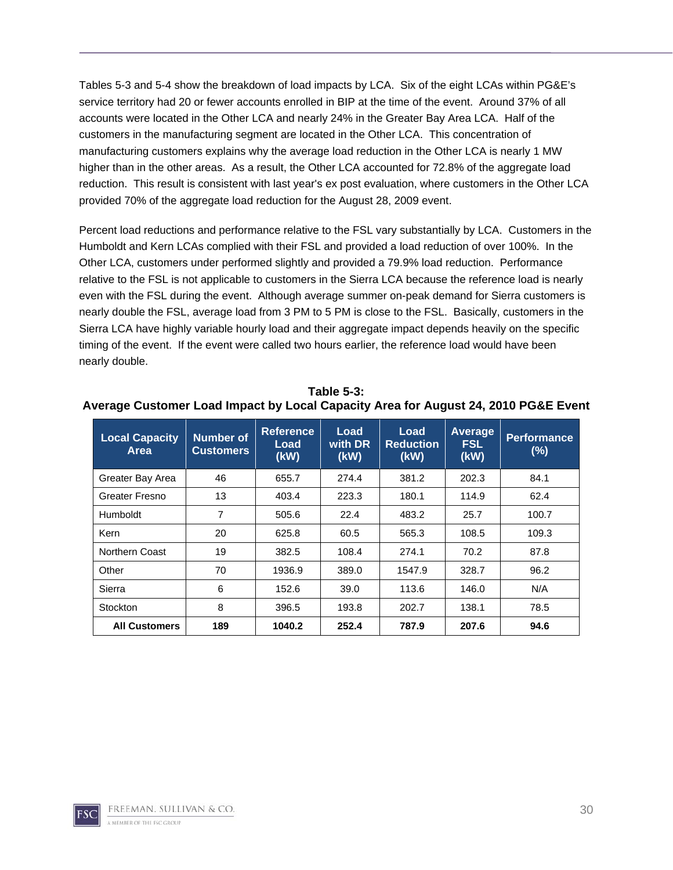Tables 5-3 and 5-4 show the breakdown of load impacts by LCA. Six of the eight LCAs within PG&E's service territory had 20 or fewer accounts enrolled in BIP at the time of the event. Around 37% of all accounts were located in the Other LCA and nearly 24% in the Greater Bay Area LCA. Half of the customers in the manufacturing segment are located in the Other LCA. This concentration of manufacturing customers explains why the average load reduction in the Other LCA is nearly 1 MW higher than in the other areas. As a result, the Other LCA accounted for 72.8% of the aggregate load reduction. This result is consistent with last year's ex post evaluation, where customers in the Other LCA provided 70% of the aggregate load reduction for the August 28, 2009 event.

Percent load reductions and performance relative to the FSL vary substantially by LCA. Customers in the Humboldt and Kern LCAs complied with their FSL and provided a load reduction of over 100%. In the Other LCA, customers under performed slightly and provided a 79.9% load reduction. Performance relative to the FSL is not applicable to customers in the Sierra LCA because the reference load is nearly even with the FSL during the event. Although average summer on-peak demand for Sierra customers is nearly double the FSL, average load from 3 PM to 5 PM is close to the FSL. Basically, customers in the Sierra LCA have highly variable hourly load and their aggregate impact depends heavily on the specific timing of the event. If the event were called two hours earlier, the reference load would have been nearly double.

| <b>Local Capacity</b><br>Area | <b>Number of</b><br><b>Customers</b> | <b>Reference</b><br>Load<br>(kW) | Load<br>with DR<br>(kW) | Load<br><b>Reduction</b><br>(kW) | Average<br><b>FSL</b><br>(kW) | <b>Performance</b><br>(%) |
|-------------------------------|--------------------------------------|----------------------------------|-------------------------|----------------------------------|-------------------------------|---------------------------|
| Greater Bay Area              | 46                                   | 655.7                            | 274.4                   | 381.2                            | 202.3                         | 84.1                      |
| Greater Fresno                | 13                                   | 403.4                            | 223.3                   | 180.1                            | 114.9                         | 62.4                      |
| Humboldt                      | 7                                    | 505.6                            | 22.4                    | 483.2                            | 25.7                          | 100.7                     |
| Kern                          | 20                                   | 625.8                            | 60.5                    | 565.3                            | 108.5                         | 109.3                     |
| Northern Coast                | 19                                   | 382.5                            | 108.4                   | 274.1                            | 70.2                          | 87.8                      |
| Other                         | 70                                   | 1936.9                           | 389.0                   | 1547.9                           | 328.7                         | 96.2                      |
| Sierra                        | 6                                    | 152.6                            | 39.0                    | 113.6                            | 146.0                         | N/A                       |
| Stockton                      | 8                                    | 396.5                            | 193.8                   | 202.7                            | 138.1                         | 78.5                      |
| <b>All Customers</b>          | 189                                  | 1040.2                           | 252.4                   | 787.9                            | 207.6                         | 94.6                      |

**Table 5-3: Average Customer Load Impact by Local Capacity Area for August 24, 2010 PG&E Event**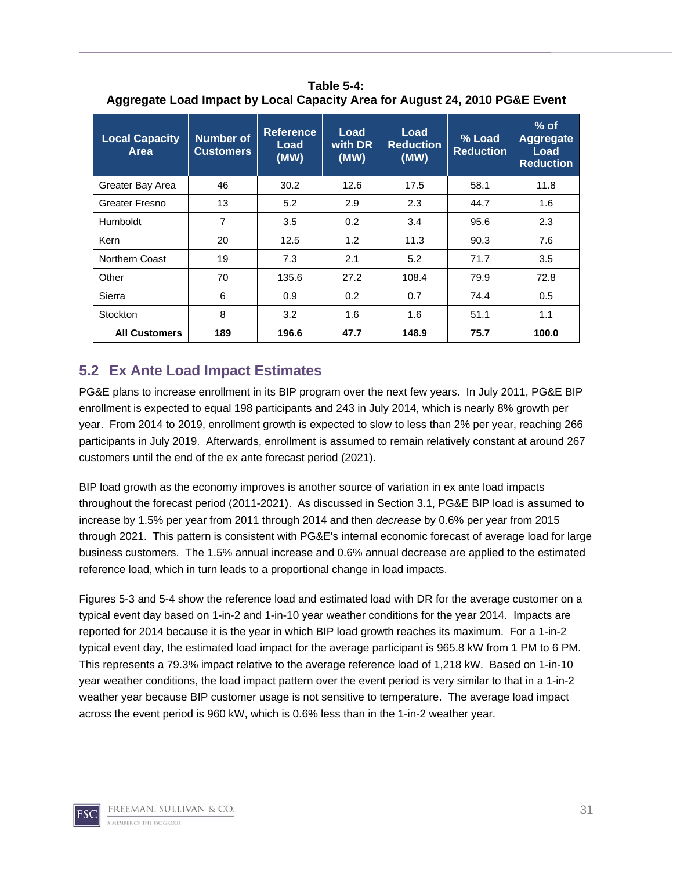| <b>Local Capacity</b><br>Area | Number of<br><b>Customers</b> | <b>Load</b><br><b>Reference</b><br>Load<br>with DR<br><b>Reduction</b><br>Load<br>(MW)<br>(MW)<br>(MW) |      | % Load<br><b>Reduction</b> | $%$ of<br><b>Aggregate</b><br>Load<br><b>Reduction</b> |       |
|-------------------------------|-------------------------------|--------------------------------------------------------------------------------------------------------|------|----------------------------|--------------------------------------------------------|-------|
| Greater Bay Area              | 46                            | 30.2                                                                                                   | 12.6 | 17.5                       | 58.1                                                   | 11.8  |
| Greater Fresno                | 13                            | 5.2                                                                                                    | 2.9  | 2.3                        | 44.7                                                   | 1.6   |
| Humboldt                      | 7                             | 3.5                                                                                                    | 0.2  | 3.4                        | 95.6                                                   | 2.3   |
| Kern                          | 20                            | 12.5                                                                                                   | 1.2  | 11.3                       | 90.3                                                   | 7.6   |
| <b>Northern Coast</b>         | 19                            | 7.3                                                                                                    | 2.1  | 5.2                        | 71.7                                                   | 3.5   |
| Other                         | 70                            | 135.6                                                                                                  | 27.2 | 108.4                      | 79.9                                                   | 72.8  |
| Sierra                        | 6                             | 0.9                                                                                                    | 0.2  | 0.7                        | 74.4                                                   | 0.5   |
| Stockton                      | 8                             | 3.2                                                                                                    | 1.6  | 1.6                        | 51.1                                                   | 1.1   |
| <b>All Customers</b>          | 189                           | 196.6                                                                                                  | 47.7 | 148.9                      | 75.7                                                   | 100.0 |

**Table 5-4: Aggregate Load Impact by Local Capacity Area for August 24, 2010 PG&E Event** 

### **5.2 Ex Ante Load Impact Estimates**

PG&E plans to increase enrollment in its BIP program over the next few years. In July 2011, PG&E BIP enrollment is expected to equal 198 participants and 243 in July 2014, which is nearly 8% growth per year. From 2014 to 2019, enrollment growth is expected to slow to less than 2% per year, reaching 266 participants in July 2019. Afterwards, enrollment is assumed to remain relatively constant at around 267 customers until the end of the ex ante forecast period (2021).

BIP load growth as the economy improves is another source of variation in ex ante load impacts throughout the forecast period (2011-2021). As discussed in Section 3.1, PG&E BIP load is assumed to increase by 1.5% per year from 2011 through 2014 and then *decrease* by 0.6% per year from 2015 through 2021. This pattern is consistent with PG&E's internal economic forecast of average load for large business customers. The 1.5% annual increase and 0.6% annual decrease are applied to the estimated reference load, which in turn leads to a proportional change in load impacts.

Figures 5-3 and 5-4 show the reference load and estimated load with DR for the average customer on a typical event day based on 1-in-2 and 1-in-10 year weather conditions for the year 2014. Impacts are reported for 2014 because it is the year in which BIP load growth reaches its maximum. For a 1-in-2 typical event day, the estimated load impact for the average participant is 965.8 kW from 1 PM to 6 PM. This represents a 79.3% impact relative to the average reference load of 1,218 kW. Based on 1-in-10 year weather conditions, the load impact pattern over the event period is very similar to that in a 1-in-2 weather year because BIP customer usage is not sensitive to temperature. The average load impact across the event period is 960 kW, which is 0.6% less than in the 1-in-2 weather year.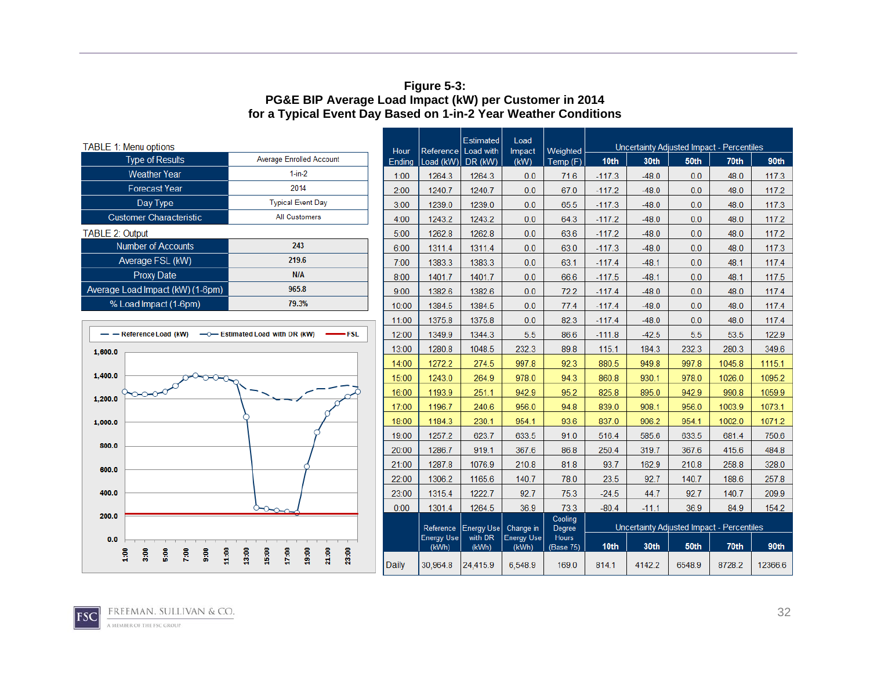#### **Figure 5-3: PG&E BIP Average Load Impact (kW) per Customer in 2014 for a Typical Event Day Based on 1-in-2 Year Weather Conditions**

| <b>TABLE 1: Menu options</b>                                     |                                                                        | Hour   | Reference                  | Estimated<br>Load with | Load                | Weighted                  |                  |         |        | Uncertainty Adjusted Impact - Percentiles |         |
|------------------------------------------------------------------|------------------------------------------------------------------------|--------|----------------------------|------------------------|---------------------|---------------------------|------------------|---------|--------|-------------------------------------------|---------|
| <b>Type of Results</b>                                           | <b>Average Enrolled Account</b>                                        | Ending | Load (kW)                  | DR (kW)                | Impact<br>(kW)      | Temp (F)                  | 10 <sub>th</sub> | 30th    | 50th   | 70th                                      | 90th    |
| <b>Weather Year</b>                                              | $1-in-2$                                                               | 1:00   | 1264.3                     | 1264.3                 | 0.0                 | 71.6                      | $-117.3$         | $-48.0$ | 0.0    | 48.0                                      | 117.3   |
| <b>Forecast Year</b>                                             | 2014                                                                   | 2:00   | 1240.7                     | 1240.7                 | 0.0                 | 67.0                      | $-117.2$         | $-48.0$ | 0.0    | 48.0                                      | 117.2   |
| Day Type                                                         | <b>Typical Event Day</b>                                               | 3:00   | 1239.0                     | 1239.0                 | 0.0                 | 65.5                      | $-117.3$         | $-48.0$ | 0.0    | 48.0                                      | 117.3   |
| <b>Customer Characteristic</b>                                   | <b>All Customers</b>                                                   | 4:00   | 1243.2                     | 1243.2                 | 0.0                 | 64.3                      | $-117.2$         | $-48.0$ | 0.0    | 48.0                                      | 117.2   |
| <b>TABLE 2: Output</b>                                           |                                                                        | 5:00   | 1262.8                     | 1262.8                 | 0.0                 | 63.6                      | $-117.2$         | $-48.0$ | 0.0    | 48.0                                      | 117.2   |
| <b>Number of Accounts</b>                                        | 243                                                                    | 6:00   | 1311.4                     | 1311.4                 | 0.0                 | 63.0                      | $-117.3$         | $-48.0$ | 0.0    | 48.0                                      | 117.3   |
| Average FSL (kW)                                                 | 219.6                                                                  | 7:00   | 1383.3                     | 1383.3                 | 0.0                 | 63.1                      | $-117.4$         | $-48.1$ | 0.0    | 48.1                                      | 117.4   |
| <b>Proxy Date</b>                                                | <b>N/A</b>                                                             | 8:00   | 1401.7                     | 1401.7                 | 0.0                 | 66.6                      | $-117.5$         | $-48.1$ | 0.0    | 48.1                                      | 117.5   |
| Average Load Impact (kW) (1-6pm)                                 | 965.8                                                                  | 9:00   | 1382.6                     | 1382.6                 | 0.0                 | 72.2                      | $-117.4$         | $-48.0$ | 0.0    | 48.0                                      | 117.4   |
| % Load Impact (1-6pm)                                            | 79.3%                                                                  | 10:00  | 1384.5                     | 1384.5                 | 0.0                 | 77.4                      | $-117.4$         | $-48.0$ | 0.0    | 48.0                                      | 117.4   |
|                                                                  |                                                                        | 11:00  | 1375.8                     | 1375.8                 | 0.0                 | 82.3                      | $-117.4$         | $-48.0$ | 0.0    | 48.0                                      | 117.4   |
| - - Reference Load (kW)<br>·FSL                                  |                                                                        | 12:00  | 1349.9                     | 1344.3                 | 5.5                 | 86.6                      | $-111.8$         | $-42.5$ | 5.5    | 53.5                                      | 122.9   |
| 1,600.0                                                          |                                                                        | 13:00  | 1280.8                     | 1048.5                 | 232.3               | 89.8                      | 115.1            | 184.3   | 232.3  | 280.3                                     | 349.6   |
|                                                                  |                                                                        | 14:00  | 1272.2                     | 274.5                  | 997.8               | 92.3                      | 880.5            | 949.8   | 997.8  | 1045.8                                    | 1115.1  |
| 1,400.0                                                          |                                                                        | 15:00  | 1243.0                     | 264.9                  | 978.0               | 94.3                      | 860.8            | 930.1   | 978.0  | 1026.0                                    | 1095.2  |
| 1.200.0                                                          |                                                                        | 16:00  | 1193.9                     | 251.1                  | 942.9               | 95.2                      | 825.8            | 895.0   | 942.9  | 990.8                                     | 1059.9  |
|                                                                  |                                                                        | 17:00  | 1196.7                     | 240.6                  | 956.0               | 94.8                      | 839.0            | 908.1   | 956.0  | 1003.9                                    | 1073.1  |
| 1,000.0                                                          |                                                                        | 18:00  | 1184.3                     | 230.1                  | 954.1               | 93.6                      | 837.0            | 906.2   | 954.1  | 1002.0                                    | 1071.2  |
|                                                                  |                                                                        | 19:00  | 1257.2                     | 623.7                  | 633.5               | 91.0                      | 516.4            | 585.6   | 633.5  | 681.4                                     | 750.6   |
| 800.0                                                            |                                                                        | 20:00  | 1286.7                     | 919.1                  | 367.6               | 86.8                      | 250.4            | 319.7   | 367.6  | 415.6                                     | 484.8   |
| 600.0                                                            |                                                                        | 21:00  | 1287.8                     | 1076.9                 | 210.8               | 81.8                      | 93.7             | 162.9   | 210.8  | 258.8                                     | 328.0   |
|                                                                  |                                                                        | 22:00  | 1306.2                     | 1165.6                 | 140.7               | 78.0                      | 23.5             | 92.7    | 140.7  | 188.6                                     | 257.8   |
| 400.0                                                            |                                                                        | 23:00  | 1315.4                     | 1222.7                 | 92.7                | 75.3                      | $-24.5$          | 44.7    | 92.7   | 140.7                                     | 209.9   |
|                                                                  |                                                                        | 0:00   | 1301.4                     | 1264.5                 | 36.9                | 73.3                      | $-80.4$          | $-11.1$ | 36.9   | 84.9                                      | 154.2   |
| 200.0                                                            |                                                                        |        | Reference                  | <b>Energy Use</b>      | Change in           | Cooling<br>Degree         |                  |         |        | Uncertainty Adjusted Impact - Percentiles |         |
| 0.0                                                              |                                                                        |        | <b>Energy Use</b><br>(kWh) | with DR<br>(kWh)       | Energy Use<br>(kWh) | <b>Hours</b><br>(Base 75) | 10th             | 30th    | 50th   | 70th                                      | 90th    |
| 7:00<br>8:00<br>$\frac{8}{10}$<br>$\frac{8}{3}$<br>$\frac{6}{5}$ | 21:00<br>13:00<br>15:00<br>17:00<br>19:00<br>23:00<br>$\frac{8}{1100}$ | Daily  | 30,964.8                   | 24,415.9               | 6,548.9             | 169.0                     | 814.1            | 4142.2  | 6548.9 | 8728.2                                    | 12366.6 |

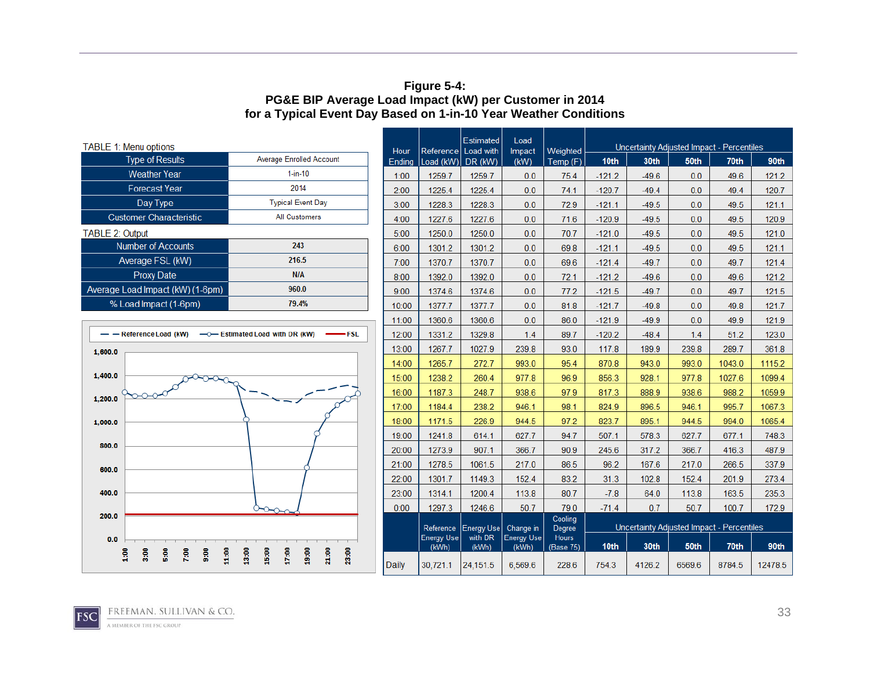#### **Figure 5-4: PG&E BIP Average Load Impact (kW) per Customer in 2014 for a Typical Event Day Based on 1-in-10 Year Weather Conditions**

| <b>TABLE 1: Menu options</b>                                             |                                                    | Hour         | Reference Load with | Estimated         | Load<br>Impact             | Weighted                  |                                           |         |        | Uncertainty Adjusted Impact - Percentiles |         |  |
|--------------------------------------------------------------------------|----------------------------------------------------|--------------|---------------------|-------------------|----------------------------|---------------------------|-------------------------------------------|---------|--------|-------------------------------------------|---------|--|
| <b>Type of Results</b>                                                   | <b>Average Enrolled Account</b>                    | Ending       | Load (kW)           | DR (kW)           | (KW)                       | Temp (F)                  | 10 <sub>th</sub>                          | 30th    | 50th   | 70th                                      | 90th    |  |
| <b>Weather Year</b>                                                      | $1$ -in-10                                         | 1:00         | 1259.7              | 1259.7            | 0.0                        | 75.4                      | $-121.2$                                  | $-49.6$ | 0.0    | 49.6                                      | 121.2   |  |
| <b>Forecast Year</b>                                                     | 2014                                               | 2:00         | 1225.4              | 1225.4            | 0.0                        | 74.1                      | $-120.7$                                  | $-49.4$ | 0.0    | 49.4                                      | 120.7   |  |
| Day Type                                                                 | <b>Typical Event Day</b>                           | 3:00         | 1228.3              | 1228.3            | 0.0                        | 72.9                      | $-121.1$                                  | $-49.5$ | 0.0    | 49.5                                      | 121.1   |  |
| <b>Customer Characteristic</b>                                           | <b>All Customers</b>                               | 4:00         | 1227.6              | 1227.6            | 0.0                        | 71.6                      | $-120.9$                                  | $-49.5$ | 0.0    | 49.5                                      | 120.9   |  |
| TABLE 2: Output                                                          |                                                    | 5:00         | 1250.0              | 1250.0            | 0.0                        | 70.7                      | $-121.0$                                  | $-49.5$ | 0.0    | 49.5                                      | 121.0   |  |
| <b>Number of Accounts</b>                                                | 243                                                | 6:00         | 1301.2              | 1301.2            | 0.0                        | 69.8                      | $-121.1$                                  | $-49.5$ | 0.0    | 49.5                                      | 121.1   |  |
| Average FSL (kW)                                                         | 216.5                                              | 7:00         | 1370.7              | 1370.7            | 0.0                        | 69.6                      | $-121.4$                                  | $-49.7$ | 0.0    | 49.7                                      | 121.4   |  |
| <b>Proxy Date</b>                                                        | <b>N/A</b>                                         | 8:00         | 1392.0              | 1392.0            | 0.0                        | 72.1                      | $-121.2$                                  | $-49.6$ | 0.0    | 49.6                                      | 121.2   |  |
| Average Load Impact (kW) (1-6pm)                                         | 960.0                                              | 9:00         | 1374.6              | 1374.6            | 0.0                        | 77.2                      | $-121.5$                                  | $-49.7$ | 0.0    | 49.7                                      | 121.5   |  |
| % Load Impact (1-6pm)                                                    | 79.4%                                              | 10:00        | 1377.7              | 1377.7            | 0.0                        | 81.8                      | $-121.7$                                  | $-49.8$ | 0.0    | 49.8                                      | 121.7   |  |
|                                                                          |                                                    | 11:00        | 1360.6              | 1360.6            | 0.0                        | 86.0                      | $-121.9$                                  | $-49.9$ | 0.0    | 49.9                                      | 121.9   |  |
| -FSL<br>- - Reference Load (kW)<br>-0-Estimated Load with DR (kW)        |                                                    | 12:00        | 1331.2              | 1329.8            | 1.4                        | 89.7                      | $-120.2$                                  | $-48.4$ | 1.4    | 51.2                                      | 123.0   |  |
| 1,600.0                                                                  |                                                    | 13:00        | 1267.7              | 1027.9            | 239.8                      | 93.0                      | 117.8                                     | 189.9   | 239.8  | 289.7                                     | 361.8   |  |
|                                                                          |                                                    | 14:00        | 1265.7              | 272.7             | 993.0                      | 95.4                      | 870.8                                     | 943.0   | 993.0  | 1043.0                                    | 1115.2  |  |
| 1,400.0                                                                  |                                                    | 15:00        | 1238.2              | 260.4             | 977.8                      | 96.9                      | 856.3                                     | 928.1   | 977.8  | 1027.6                                    | 1099.4  |  |
| 1,200.0                                                                  |                                                    | 16:00        | 1187.3              | 248.7             | 938.6                      | 97.9                      | 817.3                                     | 888.9   | 938.6  | 988.2                                     | 1059.9  |  |
|                                                                          |                                                    | 17:00        | 1184.4              | 238.2             | 946.1                      | 98.1                      | 824.9                                     | 896.5   | 946.1  | 995.7                                     | 1067.3  |  |
| 1,000.0                                                                  |                                                    | 18:00        | 1171.5              | 226.9             | 944.5                      | 97.2                      | 823.7                                     | 895.1   | 944.5  | 994.0                                     | 1065.4  |  |
|                                                                          |                                                    | 19:00        | 1241.8              | 614.1             | 627.7                      | 94.7                      | 507.1                                     | 578.3   | 627.7  | 677.1                                     | 748.3   |  |
| 800.0                                                                    |                                                    | 20:00        | 1273.9              | 907.1             | 366.7                      | 90.9                      | 245.6                                     | 317.2   | 366.7  | 416.3                                     | 487.9   |  |
| 600.0                                                                    |                                                    | 21:00        | 1278.5              | 1061.5            | 217.0                      | 86.5                      | 96.2                                      | 167.6   | 217.0  | 266.5                                     | 337.9   |  |
|                                                                          |                                                    | 22:00        | 1301.7              | 1149.3            | 152.4                      | 83.2                      | 31.3                                      | 102.8   | 152.4  | 201.9                                     | 273.4   |  |
| 400.0                                                                    |                                                    | 23:00        | 1314.1              | 1200.4            | 113.8                      | 80.7                      | $-7.8$                                    | 64.0    | 113.8  | 163.5                                     | 235.3   |  |
|                                                                          | $\circ \infty$                                     | 0:00         | 1297.3              | 1246.6            | 50.7                       | 79.0                      | $-71.4$                                   | 0.7     | 50.7   | 100.7                                     | 172.9   |  |
| 200.0                                                                    |                                                    |              | Reference           | <b>Energy Use</b> | Change in                  | Cooling<br>Degree         | Uncertainty Adjusted Impact - Percentiles |         |        |                                           |         |  |
| 0.0                                                                      |                                                    |              | Energy Use<br>(kWh) | with DR<br>(kWh)  | <b>Energy Use</b><br>(kWh) | <b>Hours</b><br>(Base 75) | 10th                                      | 30th    | 50th   | 70th                                      | 90th    |  |
| $\frac{8}{4}$<br>$\frac{8}{10}$<br>8:00<br>$\frac{6}{5}$<br>7:00<br>9:00 | 13:00<br>15:00<br>17:00<br>18:00<br>21:00<br>23:00 | <b>Daily</b> | 30,721.1            | 24,151.5          | 6,569.6                    | 228.6                     | 754.3                                     | 4126.2  | 6569.6 | 8784.5                                    | 12478.5 |  |

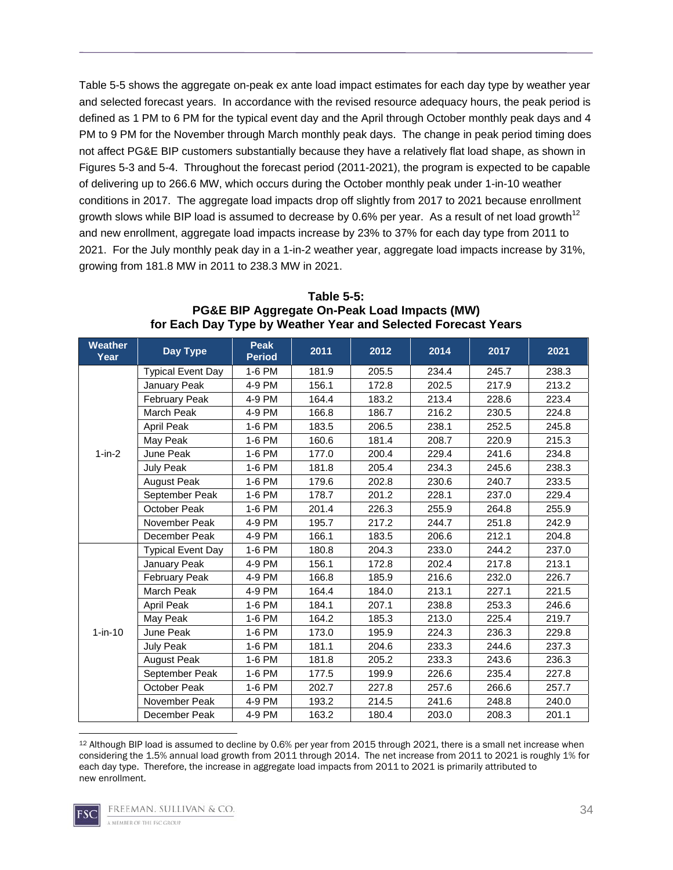Table 5-5 shows the aggregate on-peak ex ante load impact estimates for each day type by weather year and selected forecast years. In accordance with the revised resource adequacy hours, the peak period is defined as 1 PM to 6 PM for the typical event day and the April through October monthly peak days and 4 PM to 9 PM for the November through March monthly peak days. The change in peak period timing does not affect PG&E BIP customers substantially because they have a relatively flat load shape, as shown in Figures 5-3 and 5-4. Throughout the forecast period (2011-2021), the program is expected to be capable of delivering up to 266.6 MW, which occurs during the October monthly peak under 1-in-10 weather conditions in 2017. The aggregate load impacts drop off slightly from 2017 to 2021 because enrollment growth slows while BIP load is assumed to decrease by 0.6% per year. As a result of net load growth<sup>12</sup> and new enrollment, aggregate load impacts increase by 23% to 37% for each day type from 2011 to 2021. For the July monthly peak day in a 1-in-2 weather year, aggregate load impacts increase by 31%, growing from 181.8 MW in 2011 to 238.3 MW in 2021.

| <b>Weather</b><br>Year | Day Type                 | <b>Peak</b><br><b>Period</b> | 2011  | 2012  | 2014  | 2017  | 2021  |
|------------------------|--------------------------|------------------------------|-------|-------|-------|-------|-------|
|                        | <b>Typical Event Day</b> | 1-6 PM                       | 181.9 | 205.5 | 234.4 | 245.7 | 238.3 |
|                        | January Peak             | 4-9 PM                       | 156.1 | 172.8 | 202.5 | 217.9 | 213.2 |
|                        | <b>February Peak</b>     | 4-9 PM                       | 164.4 | 183.2 | 213.4 | 228.6 | 223.4 |
|                        | March Peak               | 4-9 PM                       | 166.8 | 186.7 | 216.2 | 230.5 | 224.8 |
|                        | April Peak               | 1-6 PM                       | 183.5 | 206.5 | 238.1 | 252.5 | 245.8 |
|                        | May Peak                 | 1-6 PM                       | 160.6 | 181.4 | 208.7 | 220.9 | 215.3 |
| $1-in-2$               | June Peak                | 1-6 PM                       | 177.0 | 200.4 | 229.4 | 241.6 | 234.8 |
|                        | July Peak                | 1-6 PM                       | 181.8 | 205.4 | 234.3 | 245.6 | 238.3 |
|                        | <b>August Peak</b>       | 1-6 PM                       | 179.6 | 202.8 | 230.6 | 240.7 | 233.5 |
|                        | September Peak           | 1-6 PM                       | 178.7 | 201.2 | 228.1 | 237.0 | 229.4 |
|                        | October Peak             | 1-6 PM                       | 201.4 | 226.3 | 255.9 | 264.8 | 255.9 |
|                        | November Peak            | 4-9 PM                       | 195.7 | 217.2 | 244.7 | 251.8 | 242.9 |
|                        | December Peak            | 4-9 PM                       | 166.1 | 183.5 | 206.6 | 212.1 | 204.8 |
|                        | <b>Typical Event Day</b> | 1-6 PM                       | 180.8 | 204.3 | 233.0 | 244.2 | 237.0 |
|                        | January Peak             | 4-9 PM                       | 156.1 | 172.8 | 202.4 | 217.8 | 213.1 |
|                        | <b>February Peak</b>     | 4-9 PM                       | 166.8 | 185.9 | 216.6 | 232.0 | 226.7 |
|                        | March Peak               | 4-9 PM                       | 164.4 | 184.0 | 213.1 | 227.1 | 221.5 |
|                        | April Peak               | 1-6 PM                       | 184.1 | 207.1 | 238.8 | 253.3 | 246.6 |
|                        | May Peak                 | 1-6 PM                       | 164.2 | 185.3 | 213.0 | 225.4 | 219.7 |
| $1-in-10$              | June Peak                | 1-6 PM                       | 173.0 | 195.9 | 224.3 | 236.3 | 229.8 |
|                        | July Peak                | 1-6 PM                       | 181.1 | 204.6 | 233.3 | 244.6 | 237.3 |
|                        | <b>August Peak</b>       | 1-6 PM                       | 181.8 | 205.2 | 233.3 | 243.6 | 236.3 |
|                        | September Peak           | 1-6 PM                       | 177.5 | 199.9 | 226.6 | 235.4 | 227.8 |
|                        | October Peak             | 1-6 PM                       | 202.7 | 227.8 | 257.6 | 266.6 | 257.7 |
|                        | November Peak            | 4-9 PM                       | 193.2 | 214.5 | 241.6 | 248.8 | 240.0 |
|                        | December Peak            | 4-9 PM                       | 163.2 | 180.4 | 203.0 | 208.3 | 201.1 |

**Table 5-5: PG&E BIP Aggregate On-Peak Load Impacts (MW) for Each Day Type by Weather Year and Selected Forecast Years** 

 12 Although BIP load is assumed to decline by 0.6% per year from 2015 through 2021, there is a small net increase when considering the 1.5% annual load growth from 2011 through 2014. The net increase from 2011 to 2021 is roughly 1% for each day type. Therefore, the increase in aggregate load impacts from 2011 to 2021 is primarily attributed to new enrollment.

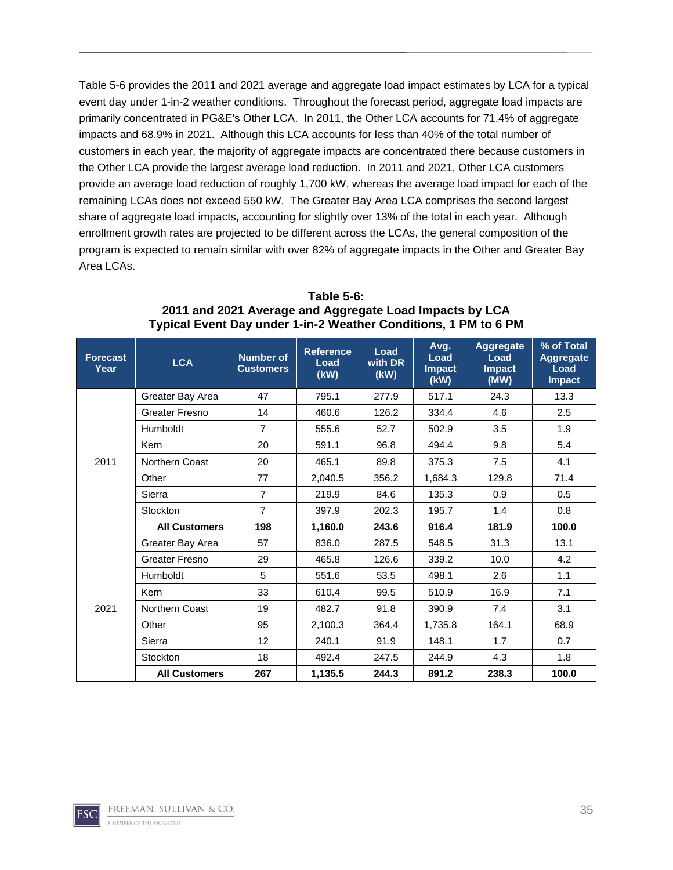Table 5-6 provides the 2011 and 2021 average and aggregate load impact estimates by LCA for a typical event day under 1-in-2 weather conditions. Throughout the forecast period, aggregate load impacts are primarily concentrated in PG&E's Other LCA. In 2011, the Other LCA accounts for 71.4% of aggregate impacts and 68.9% in 2021. Although this LCA accounts for less than 40% of the total number of customers in each year, the majority of aggregate impacts are concentrated there because customers in the Other LCA provide the largest average load reduction. In 2011 and 2021, Other LCA customers provide an average load reduction of roughly 1,700 kW, whereas the average load impact for each of the remaining LCAs does not exceed 550 kW. The Greater Bay Area LCA comprises the second largest share of aggregate load impacts, accounting for slightly over 13% of the total in each year. Although enrollment growth rates are projected to be different across the LCAs, the general composition of the program is expected to remain similar with over 82% of aggregate impacts in the Other and Greater Bay Area LCAs.

| <b>Forecast</b><br>Year | <b>LCA</b>           | <b>Number of</b><br><b>Customers</b> | <b>Reference</b><br>Load<br>(kW) | Load<br>with DR<br>(kW) | Avg.<br>Load<br><b>Impact</b><br>(KW) | <b>Aggregate</b><br>Load<br><b>Impact</b><br>(MW) | % of Total<br><b>Aggregate</b><br>Load<br><b>Impact</b> |
|-------------------------|----------------------|--------------------------------------|----------------------------------|-------------------------|---------------------------------------|---------------------------------------------------|---------------------------------------------------------|
|                         | Greater Bay Area     | 47                                   | 795.1                            | 277.9                   | 517.1                                 | 24.3                                              | 13.3                                                    |
|                         | Greater Fresno       | 14                                   | 460.6                            | 126.2                   | 334.4                                 | 4.6                                               | 2.5                                                     |
|                         | <b>Humboldt</b>      | $\overline{7}$                       | 555.6                            | 52.7                    | 502.9                                 | 3.5                                               | 1.9                                                     |
|                         | Kern                 | 20                                   | 591.1                            | 96.8                    | 494.4                                 | 9.8                                               | 5.4                                                     |
| 2011                    | Northern Coast       | 20                                   | 465.1                            | 89.8                    | 375.3                                 | 7.5                                               | 4.1                                                     |
|                         | Other                | 77                                   | 2.040.5                          | 356.2                   | 1,684.3                               | 129.8                                             | 71.4                                                    |
| 2021                    | Sierra               | $\overline{7}$                       | 219.9                            | 84.6                    | 135.3                                 | 0.9                                               | 0.5                                                     |
|                         | Stockton             | $\overline{7}$                       | 397.9                            | 202.3                   | 195.7                                 | 1.4                                               | 0.8                                                     |
|                         | <b>All Customers</b> | 198                                  | 1,160.0                          | 243.6                   | 916.4                                 | 181.9                                             | 100.0                                                   |
|                         | Greater Bay Area     | 57                                   | 836.0                            | 287.5                   | 548.5                                 | 31.3                                              | 13.1                                                    |
|                         | Greater Fresno       | 29                                   | 465.8                            | 126.6                   | 339.2                                 | 10.0                                              | 4.2                                                     |
|                         | <b>Humboldt</b>      | 5                                    | 551.6                            | 53.5                    | 498.1                                 | 2.6                                               | 1.1                                                     |
|                         | Kern                 | 33                                   | 610.4                            | 99.5                    | 510.9                                 | 16.9                                              | 7.1                                                     |
|                         | Northern Coast       | 19                                   | 482.7                            | 91.8                    | 390.9                                 | 7.4                                               | 3.1                                                     |
|                         | Other                | 95                                   | 2,100.3                          | 364.4                   | 1,735.8                               | 164.1                                             | 68.9                                                    |
|                         | Sierra               | 12                                   | 240.1                            | 91.9                    | 148.1                                 | 1.7                                               | 0.7                                                     |
|                         | Stockton             | 18                                   | 492.4                            | 247.5                   | 244.9                                 | 4.3                                               | 1.8                                                     |
|                         | <b>All Customers</b> | 267                                  | 1,135.5                          | 244.3                   | 891.2                                 | 238.3                                             | 100.0                                                   |

**Table 5-6: 2011 and 2021 Average and Aggregate Load Impacts by LCA Typical Event Day under 1-in-2 Weather Conditions, 1 PM to 6 PM**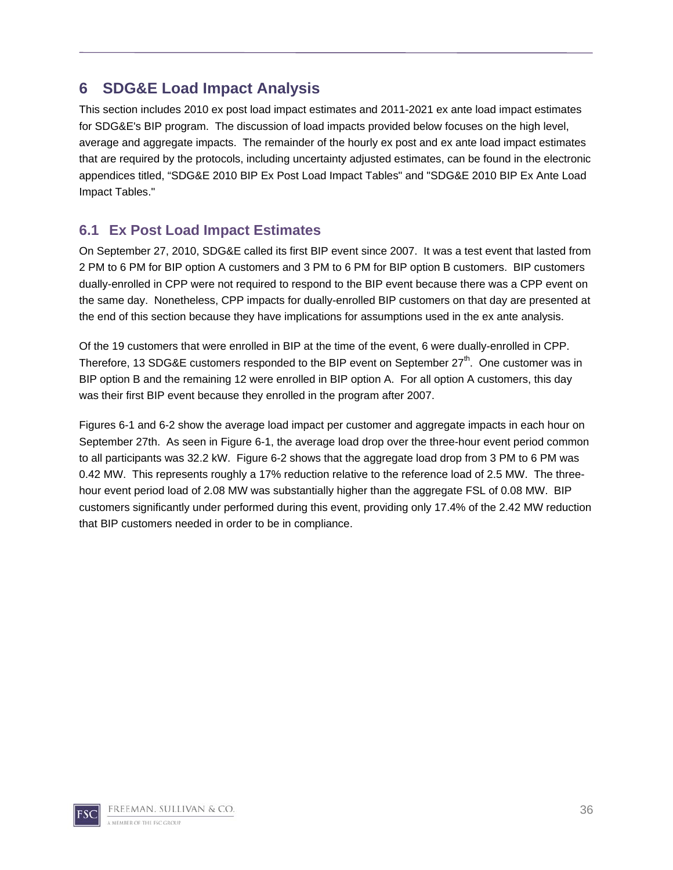## **6 SDG&E Load Impact Analysis**

This section includes 2010 ex post load impact estimates and 2011-2021 ex ante load impact estimates for SDG&E's BIP program. The discussion of load impacts provided below focuses on the high level, average and aggregate impacts. The remainder of the hourly ex post and ex ante load impact estimates that are required by the protocols, including uncertainty adjusted estimates, can be found in the electronic appendices titled, "SDG&E 2010 BIP Ex Post Load Impact Tables" and "SDG&E 2010 BIP Ex Ante Load Impact Tables."

### **6.1 Ex Post Load Impact Estimates**

On September 27, 2010, SDG&E called its first BIP event since 2007. It was a test event that lasted from 2 PM to 6 PM for BIP option A customers and 3 PM to 6 PM for BIP option B customers. BIP customers dually-enrolled in CPP were not required to respond to the BIP event because there was a CPP event on the same day. Nonetheless, CPP impacts for dually-enrolled BIP customers on that day are presented at the end of this section because they have implications for assumptions used in the ex ante analysis.

Of the 19 customers that were enrolled in BIP at the time of the event, 6 were dually-enrolled in CPP. Therefore, 13 SDG&E customers responded to the BIP event on September 27<sup>th</sup>. One customer was in BIP option B and the remaining 12 were enrolled in BIP option A. For all option A customers, this day was their first BIP event because they enrolled in the program after 2007.

Figures 6-1 and 6-2 show the average load impact per customer and aggregate impacts in each hour on September 27th. As seen in Figure 6-1, the average load drop over the three-hour event period common to all participants was 32.2 kW. Figure 6-2 shows that the aggregate load drop from 3 PM to 6 PM was 0.42 MW. This represents roughly a 17% reduction relative to the reference load of 2.5 MW. The threehour event period load of 2.08 MW was substantially higher than the aggregate FSL of 0.08 MW. BIP customers significantly under performed during this event, providing only 17.4% of the 2.42 MW reduction that BIP customers needed in order to be in compliance.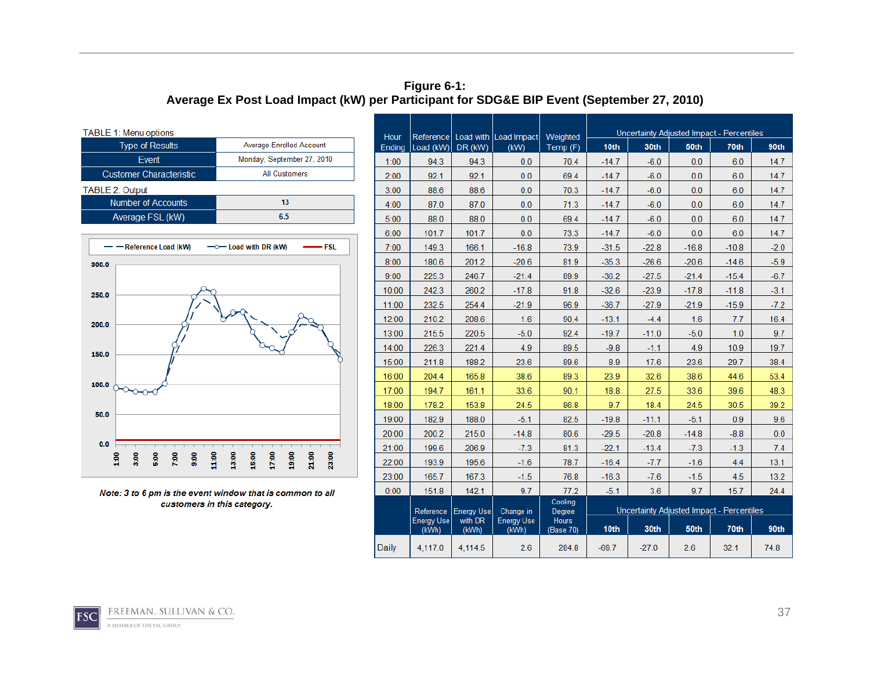#### **Figure 6-1: Average Ex Post Load Impact (kW) per Participant for SDG&E BIP Event (September 27, 2010)**

| Average Enrolled Account   |
|----------------------------|
| Monday, September 27, 2010 |
| <b>All Customers</b>       |
|                            |
| 13                         |
| 6.5                        |
|                            |



Note: 3 to 6 pm is the event window that is common to all customers in this category.

| Hour   |                            |                   | Reference   Load with   Load Impact | Weighted                  |         |         |         | Uncertainty Adjusted Impact - Percentiles |        |  |  |
|--------|----------------------------|-------------------|-------------------------------------|---------------------------|---------|---------|---------|-------------------------------------------|--------|--|--|
| Ending | Load $(kW)$ DR $(kW)$      |                   | (KW)                                | Temp (F)                  | 10th    | 30th    | 50th    | 70th                                      | 90th   |  |  |
| 1:00   | 94.3                       | 94.3              | 0.0                                 | 70.4                      | $-14.7$ | $-6.0$  | 0.0     | 6.0                                       | 14.7   |  |  |
| 2:00   | 92.1                       | 92.1              | 0.0                                 | 69.4                      | $-14.7$ | $-6.0$  | 0.0     | 6.0                                       | 14.7   |  |  |
| 3:00   | 88.6                       | 88.6              | 0.0                                 | 70.3                      | $-14.7$ | $-6.0$  | 0.0     | 6.0                                       | 14.7   |  |  |
| 4:00   | 87.0                       | 87.0              | 0.0                                 | 71.3                      | $-14.7$ | $-6.0$  | 0.0     | 6.0                                       | 14.7   |  |  |
| 5:00   | 88.0                       | 88.0              | 0.0                                 | 69.4                      | $-14.7$ | $-6.0$  | 0.0     | 6.0                                       | 14.7   |  |  |
| 6:00   | 101.7                      | 101.7             | 0.0                                 | 73.3                      | $-14.7$ | $-6.0$  | 0.0     | 6.0                                       | 14.7   |  |  |
| 7:00   | 149.3                      | 166.1             | $-16.8$                             | 73.9                      | $-31.5$ | $-22.8$ | $-16.8$ | $-10.8$                                   | $-2.0$ |  |  |
| 8:00   | 180.6                      | 201.2             | $-20.6$                             | 81.9                      | $-35.3$ | $-26.6$ | $-20.6$ | $-14.6$                                   | $-5.9$ |  |  |
| 9:00   | 225.3                      | 246.7             | $-21.4$                             | 89.9                      | $-36.2$ | $-27.5$ | $-21.4$ | $-15.4$                                   | $-6.7$ |  |  |
| 10:00  | 242.3                      | 260.2             | $-17.8$                             | 91.8                      | $-32.6$ | $-23.9$ | $-17.8$ | $-11.8$                                   | $-3.1$ |  |  |
| 11:00  | 232.5                      | 254.4             | $-21.9$                             | 96.9                      | $-36.7$ | $-27.9$ | $-21.9$ | $-15.9$                                   | $-7.2$ |  |  |
| 12:00  | 210.2                      | 208.6             | 1.6                                 | 90.4                      | $-13.1$ | $-4.4$  | 1.6     | 7.7                                       | 16.4   |  |  |
| 13:00  | 215.5                      | 220.5             | $-5.0$                              | 92.4                      | $-19.7$ | $-11.0$ | $-5.0$  | 1.0                                       | 9.7    |  |  |
| 14:00  | 226.3                      | 221.4             | 4.9                                 | 89.5                      | $-9.8$  | $-1.1$  | 4.9     | 10.9                                      | 19.7   |  |  |
| 15:00  | 211.8                      | 188.2             | 23.6                                | 89.6                      | 8.9     | 17.6    | 23.6    | 29.7                                      | 38.4   |  |  |
| 16:00  | 204.4                      | 165.8             | 38.6                                | 89.3                      | 23.9    | 32.6    | 38.6    | 44.6                                      | 53.4   |  |  |
| 17:00  | 194.7                      | 161.1             | 33.6                                | 90.1                      | 18.8    | 27.5    | 33.6    | 39.6                                      | 48.3   |  |  |
| 18:00  | 178.2                      | 153.8             | 24.5                                | 86.8                      | 9.7     | 18.4    | 24.5    | 30.5                                      | 39.2   |  |  |
| 19:00  | 182.9                      | 188.0             | $-5.1$                              | 82.5                      | $-19.8$ | $-11.1$ | $-5.1$  | 0.9                                       | 9.6    |  |  |
| 20:00  | 200.2                      | 215.0             | $-14.8$                             | 80.6                      | $-29.5$ | $-20.8$ | $-14.8$ | $-8.8$                                    | 0.0    |  |  |
| 21:00  | 199.6                      | 206.9             | $-7.3$                              | 81.3                      | $-22.1$ | $-13.4$ | $-7.3$  | $-1.3$                                    | 7.4    |  |  |
| 22:00  | 193.9                      | 195.6             | $-1.6$                              | 78.7                      | $-16.4$ | $-7.7$  | $-1.6$  | 4.4                                       | 13.1   |  |  |
| 23:00  | 165.7                      | 167.3             | $-1.5$                              | 76.8                      | $-16.3$ | $-7.6$  | $-1.5$  | 4.5                                       | 13.2   |  |  |
| 0:00   | 151.8                      | 142.1             | 9.7                                 | 77.2                      | $-5.1$  | 3.6     | 9.7     | 15.7                                      | 24.4   |  |  |
|        | Reference                  | <b>Energy Use</b> | Change in                           | Cooling<br>Degree         |         |         |         | Uncertainty Adjusted Impact - Percentiles |        |  |  |
|        | <b>Energy Use</b><br>(kWh) | with DR<br>(kWh)  | <b>Energy Use</b><br>(kWh)          | <b>Hours</b><br>(Base 70) | 10th    | 30th    | 50th    | 70th                                      | 90th   |  |  |
| Daily  | 4,117.0                    | 4.114.5           | 2.6                                 | 284.8                     | $-69.7$ | $-27.0$ | 2.6     | 32.1                                      | 74.8   |  |  |

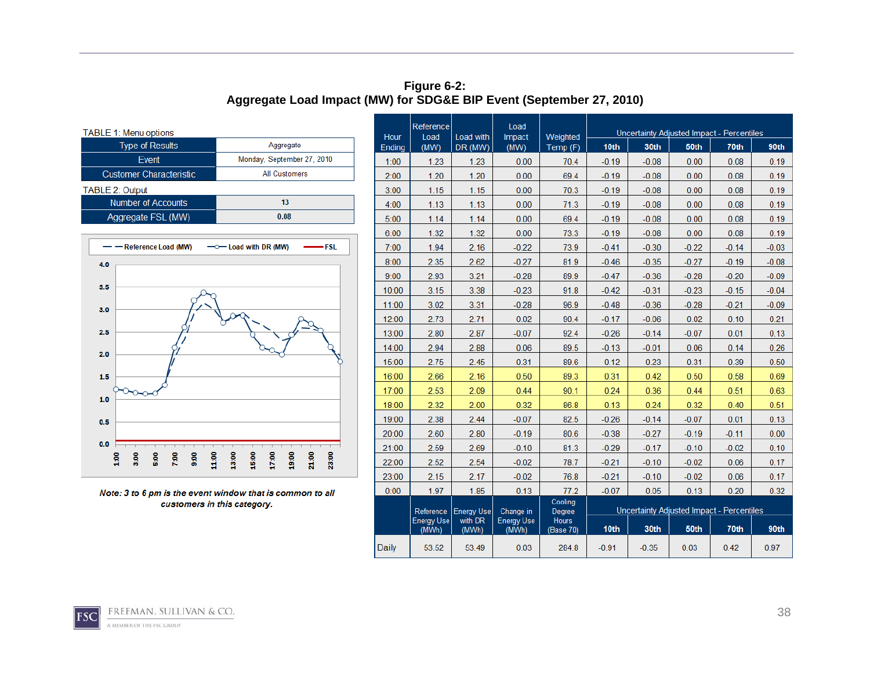#### **Figure 6-2: Aggregate Load Impact (MW) for SDG&E BIP Event (September 27, 2010)**

| <b>TABLE 1: Menu options</b>   |                            |
|--------------------------------|----------------------------|
| <b>Type of Results</b>         | Aggregate                  |
| Event                          | Monday, September 27, 2010 |
| <b>Customer Characteristic</b> | <b>All Customers</b>       |
| <b>TABLE 2: Output</b>         |                            |
| <b>Number of Accounts</b>      | 13                         |
| Aggregate FSL (MW)             | 0.08                       |



Note: 3 to 6 pm is the event window that is common to all customers in this category.

| Hour   | Reference<br>Load          | Load with         | Load                       | Weighted                  | Uncertainty Adjusted Impact - Percentiles |                                           |         |         |         |  |
|--------|----------------------------|-------------------|----------------------------|---------------------------|-------------------------------------------|-------------------------------------------|---------|---------|---------|--|
| Ending | (MW)                       | DR (MW)           | Impact<br>(MW)             | Temp (F)                  | 10th                                      | 30th                                      | 50th    | 70th    | 90th    |  |
| 1:00   | 1.23                       | 1.23              | 0.00                       | 70.4                      | $-0.19$                                   | $-0.08$                                   | 0.00    | 0.08    | 0.19    |  |
| 2:00   | 1.20                       | 1.20              | 0.00                       | 69.4                      | $-0.19$                                   | $-0.08$                                   | 0.00    | 0.08    | 0.19    |  |
| 3:00   | 1.15                       | 1.15              | 0.00                       | 70.3                      | $-0.19$                                   | $-0.08$                                   | 0.00    | 0.08    | 0.19    |  |
| 4:00   | 1.13                       | 1.13              | 0.00                       | 71.3                      | $-0.19$                                   | $-0.08$                                   | 0.00    | 0.08    | 0.19    |  |
| 5:00   | 1.14                       | 1.14              | 0.00                       | 69.4                      | $-0.19$                                   | $-0.08$                                   | 0.00    | 0.08    | 0.19    |  |
| 6:00   | 1.32                       | 1.32              | 0.00                       | 73.3                      | $-0.19$                                   | $-0.08$                                   | 0.00    | 0.08    | 0.19    |  |
| 7:00   | 1.94                       | 2.16              | $-0.22$                    | 73.9                      | $-0.41$                                   | $-0.30$                                   | $-0.22$ | $-0.14$ | $-0.03$ |  |
| 8:00   | 2.35                       | 2.62              | $-0.27$                    | 81.9                      | $-0.46$                                   | $-0.35$                                   | $-0.27$ | $-0.19$ | $-0.08$ |  |
| 9:00   | 2.93                       | 3.21              | $-0.28$                    | 89.9                      | $-0.47$                                   | $-0.36$                                   | $-0.28$ | $-0.20$ | $-0.09$ |  |
| 10:00  | 3.15                       | 3.38              | $-0.23$                    | 91.8                      | $-0.42$                                   | $-0.31$                                   | $-0.23$ | $-0.15$ | $-0.04$ |  |
| 11:00  | 3.02                       | 3.31              | $-0.28$                    | 96.9                      | $-0.48$                                   | $-0.36$                                   | $-0.28$ | $-0.21$ | $-0.09$ |  |
| 12:00  | 2.73                       | 2.71              | 0.02                       | 90.4                      | $-0.17$                                   | $-0.06$                                   | 0.02    | 0.10    | 0.21    |  |
| 13:00  | 2.80                       | 2.87              | $-0.07$                    | 92.4                      | $-0.26$                                   | $-0.14$                                   | $-0.07$ | 0.01    | 0.13    |  |
| 14:00  | 2.94                       | 2.88              | 0.06                       | 89.5                      | $-0.13$                                   | $-0.01$                                   | 0.06    | 0.14    | 0.26    |  |
| 15:00  | 2.75                       | 2.45              | 0.31                       | 89.6                      | 0.12                                      | 0.23                                      | 0.31    | 0.39    | 0.50    |  |
| 16:00  | 2.66                       | 2.16              | 0.50                       | 89.3                      | 0.31                                      | 0.42                                      | 0.50    | 0.58    | 0.69    |  |
| 17:00  | 2.53                       | 2.09              | 0.44                       | 90.1                      | 0.24                                      | 0.36                                      | 0.44    | 0.51    | 0.63    |  |
| 18:00  | 2.32                       | 2.00              | 0.32                       | 86.8                      | 0.13                                      | 0.24                                      | 0.32    | 0.40    | 0.51    |  |
| 19:00  | 2.38                       | 2.44              | $-0.07$                    | 82.5                      | $-0.26$                                   | $-0.14$                                   | $-0.07$ | 0.01    | 0.13    |  |
| 20:00  | 2.60                       | 2.80              | $-0.19$                    | 80.6                      | $-0.38$                                   | $-0.27$                                   | $-0.19$ | $-0.11$ | 0.00    |  |
| 21:00  | 2.59                       | 2.69              | $-0.10$                    | 81.3                      | $-0.29$                                   | $-0.17$                                   | $-0.10$ | $-0.02$ | 0.10    |  |
| 22:00  | 2.52                       | 2.54              | $-0.02$                    | 78.7                      | $-0.21$                                   | $-0.10$                                   | $-0.02$ | 0.06    | 0.17    |  |
| 23:00  | 2.15                       | 2.17              | $-0.02$                    | 76.8                      | $-0.21$                                   | $-0.10$                                   | $-0.02$ | 0.06    | 0.17    |  |
| 0:00   | 1.97                       | 1.85              | 0.13                       | 77.2                      | $-0.07$                                   | 0.05                                      | 0.13    | 0.20    | 0.32    |  |
|        | Reference                  | <b>Energy Use</b> | Change in                  | Cooling<br>Degree         |                                           | Uncertainty Adjusted Impact - Percentiles |         |         |         |  |
|        | <b>Energy Use</b><br>(MWh) | with DR<br>(MWh)  | <b>Energy Use</b><br>(MWh) | <b>Hours</b><br>(Base 70) | 10 <sub>th</sub>                          | 30th                                      | 50th    | 70th    | 90th    |  |
| Daily  | 53.52                      | 53.49             | 0.03                       | 284.8                     | $-0.91$                                   | $-0.35$                                   | 0.03    | 0.42    | 0.97    |  |

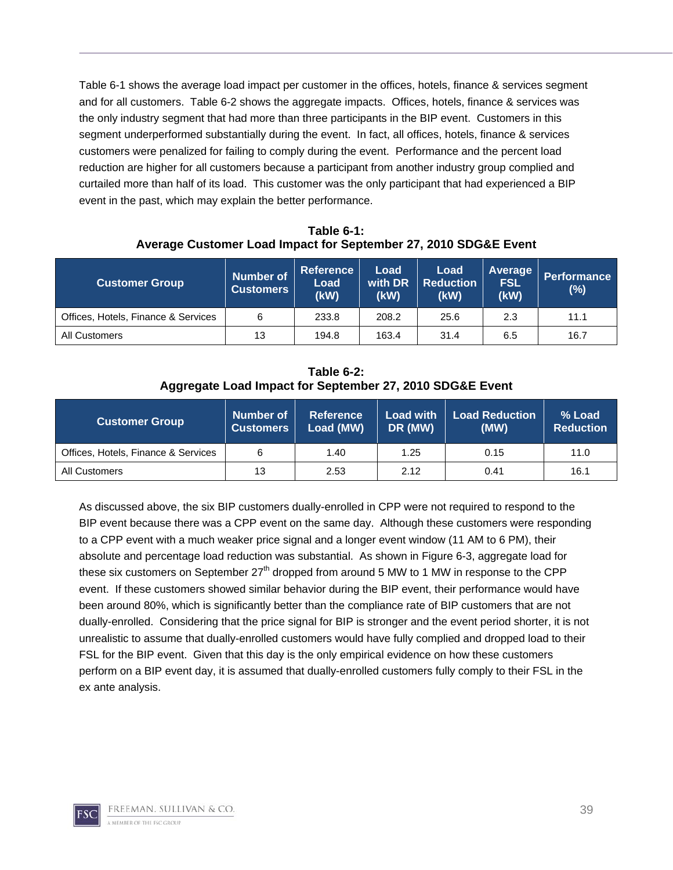Table 6-1 shows the average load impact per customer in the offices, hotels, finance & services segment and for all customers. Table 6-2 shows the aggregate impacts. Offices, hotels, finance & services was the only industry segment that had more than three participants in the BIP event. Customers in this segment underperformed substantially during the event. In fact, all offices, hotels, finance & services customers were penalized for failing to comply during the event. Performance and the percent load reduction are higher for all customers because a participant from another industry group complied and curtailed more than half of its load. This customer was the only participant that had experienced a BIP event in the past, which may explain the better performance.

**Table 6-1: Average Customer Load Impact for September 27, 2010 SDG&E Event** 

| <b>Customer Group</b>               | <b>Number of</b><br><b>Customers</b> | <b>Reference</b><br><b>Load</b><br>(kW) | Load<br>with DR<br>(kW) | Load<br><b>Reduction</b><br>(kW) | Average<br><b>FSL</b><br>(kW) | <b>Performance</b><br>$(\%)$ |  |
|-------------------------------------|--------------------------------------|-----------------------------------------|-------------------------|----------------------------------|-------------------------------|------------------------------|--|
| Offices, Hotels, Finance & Services | 6                                    | 233.8                                   | 208.2                   | 25.6                             | 2.3                           | 11.1                         |  |
| All Customers                       | 13                                   | 194.8                                   | 163.4                   | 31.4                             | 6.5                           | 16.7                         |  |

**Table 6-2: Aggregate Load Impact for September 27, 2010 SDG&E Event** 

| <b>Customer Group</b>               | Number of<br><b>Customers</b> | <b>Reference</b><br>Load (MW) | <b>Load with</b><br>DR (MW) | <b>Load Reduction</b><br>(MW) | % Load<br><b>Reduction</b> |
|-------------------------------------|-------------------------------|-------------------------------|-----------------------------|-------------------------------|----------------------------|
| Offices, Hotels, Finance & Services |                               | 1.40                          | 1.25                        | 0.15                          | 11.0                       |
| All Customers                       | 13                            | 2.53                          | 2.12                        | 0.41                          | 16.1                       |

As discussed above, the six BIP customers dually-enrolled in CPP were not required to respond to the BIP event because there was a CPP event on the same day. Although these customers were responding to a CPP event with a much weaker price signal and a longer event window (11 AM to 6 PM), their absolute and percentage load reduction was substantial. As shown in Figure 6-3, aggregate load for these six customers on September  $27<sup>th</sup>$  dropped from around 5 MW to 1 MW in response to the CPP event. If these customers showed similar behavior during the BIP event, their performance would have been around 80%, which is significantly better than the compliance rate of BIP customers that are not dually-enrolled. Considering that the price signal for BIP is stronger and the event period shorter, it is not unrealistic to assume that dually-enrolled customers would have fully complied and dropped load to their FSL for the BIP event. Given that this day is the only empirical evidence on how these customers perform on a BIP event day, it is assumed that dually-enrolled customers fully comply to their FSL in the ex ante analysis.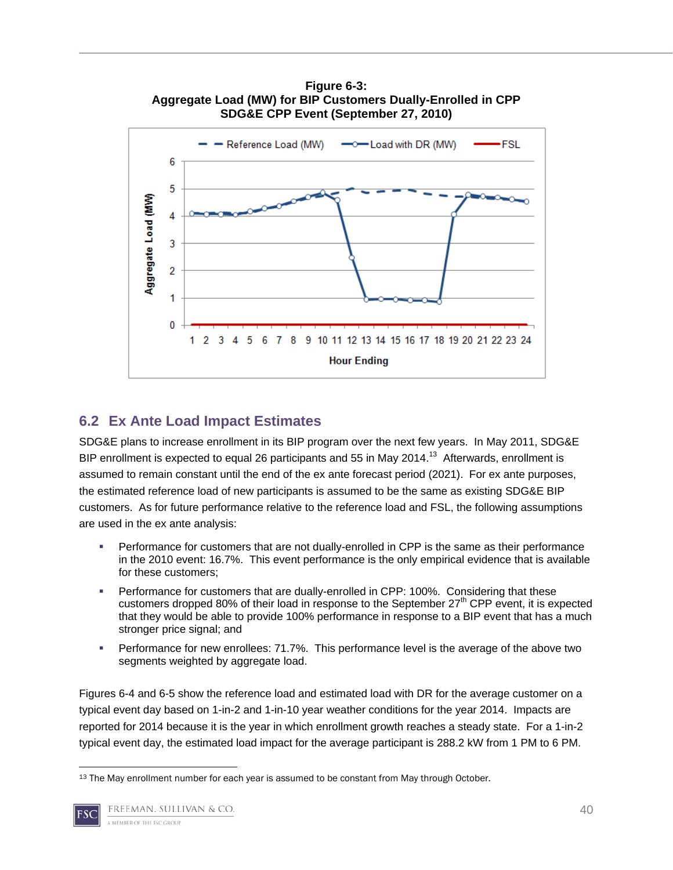

# **Figure 6-3:**

## **6.2 Ex Ante Load Impact Estimates**

SDG&E plans to increase enrollment in its BIP program over the next few years. In May 2011, SDG&E BIP enrollment is expected to equal 26 participants and 55 in May 2014.<sup>13</sup> Afterwards, enrollment is assumed to remain constant until the end of the ex ante forecast period (2021). For ex ante purposes, the estimated reference load of new participants is assumed to be the same as existing SDG&E BIP customers. As for future performance relative to the reference load and FSL, the following assumptions are used in the ex ante analysis:

- Performance for customers that are not dually-enrolled in CPP is the same as their performance in the 2010 event: 16.7%. This event performance is the only empirical evidence that is available for these customers;
- Performance for customers that are dually-enrolled in CPP: 100%. Considering that these customers dropped 80% of their load in response to the September 27<sup>th</sup> CPP event, it is expected that they would be able to provide 100% performance in response to a BIP event that has a much stronger price signal; and
- Performance for new enrollees: 71.7%. This performance level is the average of the above two segments weighted by aggregate load.

Figures 6-4 and 6-5 show the reference load and estimated load with DR for the average customer on a typical event day based on 1-in-2 and 1-in-10 year weather conditions for the year 2014. Impacts are reported for 2014 because it is the year in which enrollment growth reaches a steady state. For a 1-in-2 typical event day, the estimated load impact for the average participant is 288.2 kW from 1 PM to 6 PM.

 <sup>13</sup> The May enrollment number for each year is assumed to be constant from May through October.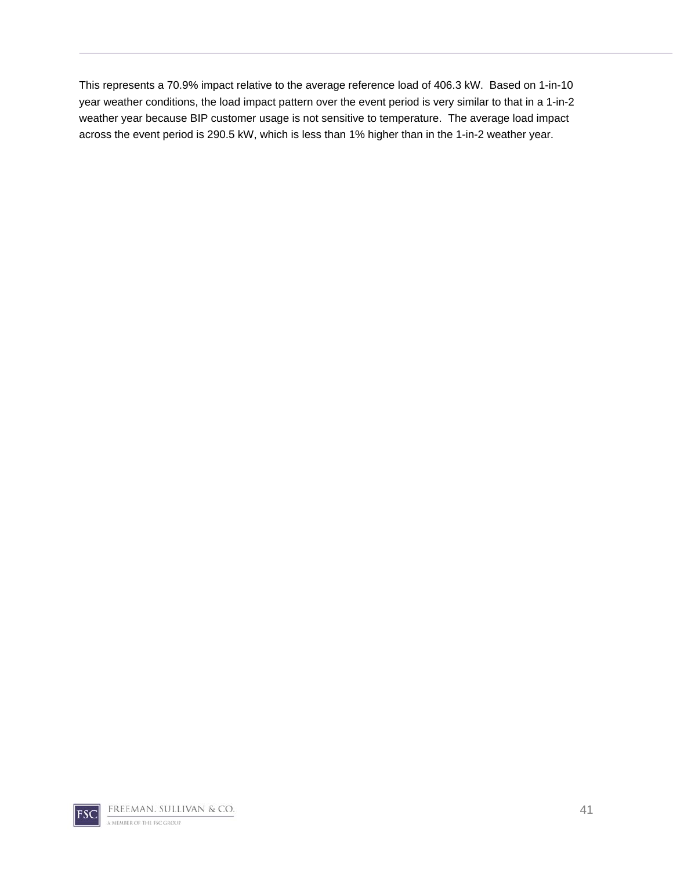This represents a 70.9% impact relative to the average reference load of 406.3 kW. Based on 1-in-10 year weather conditions, the load impact pattern over the event period is very similar to that in a 1-in-2 weather year because BIP customer usage is not sensitive to temperature. The average load impact across the event period is 290.5 kW, which is less than 1% higher than in the 1-in-2 weather year.

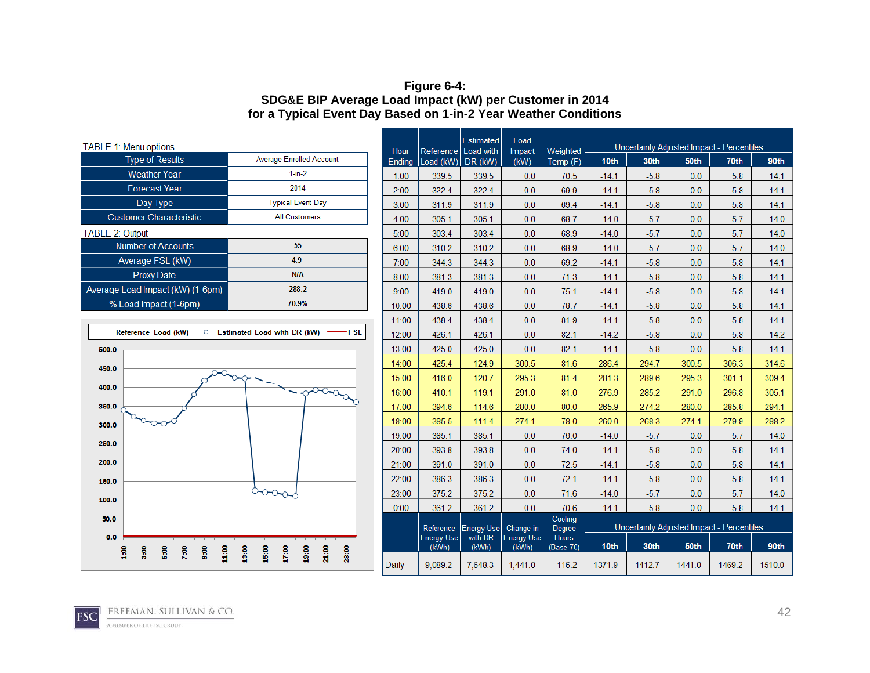#### **Figure 6-4: SDG&E BIP Average Load Impact (kW) per Customer in 2014 for a Typical Event Day Based on 1-in-2 Year Weather Conditions**

| TABLE 1: Menu options                                                        |                                                    |                | Estimated<br>Load<br>Reference Load with |                   |                            |                      | Uncertainty Adjusted Impact - Percentiles |        |        |                                           |        |  |
|------------------------------------------------------------------------------|----------------------------------------------------|----------------|------------------------------------------|-------------------|----------------------------|----------------------|-------------------------------------------|--------|--------|-------------------------------------------|--------|--|
| <b>Type of Results</b>                                                       | <b>Average Enrolled Account</b>                    | Hour<br>Ending | Load (kW) DR (kW)                        |                   | Impact<br>(kW)             | Weighted<br>Temp (F) | 10th                                      | 30th   | 50th   | 70th                                      | 90th   |  |
| <b>Weather Year</b>                                                          | $1-in-2$                                           | 1:00           | 339.5                                    | 339.5             | 0.0                        | 70.5                 | $-14.1$                                   | $-5.8$ | 0.0    | 5.8                                       | 14.1   |  |
| <b>Forecast Year</b>                                                         | 2014                                               | 2:00           | 322.4                                    | 322.4             | 0.0                        | 69.9                 | $-14.1$                                   | $-5.8$ | 0.0    | 5.8                                       | 14.1   |  |
| Day Type                                                                     | <b>Typical Event Day</b>                           | 3:00           | 311.9                                    | 311.9             | 0.0                        | 69.4                 | $-14.1$                                   | $-5.8$ | 0.0    | 5.8                                       | 14.1   |  |
| <b>Customer Characteristic</b>                                               | <b>All Customers</b>                               | 4:00           | 305.1                                    | 305.1             | 0.0                        | 68.7                 | $-14.0$                                   | $-5.7$ | 0.0    | 5.7                                       | 14.0   |  |
| TABLE 2: Output                                                              |                                                    | 5:00           | 303.4                                    | 303.4             | 0.0                        | 68.9                 | $-14.0$                                   | $-5.7$ | 0.0    | 5.7                                       | 14.0   |  |
| <b>Number of Accounts</b>                                                    | 55                                                 | 6:00           | 310.2                                    | 310.2             | 0.0                        | 68.9                 | $-14.0$                                   | $-5.7$ | 0.0    | 5.7                                       | 14.0   |  |
| Average FSL (kW)                                                             | 4.9                                                | 7:00           | 344.3                                    | 344.3             | 0.0                        | 69.2                 | $-14.1$                                   | $-5.8$ | 0.0    | 5.8                                       | 14.1   |  |
| <b>Proxy Date</b>                                                            | N/A                                                | 8:00           | 381.3                                    | 381.3             | 0.0                        | 71.3                 | $-14.1$                                   | $-5.8$ | 0.0    | 5.8                                       | 14.1   |  |
| Average Load Impact (kW) (1-6pm)                                             | 288.2                                              | 9:00           | 419.0                                    | 419.0             | 0.0                        | 75.1                 | $-14.1$                                   | $-5.8$ | 0.0    | 5.8                                       | 14.1   |  |
| % Load Impact (1-6pm)                                                        | 70.9%                                              | 10:00          | 438.6                                    | 438.6             | 0.0                        | 78.7                 | $-14.1$                                   | $-5.8$ | 0.0    | 5.8                                       | 14.1   |  |
|                                                                              |                                                    | 11:00          | 438.4                                    | 438.4             | 0.0                        | 81.9                 | $-14.1$                                   | $-5.8$ | 0.0    | 5.8                                       | 14.1   |  |
| - Reference Load (kW) - - C- Estimated Load with DR (kW)                     | -FSL                                               | 12:00          | 426.1                                    | 426.1             | 0.0                        | 82.1                 | $-14.2$                                   | $-5.8$ | 0.0    | 5.8                                       | 14.2   |  |
| 500.0                                                                        |                                                    | 13:00          | 425.0                                    | 425.0             | 0.0                        | 82.1                 | $-14.1$                                   | $-5.8$ | 0.0    | 5.8                                       | 14.1   |  |
| 450.0                                                                        |                                                    | 14:00          | 425.4                                    | 124.9             | 300.5                      | 81.6                 | 286.4                                     | 294.7  | 300.5  | 306.3                                     | 314.6  |  |
|                                                                              |                                                    | 15:00          | 416.0                                    | 120.7             | 295.3                      | 81.4                 | 281.3                                     | 289.6  | 295.3  | 301.1                                     | 309.4  |  |
| 400.0                                                                        | $\sqrt{2\pi\sigma\sigma_{\alpha}}$                 | 16:00          | 410.1                                    | 119.1             | 291.0                      | 81.0                 | 276.9                                     | 285.2  | 291.0  | 296.8                                     | 305.1  |  |
| 350.0                                                                        |                                                    | 17:00          | 394.6                                    | 114.6             | 280.0                      | 80.0                 | 265.9                                     | 274.2  | 280.0  | 285.8                                     | 294.1  |  |
| 300.0                                                                        |                                                    | 18:00          | 385.5                                    | 111.4             | 274.1                      | 78.0                 | 260.0                                     | 268.3  | 274.1  | 279.9                                     | 288.2  |  |
| 250.0                                                                        |                                                    | 19:00          | 385.1                                    | 385.1             | 0.0                        | 76.0                 | $-14.0$                                   | $-5.7$ | 0.0    | 5.7                                       | 14.0   |  |
|                                                                              |                                                    | 20:00          | 393.8                                    | 393.8             | 0.0                        | 74.0                 | $-14.1$                                   | $-5.8$ | 0.0    | 5.8                                       | 14.1   |  |
| 200.0                                                                        |                                                    | 21:00          | 391.0                                    | 391.0             | 0.0                        | 72.5                 | $-14.1$                                   | $-5.8$ | 0.0    | 5.8                                       | 14.1   |  |
| 150.0                                                                        |                                                    | 22:00          | 386.3                                    | 386.3             | 0.0                        | 72.1                 | $-14.1$                                   | $-5.8$ | 0.0    | 5.8                                       | 14.1   |  |
| 100.0                                                                        | $\sim$ $\sim$                                      | 23:00          | 375.2                                    | 375.2             | 0.0                        | 71.6                 | $-14.0$                                   | $-5.7$ | 0.0    | 5.7                                       | 14.0   |  |
|                                                                              |                                                    | 0:00           | 361.2                                    | 361.2             | 0.0                        | 70.6                 | $-14.1$                                   | $-5.8$ | 0.0    | 5.8                                       | 14.1   |  |
| 50.0                                                                         |                                                    |                | Reference                                | <b>Energy Use</b> | Change in                  | Cooling<br>Degree    |                                           |        |        | Uncertainty Adjusted Impact - Percentiles |        |  |
| 0.0                                                                          |                                                    |                | <b>Energy Use</b><br>(kWh)               | with DR<br>(kWh)  | <b>Energy Use</b><br>(kWh) | Hours<br>(Base 70)   | 10th                                      | 30th   | 50th   | 70th                                      | 90th   |  |
| 7:00<br>$\frac{6}{9}$<br>11.00<br>3:00<br>$\mathbf{5:50}$<br>$\frac{6}{100}$ | 18:00<br>13:00<br>15:00<br>17:00<br>21:00<br>23:00 | <b>Daily</b>   | 9,089.2                                  | 7,648.3           | 1,441.0                    | 116.2                | 1371.9                                    | 1412.7 | 1441.0 | 1469.2                                    | 1510.0 |  |



42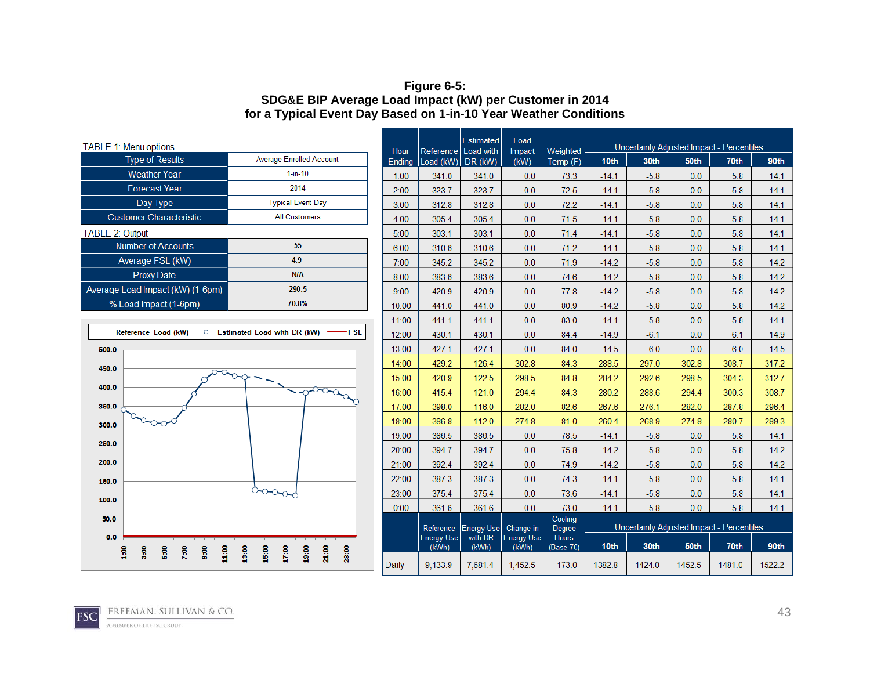#### **Figure 6-5: SDG&E BIP Average Load Impact (kW) per Customer in 2014 for a Typical Event Day Based on 1-in-10 Year Weather Conditions**

| <b>TABLE 1: Menu options</b>                            |                                 | Hour       | Referen  |
|---------------------------------------------------------|---------------------------------|------------|----------|
| <b>Type of Results</b>                                  | <b>Average Enrolled Account</b> | Ending     | Load (k) |
| <b>Weather Year</b>                                     | $1$ -in-10                      | 1:00       | 341.     |
| <b>Forecast Year</b>                                    | 2014                            | 2:00       | 323.     |
| Day Type                                                | <b>Typical Event Day</b>        | 3:00       | 312.1    |
| <b>Customer Characteristic</b>                          | <b>All Customers</b>            | 4:00       | 305.4    |
| <b>TABLE 2: Output</b>                                  |                                 | 5:00       | 303.     |
| <b>Number of Accounts</b>                               | 55                              | 6:00       | 310.0    |
| Average FSL (kW)                                        | 4.9                             | 7:00       | 345.     |
| <b>Proxy Date</b>                                       | N/A                             | 8:00       | 383.     |
| Average Load Impact (kW) (1-6pm)                        | 290.5                           | 9:00       | 420.     |
| % Load Impact (1-6pm)                                   | 70.8%                           | 10:00      | 441.     |
|                                                         | 11:00                           | 441.       |          |
| $-$ Peference Load (kW) $-$ Fetimated Load with DP (kW) | $\sqrt{2}$                      | $\sqrt{2}$ |          |



| Hour         | Reference Load with        | Estimated         | Load<br>Impact             | Weighted                  | Uncertainty Adjusted Impact - Percentiles |        |        |        |        |  |
|--------------|----------------------------|-------------------|----------------------------|---------------------------|-------------------------------------------|--------|--------|--------|--------|--|
| Ending       | Load (kW) DR (kW)          |                   | (kW)                       | Temp (F)                  | 10 <sub>th</sub>                          | 30th   | 50th   | 70th   | 90th   |  |
| 1:00         | 341.0                      | 341.0             | 0.0                        | 73.3                      | $-14.1$                                   | $-5.8$ | 0.0    | 5.8    | 14.1   |  |
| 2:00         | 323.7                      | 323.7             | 0.0                        | 72.5                      | $-14.1$                                   | $-5.8$ | 0.0    | 5.8    | 14.1   |  |
| 3:00         | 312.8                      | 312.8             | 0.0                        | 72.2                      | $-14.1$                                   | $-5.8$ | 0.0    | 5.8    | 14.1   |  |
| 4:00         | 305.4                      | 305.4             | 0.0                        | 71.5                      | $-14.1$                                   | $-5.8$ | 0.0    | 5.8    | 14.1   |  |
| 5:00         | 303.1                      | 303.1             | 0.0                        | 71.4                      | $-14.1$                                   | $-5.8$ | 0.0    | 5.8    | 14.1   |  |
| 6:00         | 310.6                      | 310.6             | 0.0                        | 71.2                      | $-14.1$                                   | $-5.8$ | 0.0    | 5.8    | 14.1   |  |
| 7:00         | 345.2                      | 345.2             | 0.0                        | 71.9                      | $-14.2$                                   | $-5.8$ | 0.0    | 5.8    | 14.2   |  |
| 8:00         | 383.6                      | 383.6             | 0.0                        | 74.6                      | $-14.2$                                   | $-5.8$ | 0.0    | 5.8    | 14.2   |  |
| 9:00         | 420.9                      | 420.9             | 0.0                        | 77.8                      | $-14.2$                                   | $-5.8$ | 0.0    | 5.8    | 14.2   |  |
| 10:00        | 441.0                      | 441.0             | 0.0                        | 80.9                      | $-14.2$                                   | $-5.8$ | 0.0    | 5.8    | 14.2   |  |
| 11:00        | 441.1                      | 441.1             | 0.0                        | 83.0                      | $-14.1$                                   | $-5.8$ | 0.0    | 5.8    | 14.1   |  |
| 12:00        | 430.1                      | 430.1             | 0.0                        | 84.4                      | $-14.9$                                   | $-6.1$ | 0.0    | 6.1    | 14.9   |  |
| 13:00        | 427.1                      | 427.1             | 0.0                        | 84.0                      | $-14.5$                                   | $-6.0$ | 0.0    | 6.0    | 14.5   |  |
| 14:00        | 429.2                      | 126.4             | 302.8                      | 84.3                      | 288.5                                     | 297.0  | 302.8  | 308.7  | 317.2  |  |
| 15:00        | 420.9                      | 122.5             | 298.5                      | 84.8                      | 284.2                                     | 292.6  | 298.5  | 304.3  | 312.7  |  |
| 16:00        | 415.4                      | 121.0             | 294.4                      | 84.3                      | 280.2                                     | 288.6  | 294.4  | 300.3  | 308.7  |  |
| 17:00        | 398.0                      | 116.0             | 282.0                      | 82.6                      | 267.6                                     | 276.1  | 282.0  | 287.8  | 296.4  |  |
| 18:00        | 386.8                      | 112.0             | 274.8                      | 81.0                      | 260.4                                     | 268.9  | 274.8  | 280.7  | 289.3  |  |
| 19:00        | 386.5                      | 386.5             | 0.0                        | 78.5                      | $-14.1$                                   | $-5.8$ | 0.0    | 5.8    | 14.1   |  |
| 20:00        | 394.7                      | 394.7             | 0.0                        | 75.8                      | $-14.2$                                   | $-5.8$ | 0.0    | 5.8    | 14.2   |  |
| 21:00        | 392.4                      | 392.4             | 0.0                        | 74.9                      | $-14.2$                                   | $-5.8$ | 0.0    | 5.8    | 14.2   |  |
| 22:00        | 387.3                      | 387.3             | 0.0                        | 74.3                      | $-14.1$                                   | $-5.8$ | 0.0    | 5.8    | 14.1   |  |
| 23:00        | 375.4                      | 375.4             | 0.0                        | 73.6                      | $-14.1$                                   | $-5.8$ | 0.0    | 5.8    | 14.1   |  |
| 0:00         | 361.6                      | 361.6             | 0.0                        | 73.0                      | $-14.1$                                   | $-5.8$ | 0.0    | 5.8    | 14.1   |  |
|              | Reference                  | <b>Energy Use</b> | Change in                  | Cooling<br>Degree         | Uncertainty Adjusted Impact - Percentiles |        |        |        |        |  |
|              | <b>Energy Use</b><br>(kWh) | with DR<br>(kWh)  | <b>Energy Use</b><br>(kWh) | <b>Hours</b><br>(Base 70) | 10th                                      | 30th   | 50th   | 70th   | 90th   |  |
| <b>Daily</b> | 9,133.9                    | 7.681.4           | 1,452.5                    | 173.0                     | 1382.8                                    | 1424.0 | 1452.5 | 1481.0 | 1522.2 |  |

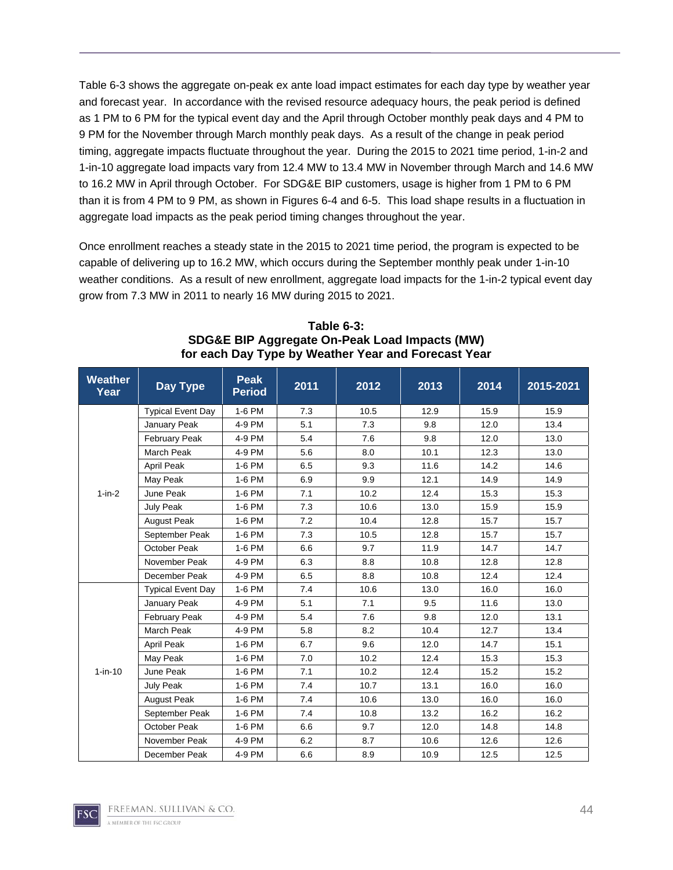Table 6-3 shows the aggregate on-peak ex ante load impact estimates for each day type by weather year and forecast year. In accordance with the revised resource adequacy hours, the peak period is defined as 1 PM to 6 PM for the typical event day and the April through October monthly peak days and 4 PM to 9 PM for the November through March monthly peak days. As a result of the change in peak period timing, aggregate impacts fluctuate throughout the year. During the 2015 to 2021 time period, 1-in-2 and 1-in-10 aggregate load impacts vary from 12.4 MW to 13.4 MW in November through March and 14.6 MW to 16.2 MW in April through October. For SDG&E BIP customers, usage is higher from 1 PM to 6 PM than it is from 4 PM to 9 PM, as shown in Figures 6-4 and 6-5. This load shape results in a fluctuation in aggregate load impacts as the peak period timing changes throughout the year.

Once enrollment reaches a steady state in the 2015 to 2021 time period, the program is expected to be capable of delivering up to 16.2 MW, which occurs during the September monthly peak under 1-in-10 weather conditions. As a result of new enrollment, aggregate load impacts for the 1-in-2 typical event day grow from 7.3 MW in 2011 to nearly 16 MW during 2015 to 2021.

| <b>Weather</b><br>Year | Day Type                 | <b>Peak</b><br><b>Period</b> | 2011 | 2012 | 2013 | 2014 | 2015-2021 |
|------------------------|--------------------------|------------------------------|------|------|------|------|-----------|
|                        | <b>Typical Event Day</b> | 1-6 PM                       | 7.3  | 10.5 | 12.9 | 15.9 | 15.9      |
|                        | January Peak             | 4-9 PM                       | 5.1  | 7.3  | 9.8  | 12.0 | 13.4      |
|                        | February Peak            | 4-9 PM                       | 5.4  | 7.6  | 9.8  | 12.0 | 13.0      |
|                        | <b>March Peak</b>        | 4-9 PM                       | 5.6  | 8.0  | 10.1 | 12.3 | 13.0      |
|                        | <b>April Peak</b>        | 1-6 PM                       | 6.5  | 9.3  | 11.6 | 14.2 | 14.6      |
|                        | May Peak                 | 1-6 PM                       | 6.9  | 9.9  | 12.1 | 14.9 | 14.9      |
| $1-in-2$               | June Peak                | 1-6 PM                       | 7.1  | 10.2 | 12.4 | 15.3 | 15.3      |
|                        | July Peak                | 1-6 PM                       | 7.3  | 10.6 | 13.0 | 15.9 | 15.9      |
|                        | August Peak              | 1-6 PM                       | 7.2  | 10.4 | 12.8 | 15.7 | 15.7      |
|                        | September Peak           | 1-6 PM                       | 7.3  | 10.5 | 12.8 | 15.7 | 15.7      |
|                        | October Peak             | 1-6 PM                       | 6.6  | 9.7  | 11.9 | 14.7 | 14.7      |
|                        | November Peak            | 4-9 PM                       | 6.3  | 8.8  | 10.8 | 12.8 | 12.8      |
|                        | December Peak            | 4-9 PM                       | 6.5  | 8.8  | 10.8 | 12.4 | 12.4      |
|                        | <b>Typical Event Day</b> | 1-6 PM                       | 7.4  | 10.6 | 13.0 | 16.0 | 16.0      |
|                        | January Peak             | 4-9 PM                       | 5.1  | 7.1  | 9.5  | 11.6 | 13.0      |
|                        | <b>February Peak</b>     | 4-9 PM                       | 5.4  | 7.6  | 9.8  | 12.0 | 13.1      |
|                        | March Peak               | 4-9 PM                       | 5.8  | 8.2  | 10.4 | 12.7 | 13.4      |
|                        | <b>April Peak</b>        | 1-6 PM                       | 6.7  | 9.6  | 12.0 | 14.7 | 15.1      |
|                        | May Peak                 | 1-6 PM                       | 7.0  | 10.2 | 12.4 | 15.3 | 15.3      |
| $1 - in - 10$          | June Peak                | 1-6 PM                       | 7.1  | 10.2 | 12.4 | 15.2 | 15.2      |
|                        | July Peak                | 1-6 PM                       | 7.4  | 10.7 | 13.1 | 16.0 | 16.0      |
|                        | <b>August Peak</b>       | 1-6 PM                       | 7.4  | 10.6 | 13.0 | 16.0 | 16.0      |
|                        | September Peak           | 1-6 PM                       | 7.4  | 10.8 | 13.2 | 16.2 | 16.2      |
|                        | October Peak             | 1-6 PM                       | 6.6  | 9.7  | 12.0 | 14.8 | 14.8      |
|                        | November Peak            | 4-9 PM                       | 6.2  | 8.7  | 10.6 | 12.6 | 12.6      |
|                        | December Peak            | 4-9 PM                       | 6.6  | 8.9  | 10.9 | 12.5 | 12.5      |

**Table 6-3: SDG&E BIP Aggregate On-Peak Load Impacts (MW) for each Day Type by Weather Year and Forecast Year** 

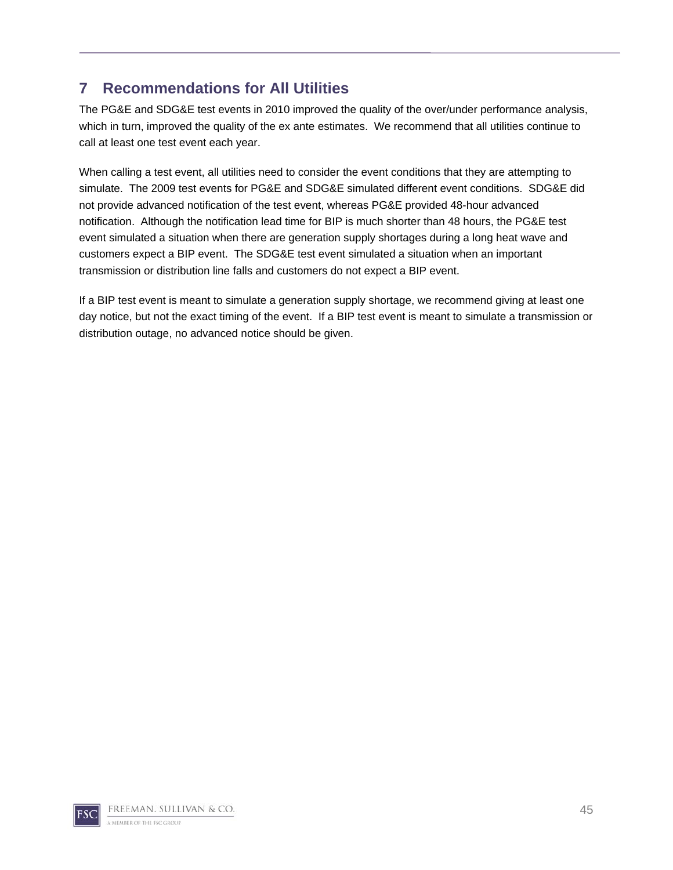# **7 Recommendations for All Utilities**

The PG&E and SDG&E test events in 2010 improved the quality of the over/under performance analysis, which in turn, improved the quality of the ex ante estimates. We recommend that all utilities continue to call at least one test event each year.

When calling a test event, all utilities need to consider the event conditions that they are attempting to simulate. The 2009 test events for PG&E and SDG&E simulated different event conditions. SDG&E did not provide advanced notification of the test event, whereas PG&E provided 48-hour advanced notification. Although the notification lead time for BIP is much shorter than 48 hours, the PG&E test event simulated a situation when there are generation supply shortages during a long heat wave and customers expect a BIP event. The SDG&E test event simulated a situation when an important transmission or distribution line falls and customers do not expect a BIP event.

If a BIP test event is meant to simulate a generation supply shortage, we recommend giving at least one day notice, but not the exact timing of the event. If a BIP test event is meant to simulate a transmission or distribution outage, no advanced notice should be given.

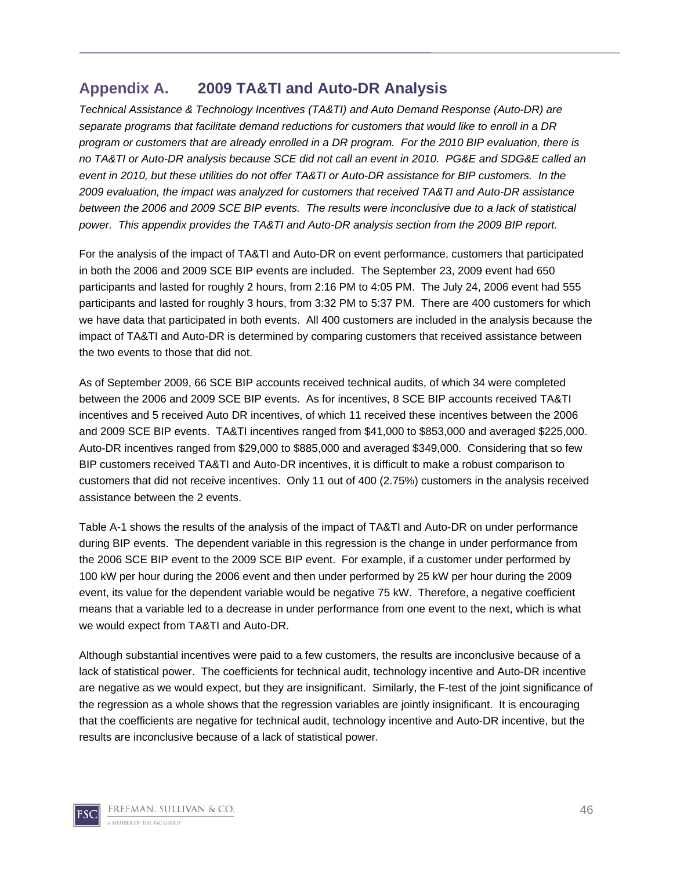## **Appendix A. 2009 TA&TI and Auto-DR Analysis**

*Technical Assistance & Technology Incentives (TA&TI) and Auto Demand Response (Auto-DR) are separate programs that facilitate demand reductions for customers that would like to enroll in a DR program or customers that are already enrolled in a DR program. For the 2010 BIP evaluation, there is no TA&TI or Auto-DR analysis because SCE did not call an event in 2010. PG&E and SDG&E called an event in 2010, but these utilities do not offer TA&TI or Auto-DR assistance for BIP customers. In the 2009 evaluation, the impact was analyzed for customers that received TA&TI and Auto-DR assistance between the 2006 and 2009 SCE BIP events. The results were inconclusive due to a lack of statistical power. This appendix provides the TA&TI and Auto-DR analysis section from the 2009 BIP report.* 

For the analysis of the impact of TA&TI and Auto-DR on event performance, customers that participated in both the 2006 and 2009 SCE BIP events are included. The September 23, 2009 event had 650 participants and lasted for roughly 2 hours, from 2:16 PM to 4:05 PM. The July 24, 2006 event had 555 participants and lasted for roughly 3 hours, from 3:32 PM to 5:37 PM. There are 400 customers for which we have data that participated in both events. All 400 customers are included in the analysis because the impact of TA&TI and Auto-DR is determined by comparing customers that received assistance between the two events to those that did not.

As of September 2009, 66 SCE BIP accounts received technical audits, of which 34 were completed between the 2006 and 2009 SCE BIP events. As for incentives, 8 SCE BIP accounts received TA&TI incentives and 5 received Auto DR incentives, of which 11 received these incentives between the 2006 and 2009 SCE BIP events. TA&TI incentives ranged from \$41,000 to \$853,000 and averaged \$225,000. Auto-DR incentives ranged from \$29,000 to \$885,000 and averaged \$349,000. Considering that so few BIP customers received TA&TI and Auto-DR incentives, it is difficult to make a robust comparison to customers that did not receive incentives. Only 11 out of 400 (2.75%) customers in the analysis received assistance between the 2 events.

Table A-1 shows the results of the analysis of the impact of TA&TI and Auto-DR on under performance during BIP events. The dependent variable in this regression is the change in under performance from the 2006 SCE BIP event to the 2009 SCE BIP event. For example, if a customer under performed by 100 kW per hour during the 2006 event and then under performed by 25 kW per hour during the 2009 event, its value for the dependent variable would be negative 75 kW. Therefore, a negative coefficient means that a variable led to a decrease in under performance from one event to the next, which is what we would expect from TA&TI and Auto-DR.

Although substantial incentives were paid to a few customers, the results are inconclusive because of a lack of statistical power. The coefficients for technical audit, technology incentive and Auto-DR incentive are negative as we would expect, but they are insignificant. Similarly, the F-test of the joint significance of the regression as a whole shows that the regression variables are jointly insignificant. It is encouraging that the coefficients are negative for technical audit, technology incentive and Auto-DR incentive, but the results are inconclusive because of a lack of statistical power.

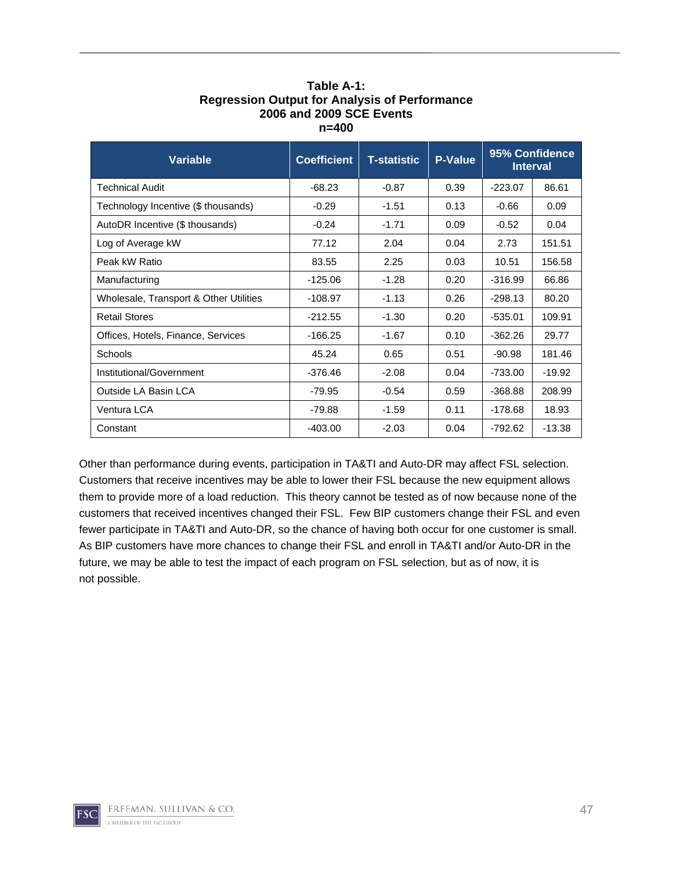| <b>Variable</b>                        | <b>Coefficient</b><br><b>T-statistic</b> |         | <b>P-Value</b> |           | 95% Confidence<br><b>Interval</b> |
|----------------------------------------|------------------------------------------|---------|----------------|-----------|-----------------------------------|
| Technical Audit                        | $-68.23$                                 | $-0.87$ | 0.39           | $-223.07$ | 86.61                             |
| Technology Incentive (\$ thousands)    | $-0.29$                                  | $-1.51$ | 0.13           | $-0.66$   | 0.09                              |
| AutoDR Incentive (\$ thousands)        | $-0.24$                                  | $-1.71$ | 0.09           | $-0.52$   | 0.04                              |
| Log of Average kW                      | 77.12                                    | 2.04    | 0.04           | 2.73      | 151.51                            |
| Peak kW Ratio                          | 83.55                                    | 2.25    | 0.03           | 10.51     | 156.58                            |
| Manufacturing                          | $-125.06$                                | $-1.28$ | 0.20           | $-316.99$ | 66.86                             |
| Wholesale, Transport & Other Utilities | $-108.97$                                | $-1.13$ | 0.26           | $-298.13$ | 80.20                             |
| <b>Retail Stores</b>                   | $-212.55$                                | $-1.30$ | 0.20           | $-535.01$ | 109.91                            |
| Offices, Hotels, Finance, Services     | $-166.25$<br>$-1.67$                     |         | 0.10           | $-362.26$ | 29.77                             |
| Schools                                | 45.24                                    | 0.65    | 0.51           | $-90.98$  | 181.46                            |
| Institutional/Government               | $-376.46$                                | $-2.08$ | 0.04           | $-733.00$ | $-19.92$                          |
| Outside LA Basin LCA                   | $-79.95$                                 | $-0.54$ | 0.59           | $-368.88$ | 208.99                            |
| Ventura LCA                            | $-79.88$                                 | $-1.59$ | 0.11           | $-178.68$ | 18.93                             |
| Constant                               | $-403.00$                                | $-2.03$ | 0.04           | $-792.62$ | $-13.38$                          |

#### **Table A-1: Regression Output for Analysis of Performance 2006 and 2009 SCE Events n=400**

Other than performance during events, participation in TA&TI and Auto-DR may affect FSL selection. Customers that receive incentives may be able to lower their FSL because the new equipment allows them to provide more of a load reduction. This theory cannot be tested as of now because none of the customers that received incentives changed their FSL. Few BIP customers change their FSL and even fewer participate in TA&TI and Auto-DR, so the chance of having both occur for one customer is small. As BIP customers have more chances to change their FSL and enroll in TA&TI and/or Auto-DR in the future, we may be able to test the impact of each program on FSL selection, but as of now, it is not possible.